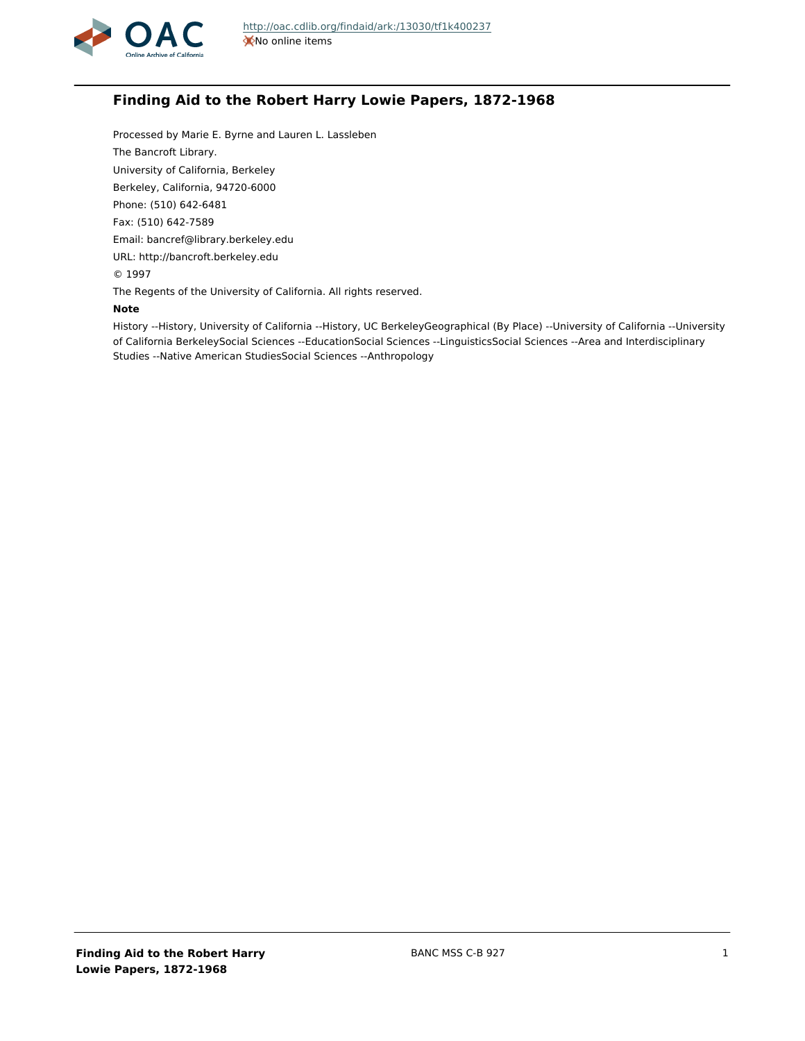

# **Finding Aid to the Robert Harry Lowie Papers, 1872-1968**

Processed by Marie E. Byrne and Lauren L. Lassleben The Bancroft Library. University of California, Berkeley Berkeley, California, 94720-6000 Phone: (510) 642-6481 Fax: (510) 642-7589 Email: bancref@library.berkeley.edu URL: http://bancroft.berkeley.edu © 1997 The Regents of the University of California. All rights reserved.

### **Note**

History --History, University of California --History, UC BerkeleyGeographical (By Place) --University of California --University of California BerkeleySocial Sciences --EducationSocial Sciences --LinguisticsSocial Sciences --Area and Interdisciplinary Studies --Native American StudiesSocial Sciences --Anthropology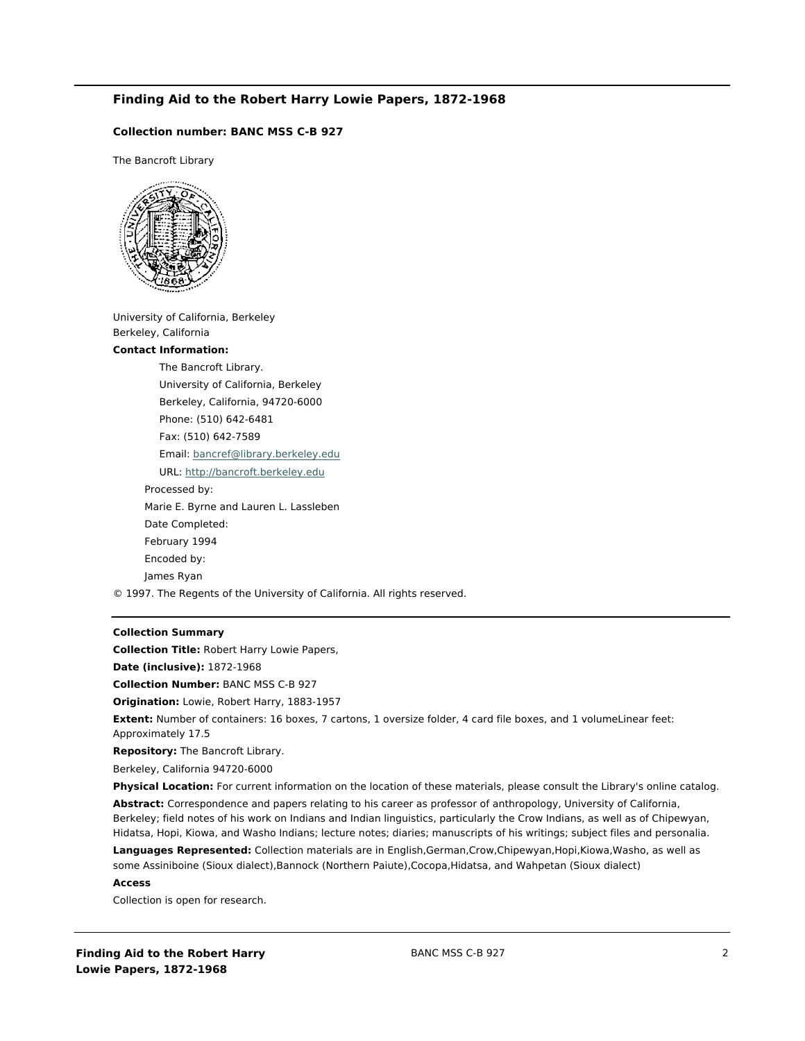# **Finding Aid to the Robert Harry Lowie Papers, 1872-1968**

# **Collection number: BANC MSS C-B 927**

The Bancroft Library



University of California, Berkeley Berkeley, California

#### **Contact Information:**

The Bancroft Library. University of California, Berkeley Berkeley, California, 94720-6000 Phone: (510) 642-6481 Fax: (510) 642-7589 Email: [bancref@library.berkeley.edu](mailto:bancref@library.berkeley.edu) URL:<http://bancroft.berkeley.edu> Processed by: Marie E. Byrne and Lauren L. Lassleben Date Completed: February 1994 Encoded by: James Ryan

© 1997. The Regents of the University of California. All rights reserved.

### **Collection Summary**

**Collection Title:** Robert Harry Lowie Papers,

**Date (inclusive):** 1872-1968

**Collection Number:** BANC MSS C-B 927

**Origination:** Lowie, Robert Harry, 1883-1957

**Extent:** Number of containers: 16 boxes, 7 cartons, 1 oversize folder, 4 card file boxes, and 1 volumeLinear feet: Approximately 17.5

**Repository:** The Bancroft Library.

Berkeley, California 94720-6000

**Physical Location:** For current information on the location of these materials, please consult the Library's online catalog. **Abstract:** Correspondence and papers relating to his career as professor of anthropology, University of California, Berkeley; field notes of his work on Indians and Indian linguistics, particularly the Crow Indians, as well as of Chipewyan, Hidatsa, Hopi, Kiowa, and Washo Indians; lecture notes; diaries; manuscripts of his writings; subject files and personalia.

**Languages Represented:** Collection materials are in English,German,Crow,Chipewyan,Hopi,Kiowa,Washo, as well as some Assiniboine (Sioux dialect),Bannock (Northern Paiute),Cocopa,Hidatsa, and Wahpetan (Sioux dialect)

#### **Access**

Collection is open for research.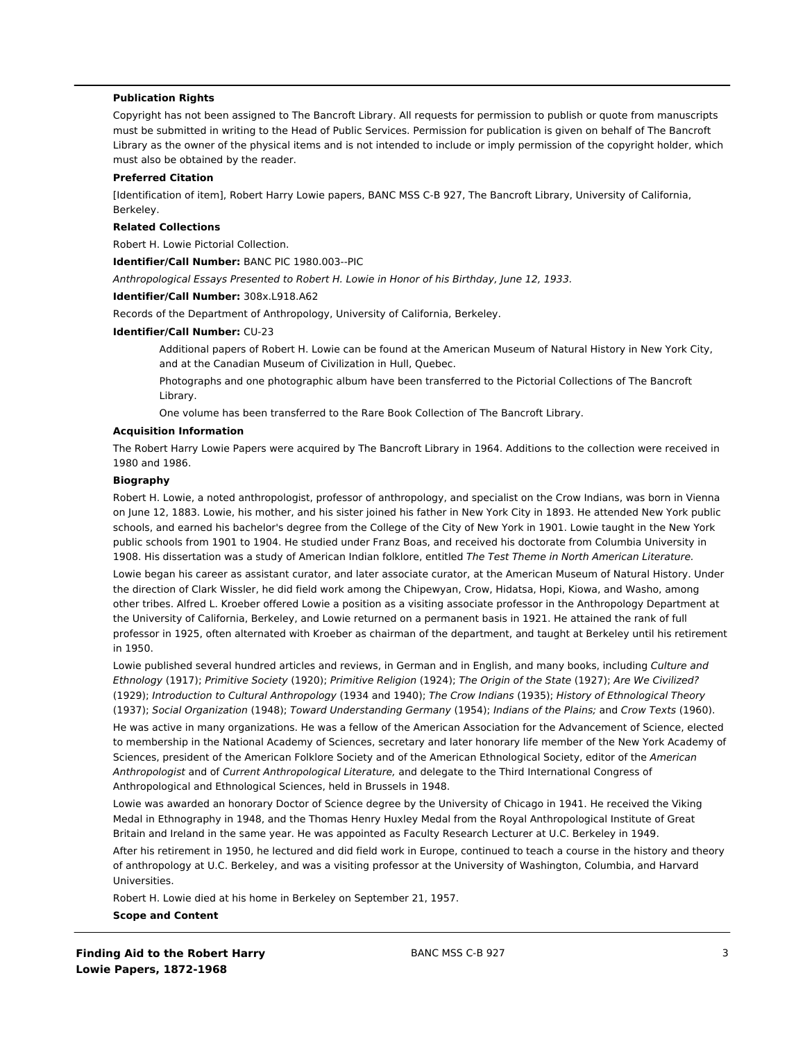# **Publication Rights**

Copyright has not been assigned to The Bancroft Library. All requests for permission to publish or quote from manuscripts must be submitted in writing to the Head of Public Services. Permission for publication is given on behalf of The Bancroft Library as the owner of the physical items and is not intended to include or imply permission of the copyright holder, which must also be obtained by the reader.

### **Preferred Citation**

[Identification of item], Robert Harry Lowie papers, BANC MSS C-B 927, The Bancroft Library, University of California, Berkeley.

### **Related Collections**

Robert H. Lowie Pictorial Collection.

**Identifier/Call Number:** BANC PIC 1980.003--PIC

Anthropological Essays Presented to Robert H. Lowie in Honor of his Birthday, June 12, 1933.

### **Identifier/Call Number:** 308x.L918.A62

Records of the Department of Anthropology, University of California, Berkeley.

#### **Identifier/Call Number:** CU-23

Additional papers of Robert H. Lowie can be found at the American Museum of Natural History in New York City, and at the Canadian Museum of Civilization in Hull, Quebec.

Photographs and one photographic album have been transferred to the Pictorial Collections of The Bancroft Library.

One volume has been transferred to the Rare Book Collection of The Bancroft Library.

# **Acquisition Information**

The Robert Harry Lowie Papers were acquired by The Bancroft Library in 1964. Additions to the collection were received in 1980 and 1986.

### **Biography**

Robert H. Lowie, a noted anthropologist, professor of anthropology, and specialist on the Crow Indians, was born in Vienna on June 12, 1883. Lowie, his mother, and his sister joined his father in New York City in 1893. He attended New York public schools, and earned his bachelor's degree from the College of the City of New York in 1901. Lowie taught in the New York public schools from 1901 to 1904. He studied under Franz Boas, and received his doctorate from Columbia University in 1908. His dissertation was a study of American Indian folklore, entitled The Test Theme in North American Literature. Lowie began his career as assistant curator, and later associate curator, at the American Museum of Natural History. Under the direction of Clark Wissler, he did field work among the Chipewyan, Crow, Hidatsa, Hopi, Kiowa, and Washo, among other tribes. Alfred L. Kroeber offered Lowie a position as a visiting associate professor in the Anthropology Department at the University of California, Berkeley, and Lowie returned on a permanent basis in 1921. He attained the rank of full professor in 1925, often alternated with Kroeber as chairman of the department, and taught at Berkeley until his retirement in 1950.

Lowie published several hundred articles and reviews, in German and in English, and many books, including Culture and Ethnology (1917); Primitive Society (1920); Primitive Religion (1924); The Origin of the State (1927); Are We Civilized? (1929); Introduction to Cultural Anthropology (1934 and 1940); The Crow Indians (1935); History of Ethnological Theory (1937); Social Organization (1948); Toward Understanding Germany (1954); Indians of the Plains; and Crow Texts (1960).

He was active in many organizations. He was a fellow of the American Association for the Advancement of Science, elected to membership in the National Academy of Sciences, secretary and later honorary life member of the New York Academy of Sciences, president of the American Folklore Society and of the American Ethnological Society, editor of the American Anthropologist and of Current Anthropological Literature, and delegate to the Third International Congress of Anthropological and Ethnological Sciences, held in Brussels in 1948.

Lowie was awarded an honorary Doctor of Science degree by the University of Chicago in 1941. He received the Viking Medal in Ethnography in 1948, and the Thomas Henry Huxley Medal from the Royal Anthropological Institute of Great Britain and Ireland in the same year. He was appointed as Faculty Research Lecturer at U.C. Berkeley in 1949.

After his retirement in 1950, he lectured and did field work in Europe, continued to teach a course in the history and theory of anthropology at U.C. Berkeley, and was a visiting professor at the University of Washington, Columbia, and Harvard Universities.

Robert H. Lowie died at his home in Berkeley on September 21, 1957.

### **Scope and Content**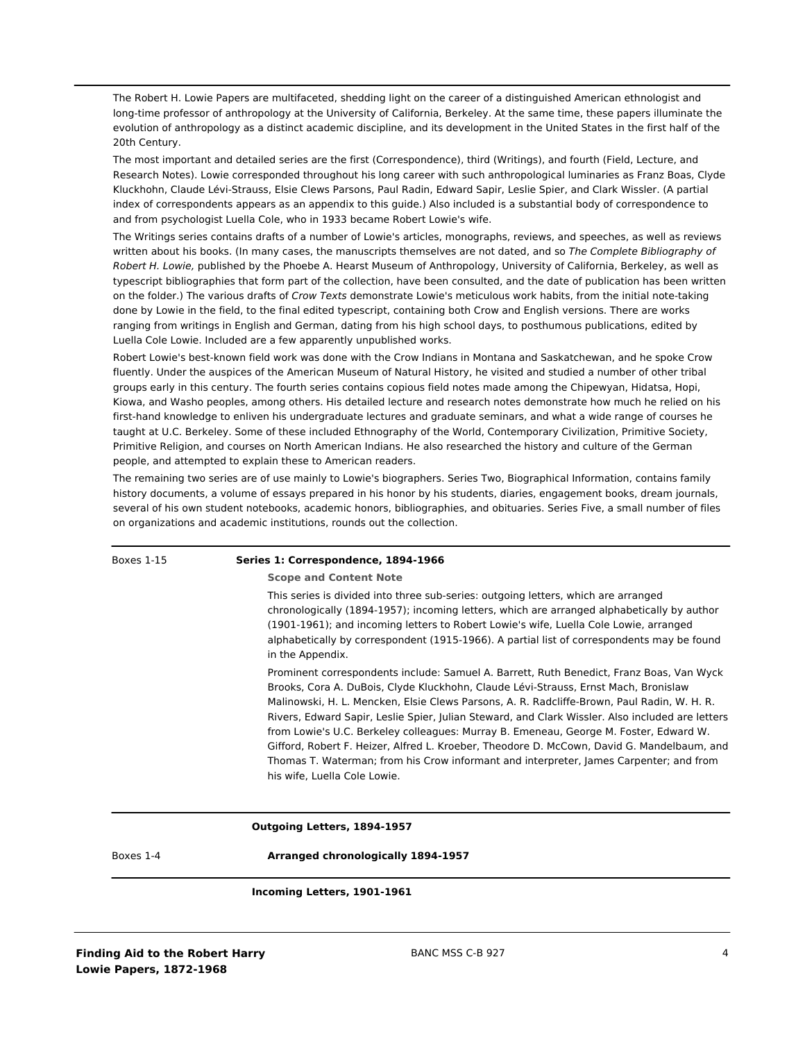The Robert H. Lowie Papers are multifaceted, shedding light on the career of a distinguished American ethnologist and long-time professor of anthropology at the University of California, Berkeley. At the same time, these papers illuminate the evolution of anthropology as a distinct academic discipline, and its development in the United States in the first half of the 20th Century.

The most important and detailed series are the first (Correspondence), third (Writings), and fourth (Field, Lecture, and Research Notes). Lowie corresponded throughout his long career with such anthropological luminaries as Franz Boas, Clyde Kluckhohn, Claude Lévi-Strauss, Elsie Clews Parsons, Paul Radin, Edward Sapir, Leslie Spier, and Clark Wissler. (A partial index of correspondents appears as an appendix to this guide.) Also included is a substantial body of correspondence to and from psychologist Luella Cole, who in 1933 became Robert Lowie's wife.

The Writings series contains drafts of a number of Lowie's articles, monographs, reviews, and speeches, as well as reviews written about his books. (In many cases, the manuscripts themselves are not dated, and so The Complete Bibliography of Robert H. Lowie, published by the Phoebe A. Hearst Museum of Anthropology, University of California, Berkeley, as well as typescript bibliographies that form part of the collection, have been consulted, and the date of publication has been written on the folder.) The various drafts of Crow Texts demonstrate Lowie's meticulous work habits, from the initial note-taking done by Lowie in the field, to the final edited typescript, containing both Crow and English versions. There are works ranging from writings in English and German, dating from his high school days, to posthumous publications, edited by Luella Cole Lowie. Included are a few apparently unpublished works.

Robert Lowie's best-known field work was done with the Crow Indians in Montana and Saskatchewan, and he spoke Crow fluently. Under the auspices of the American Museum of Natural History, he visited and studied a number of other tribal groups early in this century. The fourth series contains copious field notes made among the Chipewyan, Hidatsa, Hopi, Kiowa, and Washo peoples, among others. His detailed lecture and research notes demonstrate how much he relied on his first-hand knowledge to enliven his undergraduate lectures and graduate seminars, and what a wide range of courses he taught at U.C. Berkeley. Some of these included Ethnography of the World, Contemporary Civilization, Primitive Society, Primitive Religion, and courses on North American Indians. He also researched the history and culture of the German people, and attempted to explain these to American readers.

The remaining two series are of use mainly to Lowie's biographers. Series Two, Biographical Information, contains family history documents, a volume of essays prepared in his honor by his students, diaries, engagement books, dream journals, several of his own student notebooks, academic honors, bibliographies, and obituaries. Series Five, a small number of files on organizations and academic institutions, rounds out the collection.

| Boxes 1-15 | Series 1: Correspondence, 1894-1966                                                                                                                                                                                                                                                                                                                                                                                                                                                                                                                                                                                                                                                                 |
|------------|-----------------------------------------------------------------------------------------------------------------------------------------------------------------------------------------------------------------------------------------------------------------------------------------------------------------------------------------------------------------------------------------------------------------------------------------------------------------------------------------------------------------------------------------------------------------------------------------------------------------------------------------------------------------------------------------------------|
|            | <b>Scope and Content Note</b>                                                                                                                                                                                                                                                                                                                                                                                                                                                                                                                                                                                                                                                                       |
|            | This series is divided into three sub-series: outgoing letters, which are arranged<br>chronologically (1894-1957); incoming letters, which are arranged alphabetically by author<br>(1901-1961); and incoming letters to Robert Lowie's wife, Luella Cole Lowie, arranged<br>alphabetically by correspondent (1915-1966). A partial list of correspondents may be found<br>in the Appendix.                                                                                                                                                                                                                                                                                                         |
|            | Prominent correspondents include: Samuel A. Barrett, Ruth Benedict, Franz Boas, Van Wyck<br>Brooks, Cora A. DuBois, Clyde Kluckhohn, Claude Lévi-Strauss, Ernst Mach, Bronislaw<br>Malinowski, H. L. Mencken, Elsie Clews Parsons, A. R. Radcliffe-Brown, Paul Radin, W. H. R.<br>Rivers, Edward Sapir, Leslie Spier, Julian Steward, and Clark Wissler. Also included are letters<br>from Lowie's U.C. Berkeley colleagues: Murray B. Emeneau, George M. Foster, Edward W.<br>Gifford, Robert F. Heizer, Alfred L. Kroeber, Theodore D. McCown, David G. Mandelbaum, and<br>Thomas T. Waterman; from his Crow informant and interpreter, James Carpenter; and from<br>his wife, Luella Cole Lowie. |
|            | Outgoing Letters, 1894-1957                                                                                                                                                                                                                                                                                                                                                                                                                                                                                                                                                                                                                                                                         |
| Boxes 1-4  | Arranged chronologically 1894-1957                                                                                                                                                                                                                                                                                                                                                                                                                                                                                                                                                                                                                                                                  |

### **Incoming Letters, 1901-1961**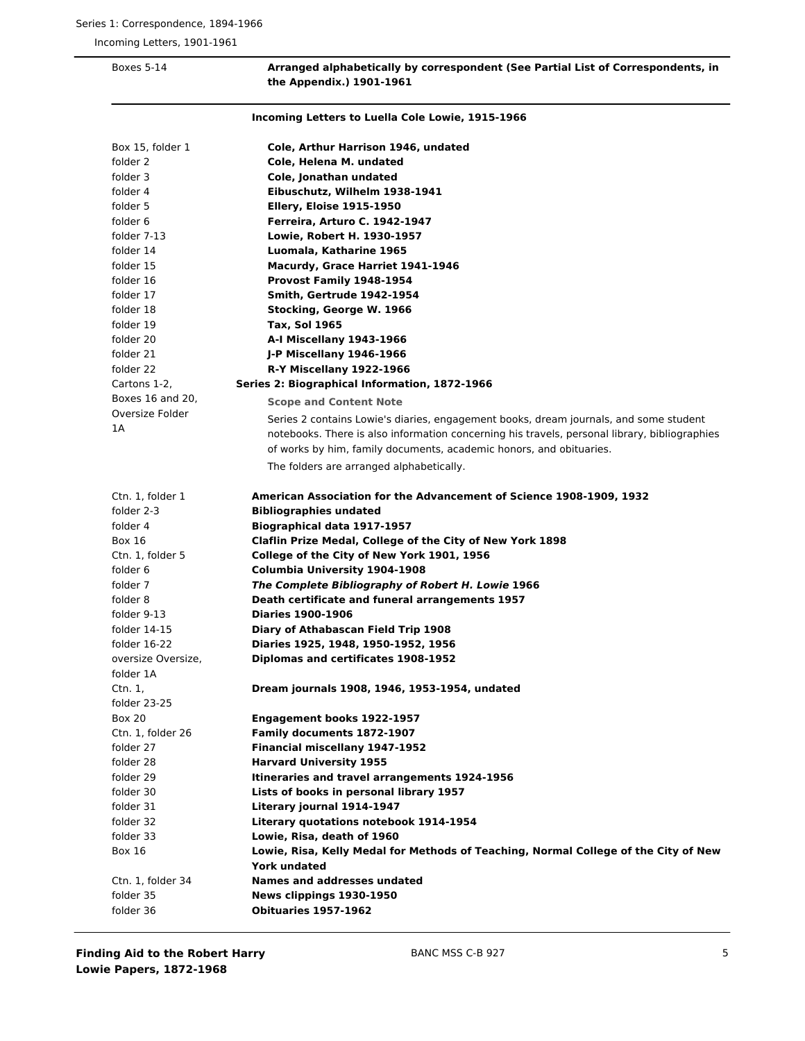Incoming Letters, 1901-1961

| The Whitehaix') Tant-Tapt |                                                                                               |
|---------------------------|-----------------------------------------------------------------------------------------------|
|                           | Incoming Letters to Luella Cole Lowie, 1915-1966                                              |
| Box 15, folder 1          | Cole, Arthur Harrison 1946, undated                                                           |
| folder 2                  | Cole, Helena M. undated                                                                       |
| folder 3                  | Cole, Jonathan undated                                                                        |
| folder 4                  | Eibuschutz, Wilhelm 1938-1941                                                                 |
| folder 5                  | <b>Ellery, Eloise 1915-1950</b>                                                               |
| folder 6                  | Ferreira, Arturo C. 1942-1947                                                                 |
| folder 7-13               | Lowie, Robert H. 1930-1957                                                                    |
| folder 14                 | Luomala, Katharine 1965                                                                       |
| folder 15                 | Macurdy, Grace Harriet 1941-1946                                                              |
| folder 16                 | Provost Family 1948-1954                                                                      |
| folder 17                 | Smith, Gertrude 1942-1954                                                                     |
| folder 18                 | Stocking, George W. 1966                                                                      |
| folder 19                 | Tax, Sol 1965                                                                                 |
| folder 20                 | A-I Miscellany 1943-1966                                                                      |
| folder 21                 | J-P Miscellany 1946-1966                                                                      |
| folder 22                 | R-Y Miscellany 1922-1966                                                                      |
| Cartons 1-2,              | Series 2: Biographical Information, 1872-1966                                                 |
| Boxes 16 and 20,          | <b>Scope and Content Note</b>                                                                 |
| Oversize Folder           | Series 2 contains Lowie's diaries, engagement books, dream journals, and some student         |
| 1A                        | notebooks. There is also information concerning his travels, personal library, bibliographies |
|                           | of works by him, family documents, academic honors, and obituaries.                           |
|                           | The folders are arranged alphabetically.                                                      |
| Ctn. 1, folder 1          | American Association for the Advancement of Science 1908-1909, 1932                           |
| folder 2-3                | <b>Bibliographies undated</b>                                                                 |
| folder 4                  | <b>Biographical data 1917-1957</b>                                                            |
| <b>Box 16</b>             | Claflin Prize Medal, College of the City of New York 1898                                     |
| Ctn. 1, folder 5          | College of the City of New York 1901, 1956                                                    |
| folder 6                  | Columbia University 1904-1908                                                                 |
| folder 7                  | The Complete Bibliography of Robert H. Lowie 1966                                             |
| folder 8                  | Death certificate and funeral arrangements 1957                                               |
| folder 9-13               | <b>Diaries 1900-1906</b>                                                                      |
| folder 14-15              | Diary of Athabascan Field Trip 1908                                                           |
| folder 16-22              | Diaries 1925, 1948, 1950-1952, 1956                                                           |
| oversize Oversize,        | Diplomas and certificates 1908-1952                                                           |
| folder 1A                 |                                                                                               |
| Ctn. 1,                   | Dream journals 1908, 1946, 1953-1954, undated                                                 |
| folder 23-25              |                                                                                               |
| <b>Box 20</b>             | Engagement books 1922-1957                                                                    |
| Ctn. 1, folder 26         | <b>Family documents 1872-1907</b>                                                             |
| folder 27                 | Financial miscellany 1947-1952                                                                |
| folder 28                 | <b>Harvard University 1955</b>                                                                |
| folder 29                 | Itineraries and travel arrangements 1924-1956                                                 |
| folder 30                 | Lists of books in personal library 1957                                                       |
| folder 31                 | Literary journal 1914-1947                                                                    |
| folder 32                 | Literary quotations notebook 1914-1954                                                        |
| folder 33                 | Lowie, Risa, death of 1960                                                                    |
| <b>Box 16</b>             | Lowie, Risa, Kelly Medal for Methods of Teaching, Normal College of the City of New           |
|                           | <b>York undated</b>                                                                           |
| Ctn. 1, folder 34         | Names and addresses undated                                                                   |
| folder 35                 | News clippings 1930-1950                                                                      |
| folder 36                 | <b>Obituaries 1957-1962</b>                                                                   |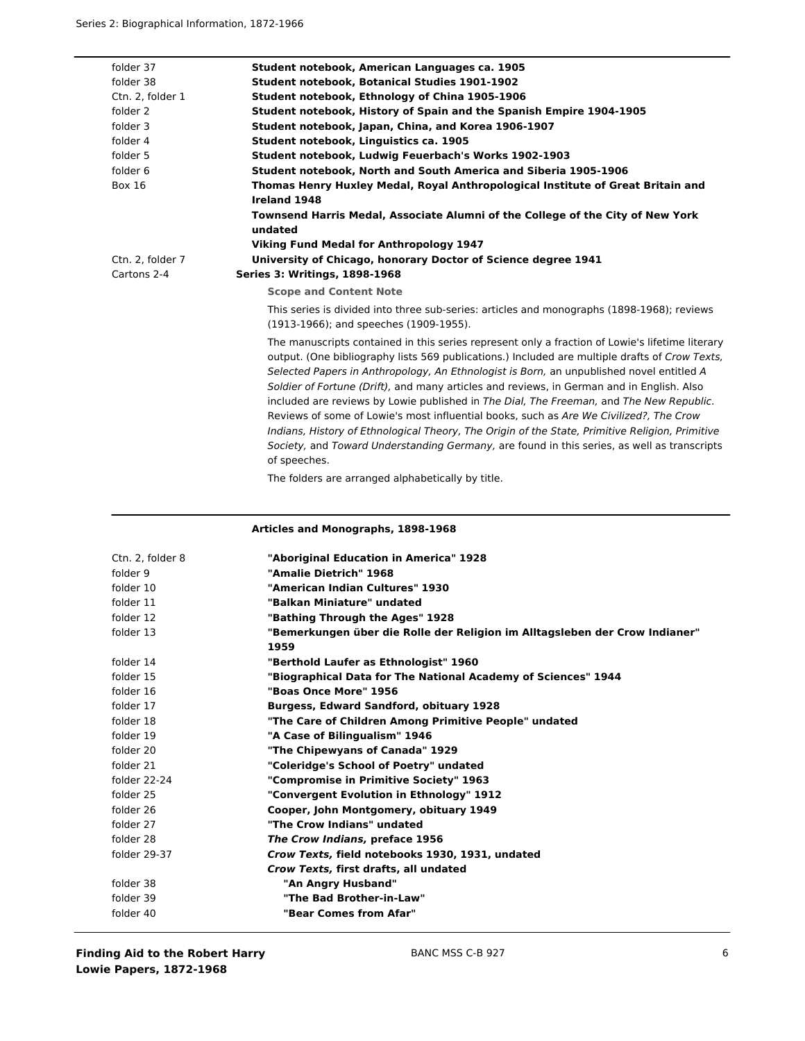| folder 37        | Student notebook, American Languages ca. 1905                                                                                                                                                                                                                                                                                                                                                                                                                                                                                                                                                                                                                                                                                                                                                     |
|------------------|---------------------------------------------------------------------------------------------------------------------------------------------------------------------------------------------------------------------------------------------------------------------------------------------------------------------------------------------------------------------------------------------------------------------------------------------------------------------------------------------------------------------------------------------------------------------------------------------------------------------------------------------------------------------------------------------------------------------------------------------------------------------------------------------------|
| folder 38        | <b>Student notebook, Botanical Studies 1901-1902</b>                                                                                                                                                                                                                                                                                                                                                                                                                                                                                                                                                                                                                                                                                                                                              |
| Ctn. 2, folder 1 | Student notebook, Ethnology of China 1905-1906                                                                                                                                                                                                                                                                                                                                                                                                                                                                                                                                                                                                                                                                                                                                                    |
| folder 2         | Student notebook, History of Spain and the Spanish Empire 1904-1905                                                                                                                                                                                                                                                                                                                                                                                                                                                                                                                                                                                                                                                                                                                               |
| folder 3         | Student notebook, Japan, China, and Korea 1906-1907                                                                                                                                                                                                                                                                                                                                                                                                                                                                                                                                                                                                                                                                                                                                               |
| folder 4         | Student notebook, Linguistics ca. 1905                                                                                                                                                                                                                                                                                                                                                                                                                                                                                                                                                                                                                                                                                                                                                            |
| folder 5         | Student notebook, Ludwig Feuerbach's Works 1902-1903                                                                                                                                                                                                                                                                                                                                                                                                                                                                                                                                                                                                                                                                                                                                              |
| folder 6         | Student notebook, North and South America and Siberia 1905-1906                                                                                                                                                                                                                                                                                                                                                                                                                                                                                                                                                                                                                                                                                                                                   |
| <b>Box 16</b>    | Thomas Henry Huxley Medal, Royal Anthropological Institute of Great Britain and                                                                                                                                                                                                                                                                                                                                                                                                                                                                                                                                                                                                                                                                                                                   |
|                  | Ireland 1948                                                                                                                                                                                                                                                                                                                                                                                                                                                                                                                                                                                                                                                                                                                                                                                      |
|                  | Townsend Harris Medal, Associate Alumni of the College of the City of New York<br>undated                                                                                                                                                                                                                                                                                                                                                                                                                                                                                                                                                                                                                                                                                                         |
|                  | <b>Viking Fund Medal for Anthropology 1947</b>                                                                                                                                                                                                                                                                                                                                                                                                                                                                                                                                                                                                                                                                                                                                                    |
| Ctn. 2, folder 7 | University of Chicago, honorary Doctor of Science degree 1941                                                                                                                                                                                                                                                                                                                                                                                                                                                                                                                                                                                                                                                                                                                                     |
| Cartons 2-4      | <b>Series 3: Writings, 1898-1968</b>                                                                                                                                                                                                                                                                                                                                                                                                                                                                                                                                                                                                                                                                                                                                                              |
|                  | <b>Scope and Content Note</b>                                                                                                                                                                                                                                                                                                                                                                                                                                                                                                                                                                                                                                                                                                                                                                     |
|                  | This series is divided into three sub-series: articles and monographs (1898-1968); reviews<br>(1913-1966); and speeches (1909-1955).                                                                                                                                                                                                                                                                                                                                                                                                                                                                                                                                                                                                                                                              |
|                  | The manuscripts contained in this series represent only a fraction of Lowie's lifetime literary<br>output. (One bibliography lists 569 publications.) Included are multiple drafts of Crow Texts,<br>Selected Papers in Anthropology, An Ethnologist is Born, an unpublished novel entitled A<br>Soldier of Fortune (Drift), and many articles and reviews, in German and in English. Also<br>included are reviews by Lowie published in The Dial, The Freeman, and The New Republic.<br>Reviews of some of Lowie's most influential books, such as Are We Civilized?, The Crow<br>Indians, History of Ethnological Theory, The Origin of the State, Primitive Religion, Primitive<br>Society, and Toward Understanding Germany, are found in this series, as well as transcripts<br>of speeches. |
|                  | The folders are arranged alphabetically by title.                                                                                                                                                                                                                                                                                                                                                                                                                                                                                                                                                                                                                                                                                                                                                 |

| Ctn. 2, folder 8 | "Aboriginal Education in America" 1928                                      |
|------------------|-----------------------------------------------------------------------------|
| folder 9         | "Amalie Dietrich" 1968                                                      |
| folder 10        | "American Indian Cultures" 1930                                             |
| folder 11        | "Balkan Miniature" undated                                                  |
| folder 12        | "Bathing Through the Ages" 1928                                             |
| folder 13        | "Bemerkungen über die Rolle der Religion im Alltagsleben der Crow Indianer" |
|                  | 1959                                                                        |
| folder 14        | "Berthold Laufer as Ethnologist" 1960                                       |
| folder 15        | "Biographical Data for The National Academy of Sciences" 1944               |
| folder 16        | "Boas Once More" 1956                                                       |
| folder 17        | <b>Burgess, Edward Sandford, obituary 1928</b>                              |
| folder 18        | "The Care of Children Among Primitive People" undated                       |
| folder 19        | "A Case of Bilingualism" 1946                                               |
| folder 20        | "The Chipewyans of Canada" 1929                                             |
| folder 21        | "Coleridge's School of Poetry" undated                                      |
| folder 22-24     | "Compromise in Primitive Society" 1963                                      |
| folder 25        | "Convergent Evolution in Ethnology" 1912                                    |
| folder 26        | Cooper, John Montgomery, obituary 1949                                      |
| folder 27        | "The Crow Indians" undated                                                  |
| folder 28        | The Crow Indians, preface 1956                                              |
| folder 29-37     | Crow Texts, field notebooks 1930, 1931, undated                             |
|                  | Crow Texts, first drafts, all undated                                       |
| folder 38        | "An Angry Husband"                                                          |
| folder 39        | "The Bad Brother-in-Law"                                                    |
| folder 40        | "Bear Comes from Afar"                                                      |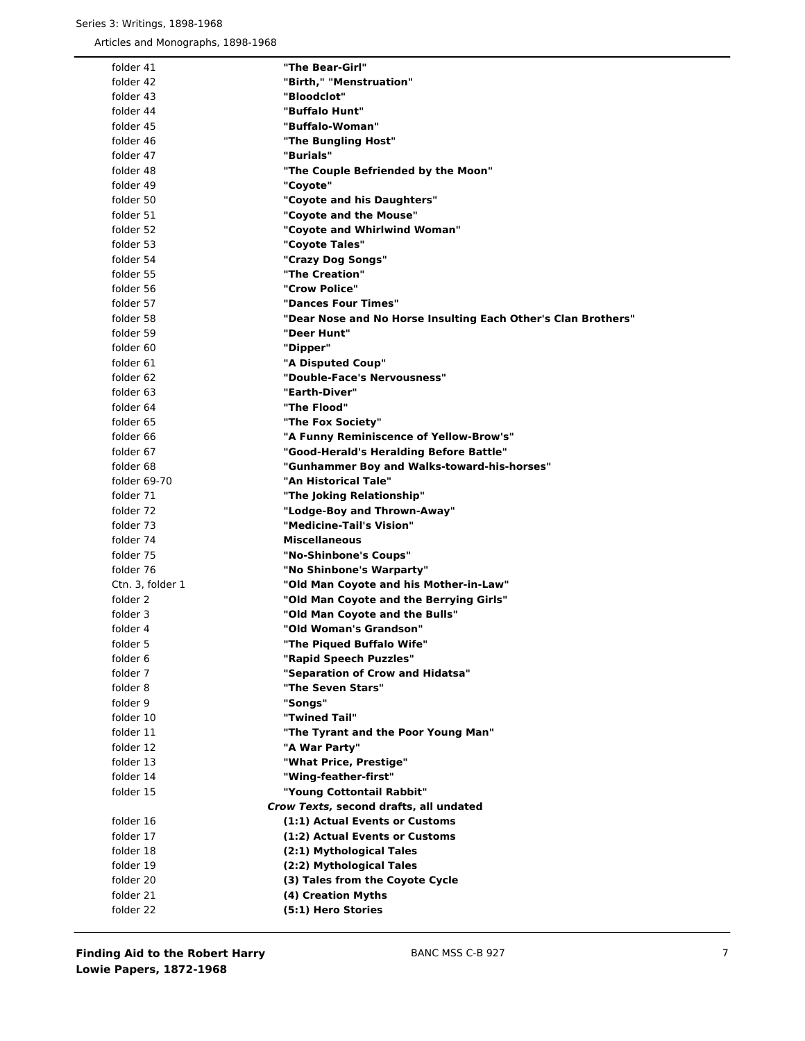| folder 41        | "The Bear-Girl"                                               |
|------------------|---------------------------------------------------------------|
| folder 42        | "Birth," "Menstruation"                                       |
| folder 43        | "Bloodclot"                                                   |
| folder 44        | "Buffalo Hunt"                                                |
| folder 45        | "Buffalo-Woman"                                               |
| folder 46        | "The Bungling Host"                                           |
| folder 47        | "Burials"                                                     |
| folder 48        | "The Couple Befriended by the Moon"                           |
| folder 49        | "Coyote"                                                      |
| folder 50        | "Covote and his Daughters"                                    |
| folder 51        | "Coyote and the Mouse"                                        |
| folder 52        | "Covote and Whirlwind Woman"                                  |
| folder 53        |                                                               |
|                  | "Coyote Tales"                                                |
| folder 54        | "Crazy Dog Songs"                                             |
| folder 55        | "The Creation"                                                |
| folder 56        | "Crow Police"                                                 |
| folder 57        | "Dances Four Times"                                           |
| folder 58        | "Dear Nose and No Horse Insulting Each Other's Clan Brothers" |
| folder 59        | "Deer Hunt"                                                   |
| folder 60        | "Dipper"                                                      |
| folder 61        | "A Disputed Coup"                                             |
| folder 62        | "Double-Face's Nervousness"                                   |
| folder 63        | "Earth-Diver"                                                 |
| folder 64        | "The Flood"                                                   |
| folder 65        | "The Fox Society"                                             |
| folder 66        | "A Funny Reminiscence of Yellow-Brow's"                       |
| folder 67        | "Good-Herald's Heralding Before Battle"                       |
| folder 68        | "Gunhammer Boy and Walks-toward-his-horses"                   |
| folder 69-70     | "An Historical Tale"                                          |
| folder 71        | "The Joking Relationship"                                     |
| folder 72        | "Lodge-Boy and Thrown-Away"                                   |
| folder 73        | "Medicine-Tail's Vision"                                      |
| folder 74        | <b>Miscellaneous</b>                                          |
| folder 75        | "No-Shinbone's Coups"                                         |
| folder 76        | "No Shinbone's Warparty"                                      |
| Ctn. 3, folder 1 | "Old Man Coyote and his Mother-in-Law"                        |
| folder 2         | "Old Man Coyote and the Berrying Girls"                       |
| folder 3         | "Old Man Coyote and the Bulls"                                |
| folder 4         | "Old Woman's Grandson"                                        |
| folder 5         | "The Piqued Buffalo Wife"                                     |
| folder 6         | "Rapid Speech Puzzles"                                        |
| folder 7         | "Separation of Crow and Hidatsa"                              |
| folder 8         | "The Seven Stars"                                             |
| folder 9         | "Songs"                                                       |
| folder 10        | "Twined Tail"                                                 |
| folder 11        | "The Tyrant and the Poor Young Man"                           |
| folder 12        | "A War Party"                                                 |
| folder 13        | "What Price, Prestige"                                        |
| folder 14        | "Wing-feather-first"                                          |
| folder 15        | "Young Cottontail Rabbit"                                     |
|                  | Crow Texts, second drafts, all undated                        |
| folder 16        | (1:1) Actual Events or Customs                                |
| folder 17        | (1:2) Actual Events or Customs                                |
| folder 18        | (2:1) Mythological Tales                                      |
| folder 19        | (2:2) Mythological Tales                                      |
| folder 20        | (3) Tales from the Coyote Cycle                               |
| folder 21        | (4) Creation Myths                                            |
| folder 22        | (5:1) Hero Stories                                            |
|                  |                                                               |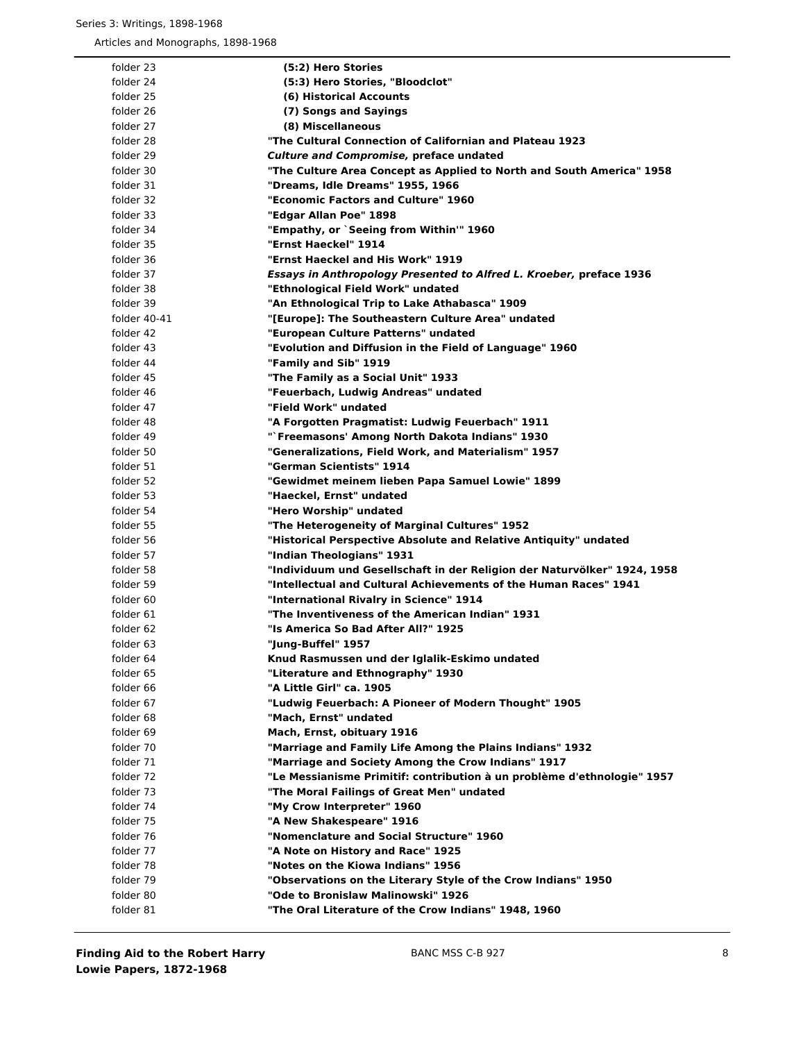| folder 23    | (5:2) Hero Stories                                                         |
|--------------|----------------------------------------------------------------------------|
| folder 24    | (5:3) Hero Stories, "Bloodclot"                                            |
| folder 25    | (6) Historical Accounts                                                    |
| folder 26    | (7) Songs and Sayings                                                      |
| folder 27    | (8) Miscellaneous                                                          |
| folder 28    | "The Cultural Connection of Californian and Plateau 1923                   |
| folder 29    | <b>Culture and Compromise, preface undated</b>                             |
| folder 30    | "The Culture Area Concept as Applied to North and South America" 1958      |
| folder 31    | "Dreams, Idle Dreams" 1955, 1966                                           |
| folder 32    | "Economic Factors and Culture" 1960                                        |
| folder 33    | "Edgar Allan Poe" 1898                                                     |
| folder 34    | "Empathy, or `Seeing from Within'" 1960                                    |
| folder 35    | "Ernst Haeckel" 1914                                                       |
| folder 36    | "Ernst Haeckel and His Work" 1919                                          |
| folder 37    | <b>Essays in Anthropology Presented to Alfred L. Kroeber, preface 1936</b> |
| folder 38    | "Ethnological Field Work" undated                                          |
| folder 39    | "An Ethnological Trip to Lake Athabasca" 1909                              |
| folder 40-41 | "[Europe]: The Southeastern Culture Area" undated                          |
| folder 42    | "European Culture Patterns" undated                                        |
| folder 43    | "Evolution and Diffusion in the Field of Language" 1960                    |
| folder 44    | "Family and Sib" 1919                                                      |
| folder 45    | "The Family as a Social Unit" 1933                                         |
| folder 46    | "Feuerbach, Ludwig Andreas" undated                                        |
| folder 47    | "Field Work" undated                                                       |
| folder 48    | "A Forgotten Pragmatist: Ludwig Feuerbach" 1911                            |
| folder 49    | "`Freemasons' Among North Dakota Indians" 1930                             |
| folder 50    | "Generalizations, Field Work, and Materialism" 1957                        |
| folder 51    | "German Scientists" 1914                                                   |
| folder 52    | "Gewidmet meinem lieben Papa Samuel Lowie" 1899                            |
| folder 53    | "Haeckel, Ernst" undated                                                   |
| folder 54    | "Hero Worship" undated                                                     |
| folder 55    | "The Heterogeneity of Marginal Cultures" 1952                              |
| folder 56    | "Historical Perspective Absolute and Relative Antiquity" undated           |
| folder 57    | "Indian Theologians" 1931                                                  |
| folder 58    | "Individuum und Gesellschaft in der Religion der Naturvölker" 1924, 1958   |
| folder 59    | "Intellectual and Cultural Achievements of the Human Races" 1941           |
| folder 60    | "International Rivalry in Science" 1914                                    |
| folder 61    | "The Inventiveness of the American Indian" 1931                            |
| folder 62    | "Is America So Bad After All?" 1925                                        |
| folder 63    | "Jung-Buffel" 1957                                                         |
| folder 64    | Knud Rasmussen und der Iglalik-Eskimo undated                              |
| folder 65    | "Literature and Ethnography" 1930                                          |
| folder 66    | "A Little Girl" ca. 1905                                                   |
| folder 67    | "Ludwig Feuerbach: A Pioneer of Modern Thought" 1905                       |
| folder 68    | "Mach, Ernst" undated                                                      |
| folder 69    | Mach, Ernst, obituary 1916                                                 |
| folder 70    | "Marriage and Family Life Among the Plains Indians" 1932                   |
| folder 71    | "Marriage and Society Among the Crow Indians" 1917                         |
| folder 72    | "Le Messianisme Primitif: contribution à un problème d'ethnologie" 1957    |
| folder 73    | "The Moral Failings of Great Men" undated                                  |
| folder 74    | "My Crow Interpreter" 1960                                                 |
| folder 75    | "A New Shakespeare" 1916                                                   |
| folder 76    | "Nomenclature and Social Structure" 1960                                   |
| folder 77    | "A Note on History and Race" 1925                                          |
| folder 78    | "Notes on the Kiowa Indians" 1956                                          |
| folder 79    | "Observations on the Literary Style of the Crow Indians" 1950              |
| folder 80    | "Ode to Bronislaw Malinowski" 1926                                         |
| folder 81    | "The Oral Literature of the Crow Indians" 1948, 1960                       |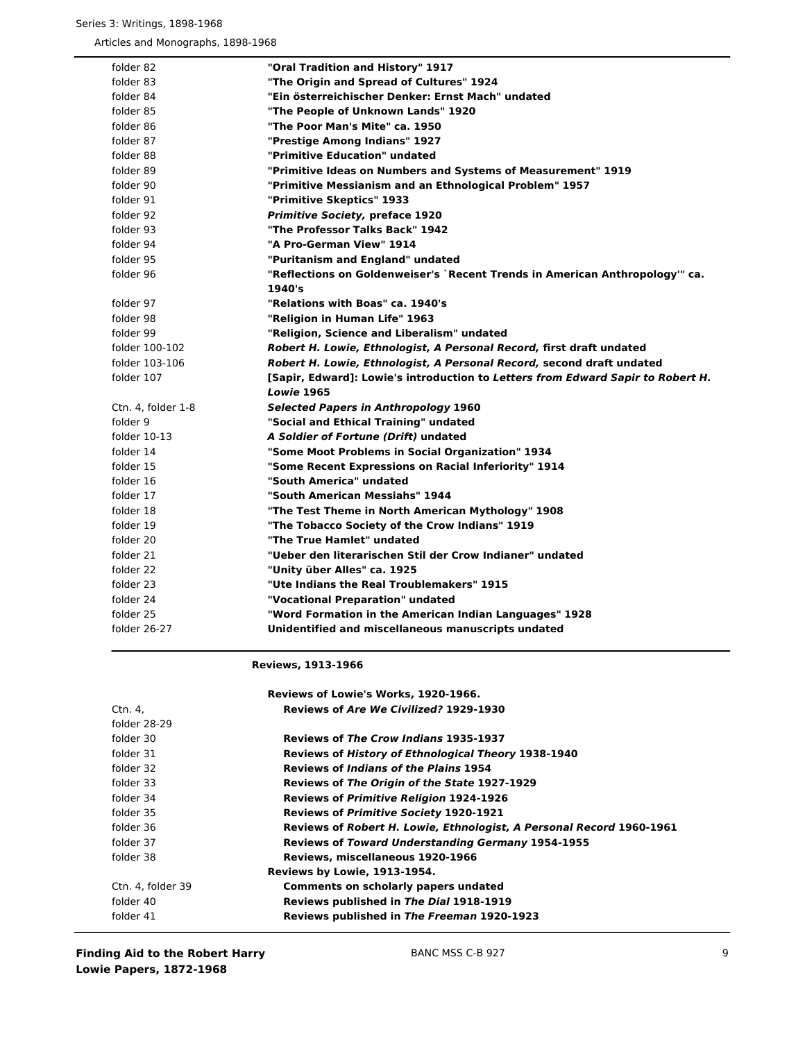| folder 82          | "Oral Tradition and History" 1917                                               |
|--------------------|---------------------------------------------------------------------------------|
| folder 83          | "The Origin and Spread of Cultures" 1924                                        |
| folder 84          | "Ein österreichischer Denker: Ernst Mach" undated                               |
| folder 85          | "The People of Unknown Lands" 1920                                              |
| folder 86          | "The Poor Man's Mite" ca. 1950                                                  |
| folder 87          | "Prestige Among Indians" 1927                                                   |
| folder 88          | "Primitive Education" undated                                                   |
| folder 89          | "Primitive Ideas on Numbers and Systems of Measurement" 1919                    |
| folder 90          | "Primitive Messianism and an Ethnological Problem" 1957                         |
| folder 91          | "Primitive Skeptics" 1933                                                       |
| folder 92          | <b>Primitive Society, preface 1920</b>                                          |
| folder 93          | "The Professor Talks Back" 1942                                                 |
| folder 94          | "A Pro-German View" 1914                                                        |
| folder 95          | "Puritanism and England" undated                                                |
| folder 96          | "Reflections on Goldenweiser's `Recent Trends in American Anthropology'" ca.    |
|                    | 1940's                                                                          |
| folder 97          | "Relations with Boas" ca. 1940's                                                |
| folder 98          | "Religion in Human Life" 1963                                                   |
| folder 99          | "Religion, Science and Liberalism" undated                                      |
| folder 100-102     | Robert H. Lowie, Ethnologist, A Personal Record, first draft undated            |
| folder 103-106     | Robert H. Lowie, Ethnologist, A Personal Record, second draft undated           |
| folder 107         | [Sapir, Edward]: Lowie's introduction to Letters from Edward Sapir to Robert H. |
|                    | <b>Lowie 1965</b>                                                               |
| Ctn. 4, folder 1-8 | <b>Selected Papers in Anthropology 1960</b>                                     |
| folder 9           | "Social and Ethical Training" undated                                           |
| folder $10-13$     | A Soldier of Fortune (Drift) undated                                            |
| folder 14          | "Some Moot Problems in Social Organization" 1934                                |
| folder 15          | "Some Recent Expressions on Racial Inferiority" 1914                            |
| folder 16          | "South America" undated                                                         |
| folder 17          | "South American Messiahs" 1944                                                  |
| folder 18          | "The Test Theme in North American Mythology" 1908                               |
| folder 19          | "The Tobacco Society of the Crow Indians" 1919                                  |
| folder 20          | "The True Hamlet" undated                                                       |
| folder 21          | "Ueber den literarischen Stil der Crow Indianer" undated                        |
| folder 22          | "Unity über Alles" ca. 1925                                                     |
| folder 23          | "Ute Indians the Real Troublemakers" 1915                                       |
| folder 24          | "Vocational Preparation" undated                                                |
| folder 25          | "Word Formation in the American Indian Languages" 1928                          |
| folder 26-27       | Unidentified and miscellaneous manuscripts undated                              |

**Reviews, 1913-1966**

|                   | Reviews of Lowie's Works, 1920-1966.                                 |
|-------------------|----------------------------------------------------------------------|
| Ctn. 4.           | Reviews of Are We Civilized? 1929-1930                               |
| folder 28-29      |                                                                      |
| folder 30         | <b>Reviews of The Crow Indians 1935-1937</b>                         |
| folder 31         | <b>Reviews of History of Ethnological Theory 1938-1940</b>           |
| folder 32         | <b>Reviews of Indians of the Plains 1954</b>                         |
| folder 33         | <b>Reviews of The Origin of the State 1927-1929</b>                  |
| folder 34         | <b>Reviews of Primitive Religion 1924-1926</b>                       |
| folder 35         | <b>Reviews of Primitive Society 1920-1921</b>                        |
| folder 36         | Reviews of Robert H. Lowie, Ethnologist, A Personal Record 1960-1961 |
| folder 37         | <b>Reviews of Toward Understanding Germany 1954-1955</b>             |
| folder 38         | Reviews, miscellaneous 1920-1966                                     |
|                   | <b>Reviews by Lowie, 1913-1954.</b>                                  |
| Ctn. 4. folder 39 | <b>Comments on scholarly papers undated</b>                          |
| folder 40         | Reviews published in The Dial 1918-1919                              |
| folder 41         | Reviews published in The Freeman 1920-1923                           |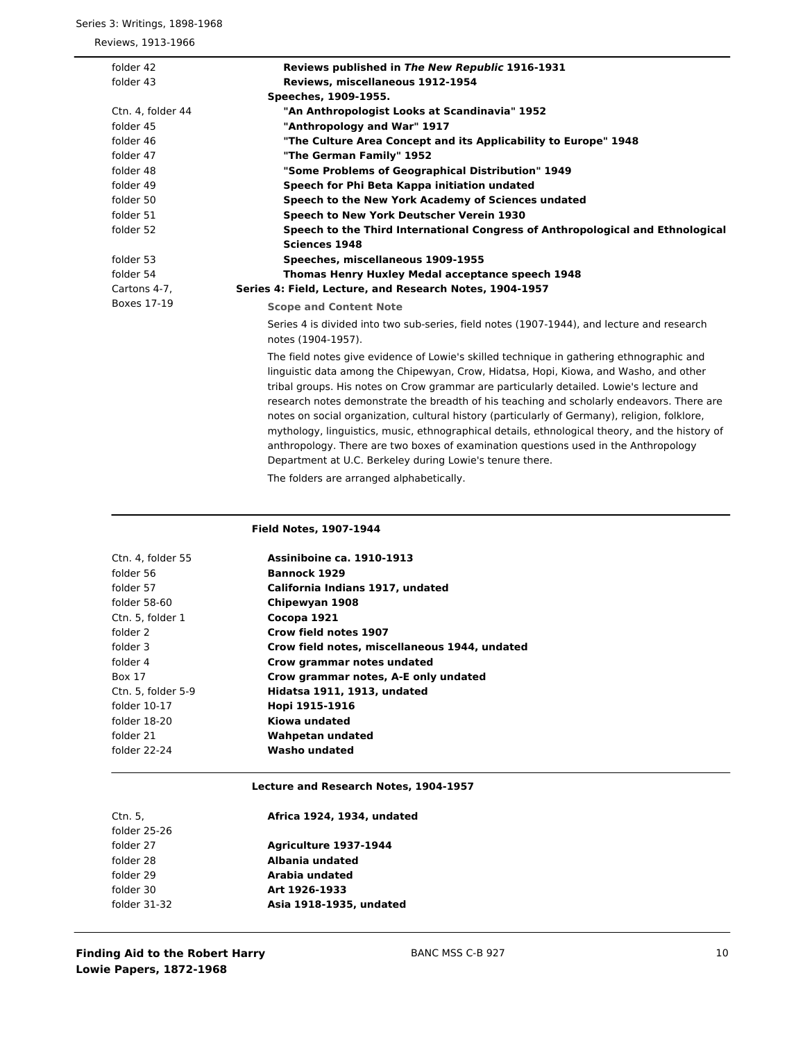# Series 3: Writings, 1898-1968

Reviews, 1913-1966

| folder 42          | Reviews published in The New Republic 1916-1931                                                                                                                                                                                                                                                                                                                                                                                                                                                                                                                                                                                                                                                                                                                             |
|--------------------|-----------------------------------------------------------------------------------------------------------------------------------------------------------------------------------------------------------------------------------------------------------------------------------------------------------------------------------------------------------------------------------------------------------------------------------------------------------------------------------------------------------------------------------------------------------------------------------------------------------------------------------------------------------------------------------------------------------------------------------------------------------------------------|
| folder 43          | Reviews, miscellaneous 1912-1954                                                                                                                                                                                                                                                                                                                                                                                                                                                                                                                                                                                                                                                                                                                                            |
|                    | Speeches, 1909-1955.                                                                                                                                                                                                                                                                                                                                                                                                                                                                                                                                                                                                                                                                                                                                                        |
| Ctn. 4, folder 44  | "An Anthropologist Looks at Scandinavia" 1952                                                                                                                                                                                                                                                                                                                                                                                                                                                                                                                                                                                                                                                                                                                               |
| folder 45          | "Anthropology and War" 1917                                                                                                                                                                                                                                                                                                                                                                                                                                                                                                                                                                                                                                                                                                                                                 |
| folder 46          | "The Culture Area Concept and its Applicability to Europe" 1948                                                                                                                                                                                                                                                                                                                                                                                                                                                                                                                                                                                                                                                                                                             |
| folder 47          | "The German Family" 1952                                                                                                                                                                                                                                                                                                                                                                                                                                                                                                                                                                                                                                                                                                                                                    |
| folder 48          | "Some Problems of Geographical Distribution" 1949                                                                                                                                                                                                                                                                                                                                                                                                                                                                                                                                                                                                                                                                                                                           |
| folder 49          | Speech for Phi Beta Kappa initiation undated                                                                                                                                                                                                                                                                                                                                                                                                                                                                                                                                                                                                                                                                                                                                |
| folder 50          | Speech to the New York Academy of Sciences undated                                                                                                                                                                                                                                                                                                                                                                                                                                                                                                                                                                                                                                                                                                                          |
| folder 51          | Speech to New York Deutscher Verein 1930                                                                                                                                                                                                                                                                                                                                                                                                                                                                                                                                                                                                                                                                                                                                    |
| folder 52          | Speech to the Third International Congress of Anthropological and Ethnological                                                                                                                                                                                                                                                                                                                                                                                                                                                                                                                                                                                                                                                                                              |
|                    | <b>Sciences 1948</b>                                                                                                                                                                                                                                                                                                                                                                                                                                                                                                                                                                                                                                                                                                                                                        |
| folder 53          | Speeches, miscellaneous 1909-1955                                                                                                                                                                                                                                                                                                                                                                                                                                                                                                                                                                                                                                                                                                                                           |
| folder 54          | Thomas Henry Huxley Medal acceptance speech 1948                                                                                                                                                                                                                                                                                                                                                                                                                                                                                                                                                                                                                                                                                                                            |
| Cartons 4-7,       | Series 4: Field, Lecture, and Research Notes, 1904-1957                                                                                                                                                                                                                                                                                                                                                                                                                                                                                                                                                                                                                                                                                                                     |
| <b>Boxes 17-19</b> | <b>Scope and Content Note</b>                                                                                                                                                                                                                                                                                                                                                                                                                                                                                                                                                                                                                                                                                                                                               |
|                    | Series 4 is divided into two sub-series, field notes (1907-1944), and lecture and research<br>notes (1904-1957).                                                                                                                                                                                                                                                                                                                                                                                                                                                                                                                                                                                                                                                            |
|                    | The field notes give evidence of Lowie's skilled technique in gathering ethnographic and<br>linguistic data among the Chipewyan, Crow, Hidatsa, Hopi, Kiowa, and Washo, and other<br>tribal groups. His notes on Crow grammar are particularly detailed. Lowie's lecture and<br>research notes demonstrate the breadth of his teaching and scholarly endeavors. There are<br>notes on social organization, cultural history (particularly of Germany), religion, folklore,<br>mythology, linguistics, music, ethnographical details, ethnological theory, and the history of<br>anthropology. There are two boxes of examination questions used in the Anthropology<br>Department at U.C. Berkeley during Lowie's tenure there.<br>The folders are arranged alphabetically. |

# **Field Notes, 1907-1944**

| Ctn. 4. folder 55  | <b>Assiniboine ca. 1910-1913</b>              |
|--------------------|-----------------------------------------------|
| folder 56          | <b>Bannock 1929</b>                           |
| folder 57          | California Indians 1917, undated              |
| folder 58-60       | Chipewyan 1908                                |
| Ctn. 5, folder 1   | Cocopa 1921                                   |
| folder 2           | Crow field notes 1907                         |
| folder 3           | Crow field notes, miscellaneous 1944, undated |
| folder 4           | Crow grammar notes undated                    |
| Box 17             | Crow grammar notes, A-E only undated          |
| Ctn. 5, folder 5-9 | Hidatsa 1911, 1913, undated                   |
| folder 10-17       | Hopi 1915-1916                                |
| folder 18-20       | Kiowa undated                                 |
| folder 21          | Wahpetan undated                              |
| folder 22-24       | Washo undated                                 |
|                    |                                               |

# **Lecture and Research Notes, 1904-1957**

| Ctn. 5.      | Africa 1924, 1934, undated   |
|--------------|------------------------------|
| folder 25-26 |                              |
| folder 27    | <b>Agriculture 1937-1944</b> |
| folder 28    | Albania undated              |
| folder 29    | Arabia undated               |
| folder 30    | Art 1926-1933                |
| folder 31-32 | Asia 1918-1935, undated      |
|              |                              |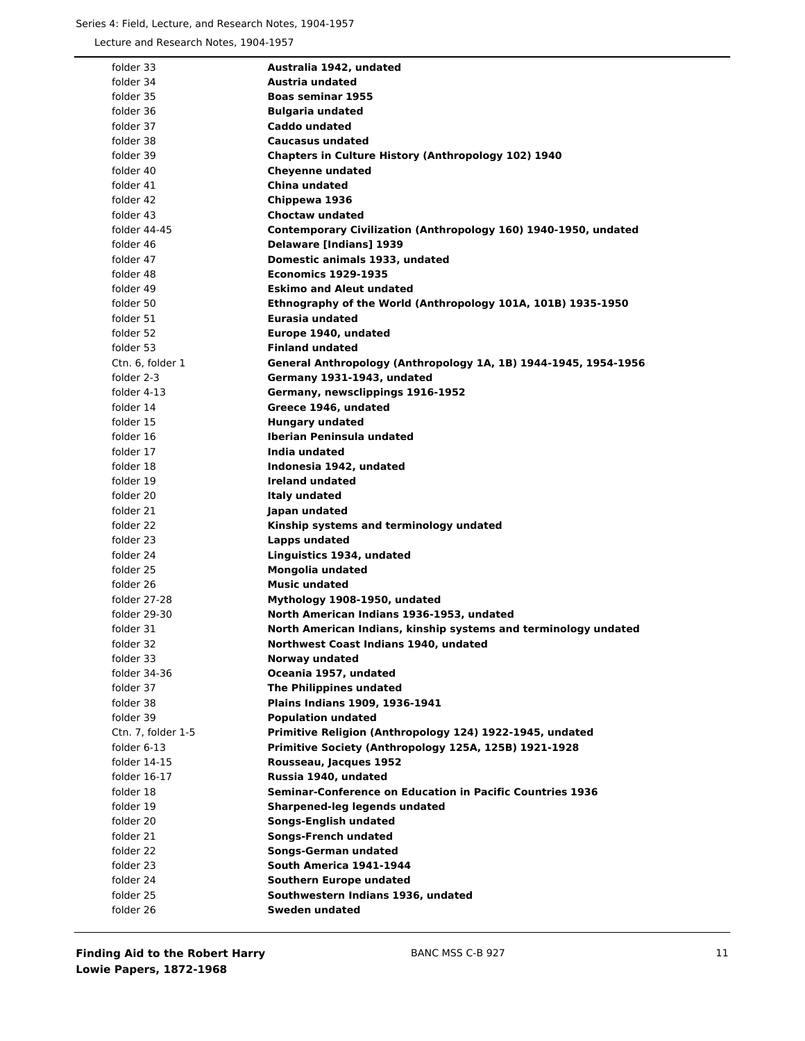# Series 4: Field, Lecture, and Research Notes, 1904-1957

Lecture and Research Notes, 1904-1957

| folder 33          | Australia 1942, undated                                         |
|--------------------|-----------------------------------------------------------------|
| folder 34          | <b>Austria undated</b>                                          |
| folder 35          | <b>Boas seminar 1955</b>                                        |
| folder 36          | <b>Bulgaria undated</b>                                         |
| folder 37          | <b>Caddo undated</b>                                            |
| folder 38          | <b>Caucasus undated</b>                                         |
| folder 39          | <b>Chapters in Culture History (Anthropology 102) 1940</b>      |
| folder 40          | <b>Cheyenne undated</b>                                         |
| folder 41          | China undated                                                   |
| folder 42          | Chippewa 1936                                                   |
| folder 43          | <b>Choctaw undated</b>                                          |
| folder 44-45       | Contemporary Civilization (Anthropology 160) 1940-1950, undated |
| folder 46          | <b>Delaware [Indians] 1939</b>                                  |
| folder 47          | Domestic animals 1933, undated                                  |
| folder 48          | <b>Economics 1929-1935</b>                                      |
| folder 49          | <b>Eskimo and Aleut undated</b>                                 |
| folder 50          | Ethnography of the World (Anthropology 101A, 101B) 1935-1950    |
| folder 51          | Eurasia undated                                                 |
| folder 52          | Europe 1940, undated                                            |
| folder 53          | <b>Finland undated</b>                                          |
| Ctn. 6. folder 1   | General Anthropology (Anthropology 1A, 1B) 1944-1945, 1954-1956 |
| folder 2-3         | Germany 1931-1943, undated                                      |
| folder 4-13        | Germany, newsclippings 1916-1952                                |
| folder 14          | Greece 1946, undated                                            |
| folder 15          | <b>Hungary undated</b>                                          |
| folder 16          | Iberian Peninsula undated                                       |
| folder 17          | India undated                                                   |
| folder 18          | Indonesia 1942, undated                                         |
| folder 19          | <b>Ireland undated</b>                                          |
| folder 20          | <b>Italy undated</b>                                            |
| folder 21          | Japan undated                                                   |
| folder 22          | Kinship systems and terminology undated                         |
| folder 23          | Lapps undated                                                   |
| folder 24          | Linguistics 1934, undated                                       |
| folder 25          | Mongolia undated                                                |
| folder 26          | <b>Music undated</b>                                            |
| folder 27-28       | Mythology 1908-1950, undated                                    |
| folder 29-30       | North American Indians 1936-1953, undated                       |
| folder 31          | North American Indians, kinship systems and terminology undated |
| folder 32          | Northwest Coast Indians 1940, undated                           |
| folder 33          | Norway undated                                                  |
| folder 34-36       | Oceania 1957, undated                                           |
| folder 37          | The Philippines undated                                         |
| folder 38          | Plains Indians 1909, 1936-1941                                  |
| folder 39          | <b>Population undated</b>                                       |
| Ctn. 7, folder 1-5 | Primitive Religion (Anthropology 124) 1922-1945, undated        |
| folder 6-13        | Primitive Society (Anthropology 125A, 125B) 1921-1928           |
| folder 14-15       | Rousseau, Jacques 1952                                          |
| folder 16-17       | Russia 1940, undated                                            |
| folder 18          | Seminar-Conference on Education in Pacific Countries 1936       |
| folder 19          | Sharpened-leg legends undated                                   |
| folder 20          | <b>Songs-English undated</b>                                    |
| folder 21          | <b>Songs-French undated</b>                                     |
| folder 22          | <b>Songs-German undated</b>                                     |
| folder 23          | South America 1941-1944                                         |
| folder 24          | <b>Southern Europe undated</b>                                  |
| folder 25          | Southwestern Indians 1936, undated                              |
| folder 26          | <b>Sweden undated</b>                                           |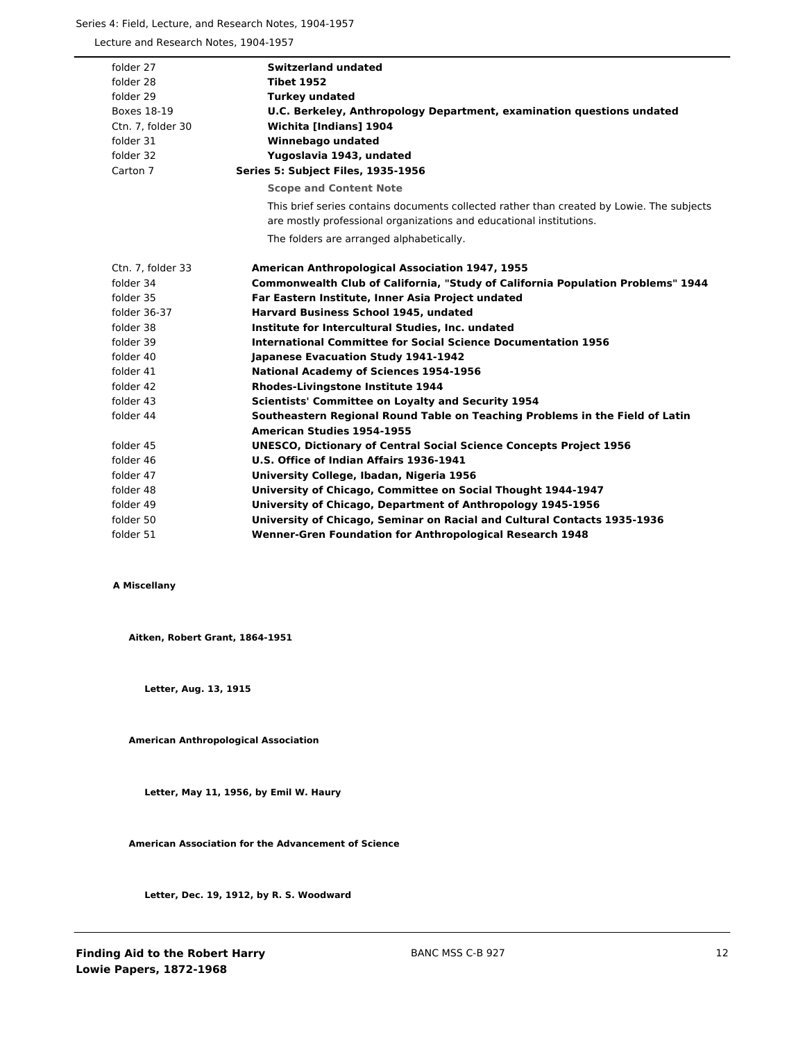# Series 4: Field, Lecture, and Research Notes, 1904-1957

Lecture and Research Notes, 1904-1957

| folder 27          | <b>Switzerland undated</b>                                                                                                                                       |
|--------------------|------------------------------------------------------------------------------------------------------------------------------------------------------------------|
| folder 28          | <b>Tibet 1952</b>                                                                                                                                                |
| folder 29          | <b>Turkey undated</b>                                                                                                                                            |
| <b>Boxes 18-19</b> | U.C. Berkeley, Anthropology Department, examination questions undated                                                                                            |
| Ctn. 7, folder 30  | <b>Wichita [Indians] 1904</b>                                                                                                                                    |
| folder 31          | Winnebago undated                                                                                                                                                |
| folder 32          | Yugoslavia 1943, undated                                                                                                                                         |
| Carton 7           | Series 5: Subject Files, 1935-1956                                                                                                                               |
|                    | <b>Scope and Content Note</b>                                                                                                                                    |
|                    | This brief series contains documents collected rather than created by Lowie. The subjects<br>are mostly professional organizations and educational institutions. |
|                    | The folders are arranged alphabetically.                                                                                                                         |
| Ctn. 7, folder 33  | <b>American Anthropological Association 1947, 1955</b>                                                                                                           |
| folder 34          | <b>Commonwealth Club of California, "Study of California Population Problems" 1944</b>                                                                           |
| folder 35          | Far Eastern Institute, Inner Asia Project undated                                                                                                                |
| folder 36-37       | Harvard Business School 1945, undated                                                                                                                            |
| folder 38          | Institute for Intercultural Studies, Inc. undated                                                                                                                |
| folder 39          | International Committee for Social Science Documentation 1956                                                                                                    |
| folder 40          | Japanese Evacuation Study 1941-1942                                                                                                                              |
| folder 41          | <b>National Academy of Sciences 1954-1956</b>                                                                                                                    |
| folder 42          | <b>Rhodes-Livingstone Institute 1944</b>                                                                                                                         |
| folder 43          | <b>Scientists' Committee on Loyalty and Security 1954</b>                                                                                                        |
| folder 44          | Southeastern Regional Round Table on Teaching Problems in the Field of Latin                                                                                     |
|                    | <b>American Studies 1954-1955</b>                                                                                                                                |
| folder 45          | <b>UNESCO, Dictionary of Central Social Science Concepts Project 1956</b>                                                                                        |
| folder 46          | U.S. Office of Indian Affairs 1936-1941                                                                                                                          |
| folder 47          | University College, Ibadan, Nigeria 1956                                                                                                                         |
| folder 48          | University of Chicago, Committee on Social Thought 1944-1947                                                                                                     |
| folder 49          | University of Chicago, Department of Anthropology 1945-1956                                                                                                      |
| folder 50          | University of Chicago, Seminar on Racial and Cultural Contacts 1935-1936                                                                                         |
| folder 51          | <b>Wenner-Gren Foundation for Anthropological Research 1948</b>                                                                                                  |

# **A Miscellany**

**Aitken, Robert Grant, 1864-1951**

**Letter, Aug. 13, 1915**

**American Anthropological Association**

**Letter, May 11, 1956, by Emil W. Haury**

**American Association for the Advancement of Science**

**Letter, Dec. 19, 1912, by R. S. Woodward**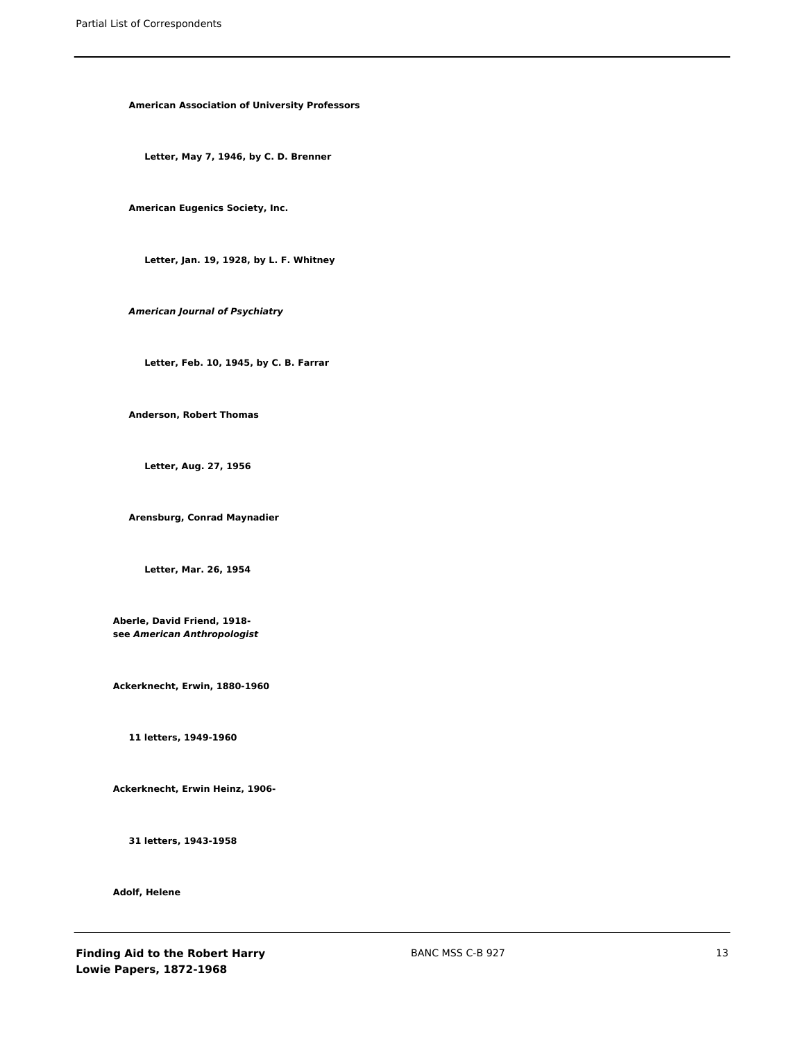**American Association of University Professors**

**Letter, May 7, 1946, by C. D. Brenner**

**American Eugenics Society, Inc.**

**Letter, Jan. 19, 1928, by L. F. Whitney**

*American Journal of Psychiatry*

**Letter, Feb. 10, 1945, by C. B. Farrar**

**Anderson, Robert Thomas**

**Letter, Aug. 27, 1956**

**Arensburg, Conrad Maynadier**

**Letter, Mar. 26, 1954**

**Aberle, David Friend, 1918 see** *American Anthropologist*

**Ackerknecht, Erwin, 1880-1960**

**11 letters, 1949-1960**

**Ackerknecht, Erwin Heinz, 1906-**

**31 letters, 1943-1958**

**Adolf, Helene**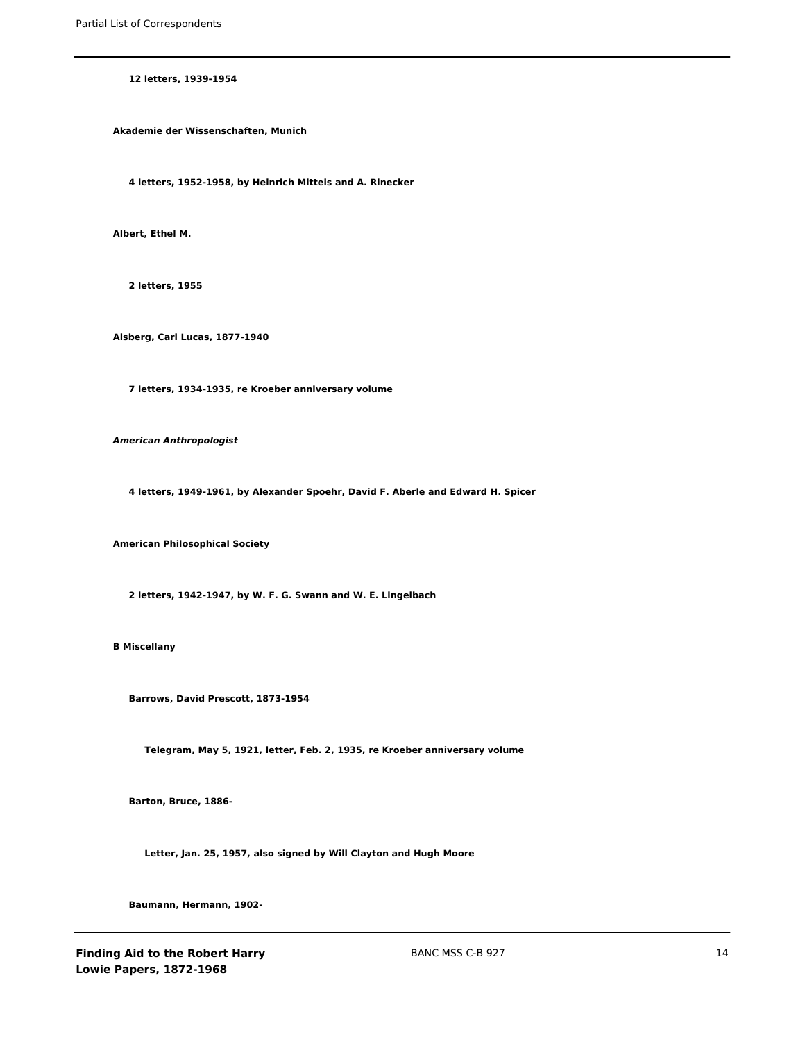**12 letters, 1939-1954**

**Akademie der Wissenschaften, Munich**

**4 letters, 1952-1958, by Heinrich Mitteis and A. Rinecker**

**Albert, Ethel M.**

**2 letters, 1955**

**Alsberg, Carl Lucas, 1877-1940**

**7 letters, 1934-1935, re Kroeber anniversary volume**

*American Anthropologist*

**4 letters, 1949-1961, by Alexander Spoehr, David F. Aberle and Edward H. Spicer**

**American Philosophical Society**

**2 letters, 1942-1947, by W. F. G. Swann and W. E. Lingelbach**

**B Miscellany**

**Barrows, David Prescott, 1873-1954**

**Telegram, May 5, 1921, letter, Feb. 2, 1935, re Kroeber anniversary volume**

**Barton, Bruce, 1886-**

**Letter, Jan. 25, 1957, also signed by Will Clayton and Hugh Moore**

**Baumann, Hermann, 1902-**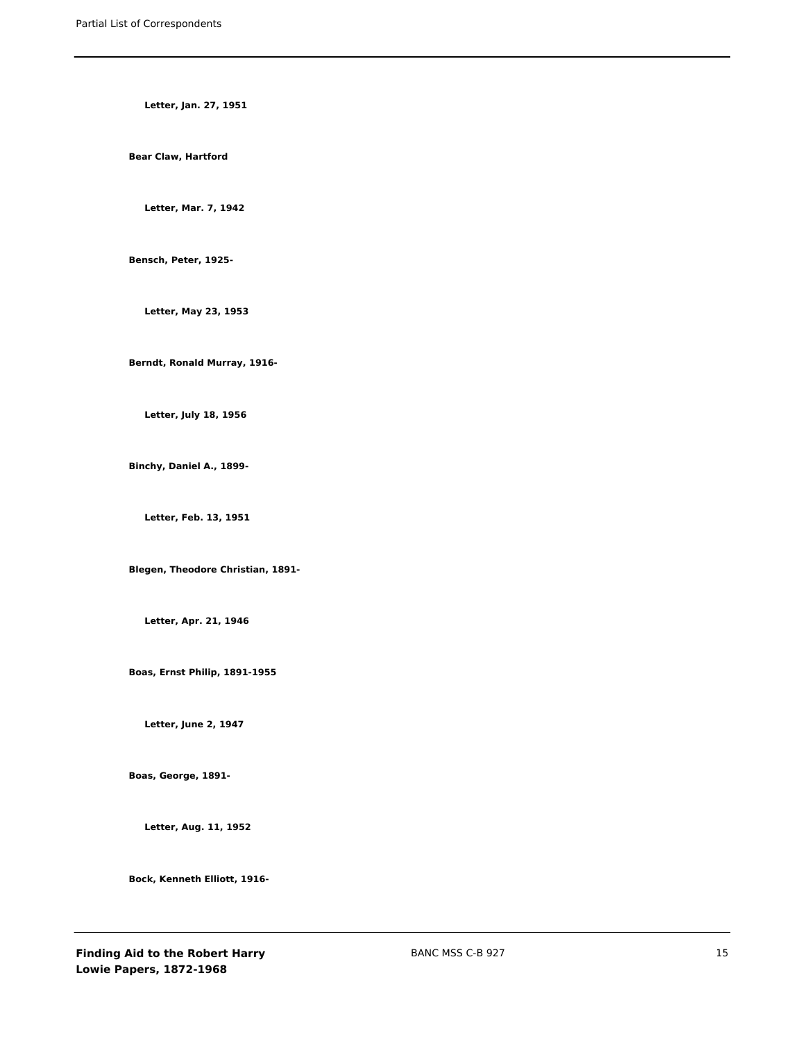**Letter, Jan. 27, 1951**

**Bear Claw, Hartford**

**Letter, Mar. 7, 1942**

**Bensch, Peter, 1925-**

**Letter, May 23, 1953**

**Berndt, Ronald Murray, 1916-**

**Letter, July 18, 1956**

**Binchy, Daniel A., 1899-**

**Letter, Feb. 13, 1951**

**Blegen, Theodore Christian, 1891-**

**Letter, Apr. 21, 1946**

**Boas, Ernst Philip, 1891-1955**

**Letter, June 2, 1947**

**Boas, George, 1891-**

**Letter, Aug. 11, 1952**

**Bock, Kenneth Elliott, 1916-**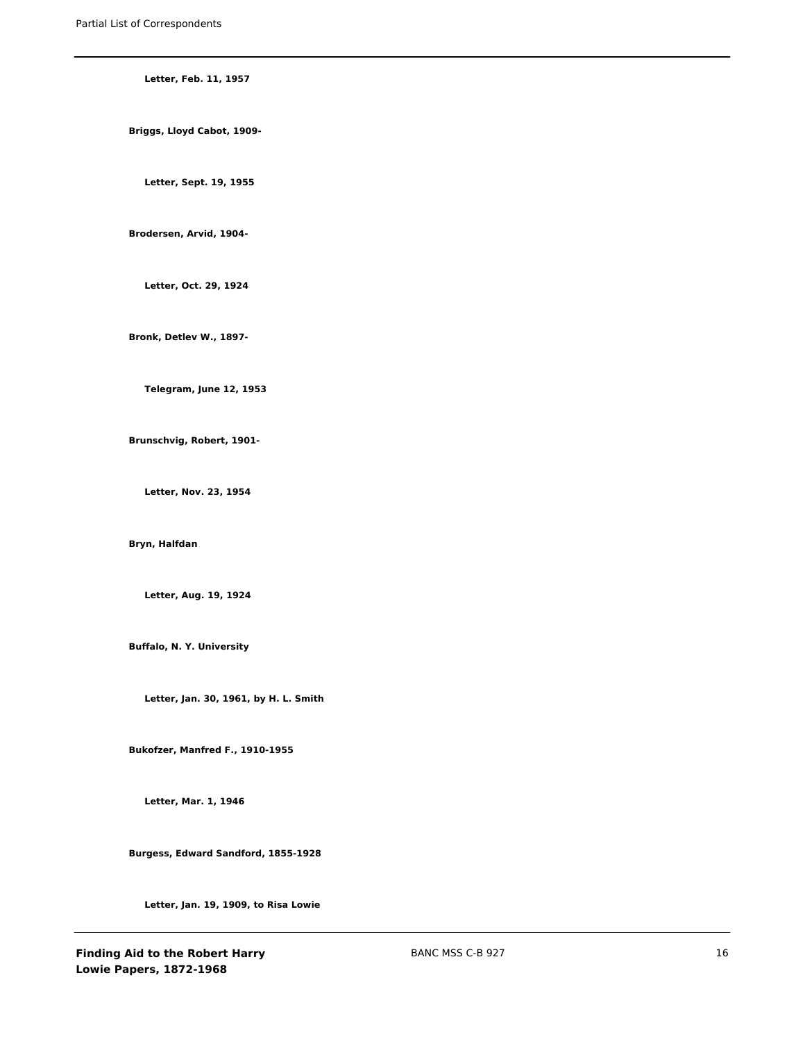**Letter, Feb. 11, 1957 Briggs, Lloyd Cabot, 1909-**

**Letter, Sept. 19, 1955**

**Brodersen, Arvid, 1904-**

**Letter, Oct. 29, 1924**

**Bronk, Detlev W., 1897-**

**Telegram, June 12, 1953**

**Brunschvig, Robert, 1901-**

**Letter, Nov. 23, 1954**

**Bryn, Halfdan**

**Letter, Aug. 19, 1924**

**Buffalo, N. Y. University**

**Letter, Jan. 30, 1961, by H. L. Smith**

**Bukofzer, Manfred F., 1910-1955**

**Letter, Mar. 1, 1946**

**Burgess, Edward Sandford, 1855-1928**

**Letter, Jan. 19, 1909, to Risa Lowie**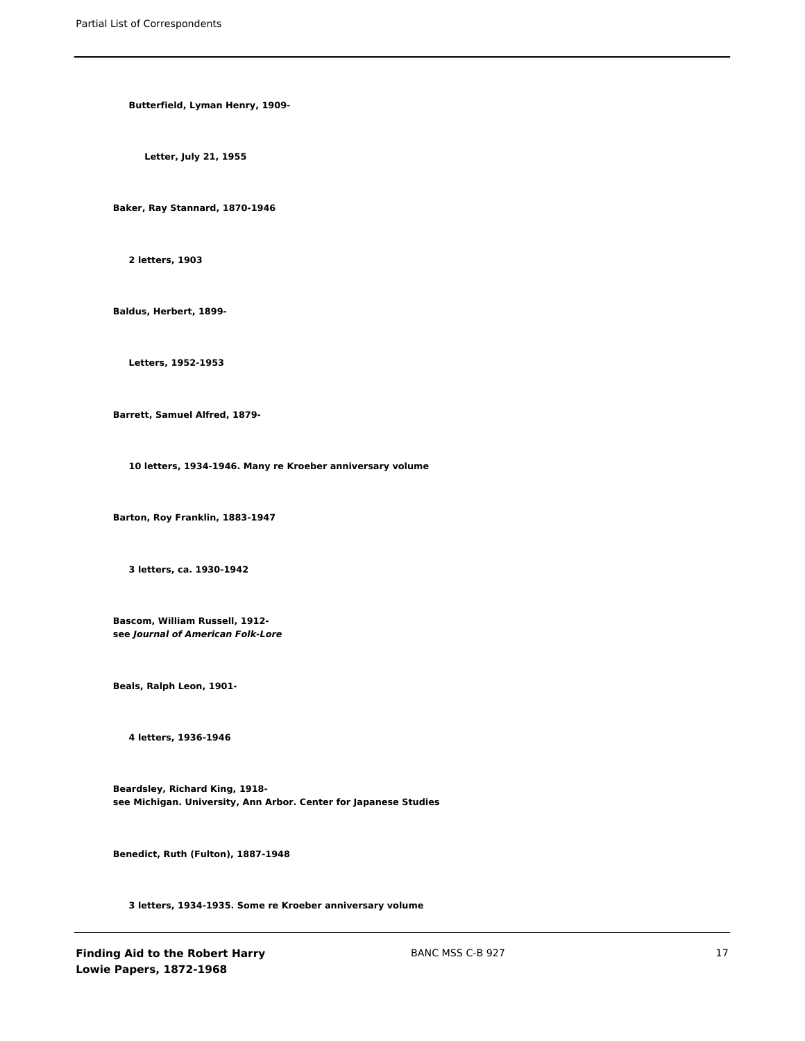**Butterfield, Lyman Henry, 1909-**

**Letter, July 21, 1955**

**Baker, Ray Stannard, 1870-1946**

**2 letters, 1903**

**Baldus, Herbert, 1899-**

**Letters, 1952-1953**

**Barrett, Samuel Alfred, 1879-**

**10 letters, 1934-1946. Many re Kroeber anniversary volume**

**Barton, Roy Franklin, 1883-1947**

**3 letters, ca. 1930-1942**

**Bascom, William Russell, 1912 see** *Journal of American Folk-Lore*

**Beals, Ralph Leon, 1901-**

**4 letters, 1936-1946**

**Beardsley, Richard King, 1918 see Michigan. University, Ann Arbor. Center for Japanese Studies**

**Benedict, Ruth (Fulton), 1887-1948**

**3 letters, 1934-1935. Some re Kroeber anniversary volume**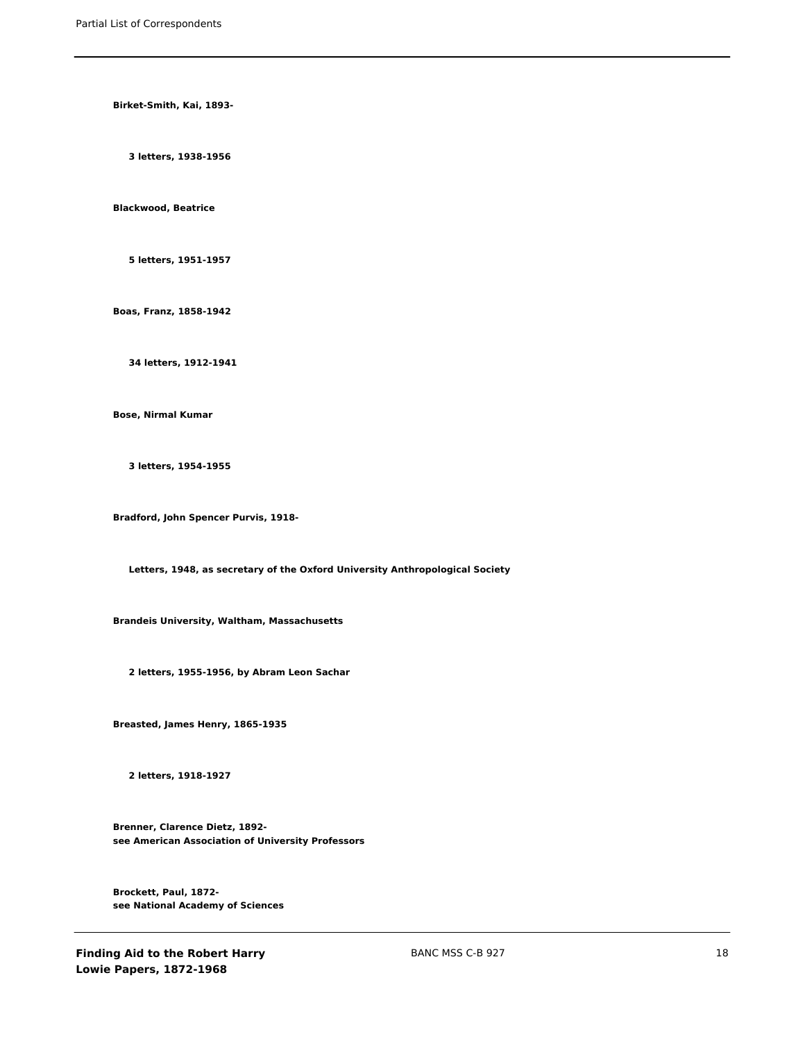**Birket-Smith, Kai, 1893-**

**3 letters, 1938-1956**

**Blackwood, Beatrice**

**5 letters, 1951-1957**

**Boas, Franz, 1858-1942**

**34 letters, 1912-1941**

**Bose, Nirmal Kumar**

**3 letters, 1954-1955**

**Bradford, John Spencer Purvis, 1918-**

**Letters, 1948, as secretary of the Oxford University Anthropological Society**

**Brandeis University, Waltham, Massachusetts**

**2 letters, 1955-1956, by Abram Leon Sachar**

**Breasted, James Henry, 1865-1935**

**2 letters, 1918-1927**

**Brenner, Clarence Dietz, 1892 see American Association of University Professors**

**Brockett, Paul, 1872 see National Academy of Sciences**

**Finding Aid to the Robert Harry Lowie Papers, 1872-1968**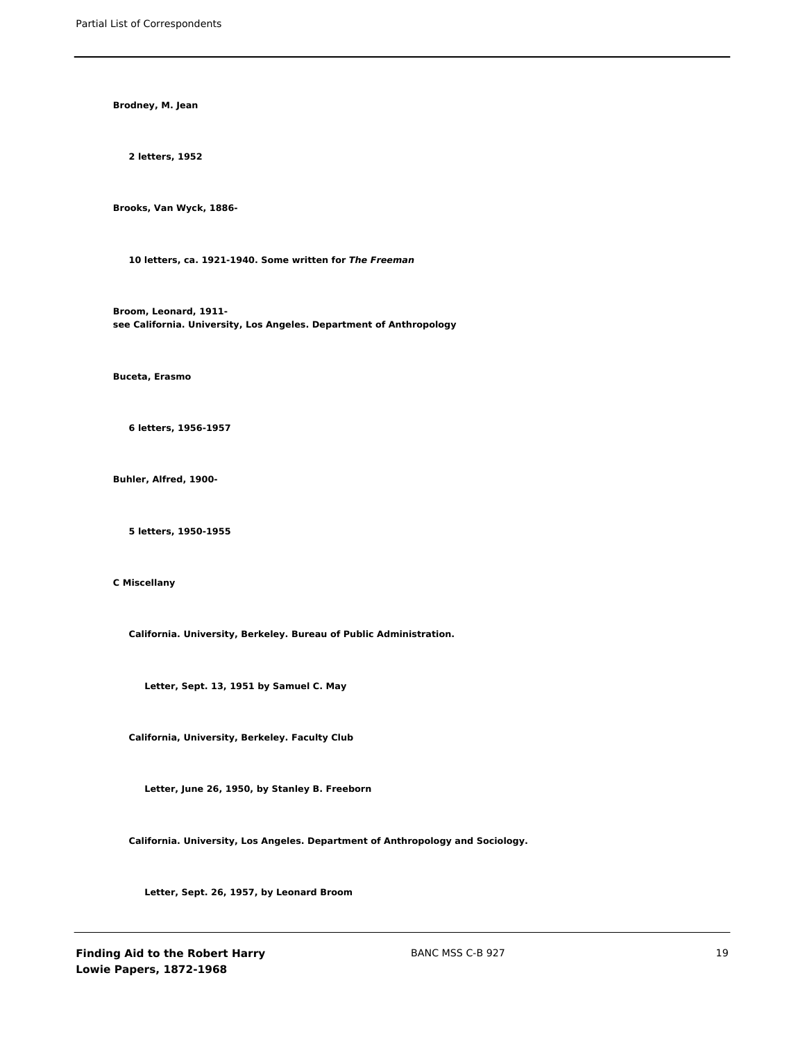**Brodney, M. Jean**

**2 letters, 1952**

**Brooks, Van Wyck, 1886-**

**10 letters, ca. 1921-1940. Some written for** *The Freeman*

**Broom, Leonard, 1911 see California. University, Los Angeles. Department of Anthropology**

**Buceta, Erasmo**

**6 letters, 1956-1957**

**Buhler, Alfred, 1900-**

**5 letters, 1950-1955**

**C Miscellany**

**California. University, Berkeley. Bureau of Public Administration.**

**Letter, Sept. 13, 1951 by Samuel C. May**

**California, University, Berkeley. Faculty Club**

**Letter, June 26, 1950, by Stanley B. Freeborn**

**California. University, Los Angeles. Department of Anthropology and Sociology.**

**Letter, Sept. 26, 1957, by Leonard Broom**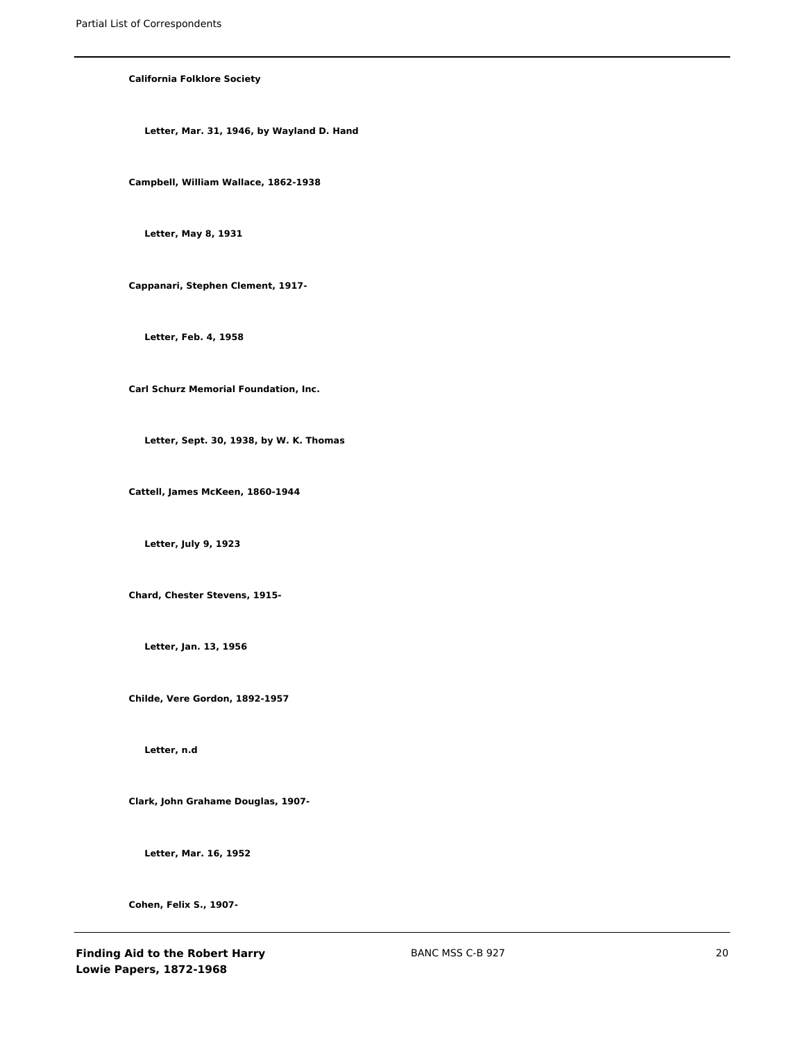**California Folklore Society**

**Letter, Mar. 31, 1946, by Wayland D. Hand**

**Campbell, William Wallace, 1862-1938**

**Letter, May 8, 1931**

**Cappanari, Stephen Clement, 1917-**

**Letter, Feb. 4, 1958**

**Carl Schurz Memorial Foundation, Inc.**

**Letter, Sept. 30, 1938, by W. K. Thomas**

**Cattell, James McKeen, 1860-1944**

**Letter, July 9, 1923**

**Chard, Chester Stevens, 1915-**

**Letter, Jan. 13, 1956**

**Childe, Vere Gordon, 1892-1957**

**Letter, n.d**

**Clark, John Grahame Douglas, 1907-**

**Letter, Mar. 16, 1952**

**Cohen, Felix S., 1907-**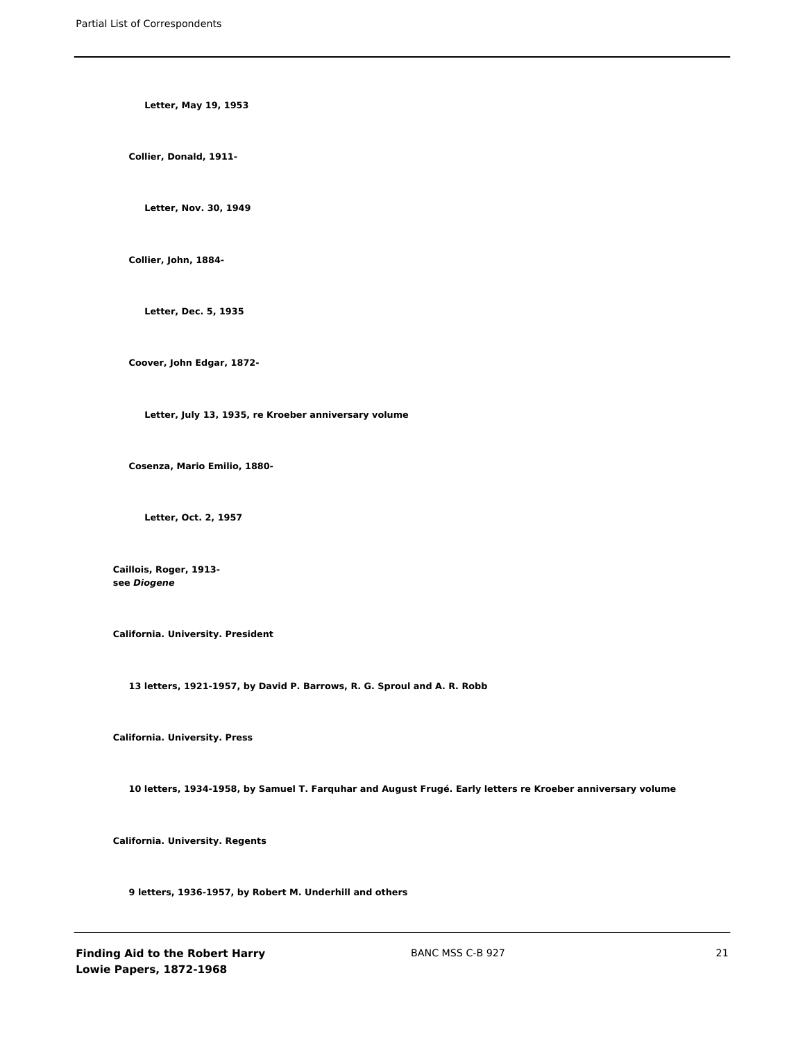**Letter, May 19, 1953**

**Collier, Donald, 1911-**

**Letter, Nov. 30, 1949**

**Collier, John, 1884-**

**Letter, Dec. 5, 1935**

**Coover, John Edgar, 1872-**

**Letter, July 13, 1935, re Kroeber anniversary volume**

**Cosenza, Mario Emilio, 1880-**

**Letter, Oct. 2, 1957**

**Caillois, Roger, 1913 see** *Diogene*

**California. University. President**

**13 letters, 1921-1957, by David P. Barrows, R. G. Sproul and A. R. Robb**

**California. University. Press**

**10 letters, 1934-1958, by Samuel T. Farquhar and August Frugé. Early letters re Kroeber anniversary volume**

**California. University. Regents**

**9 letters, 1936-1957, by Robert M. Underhill and others**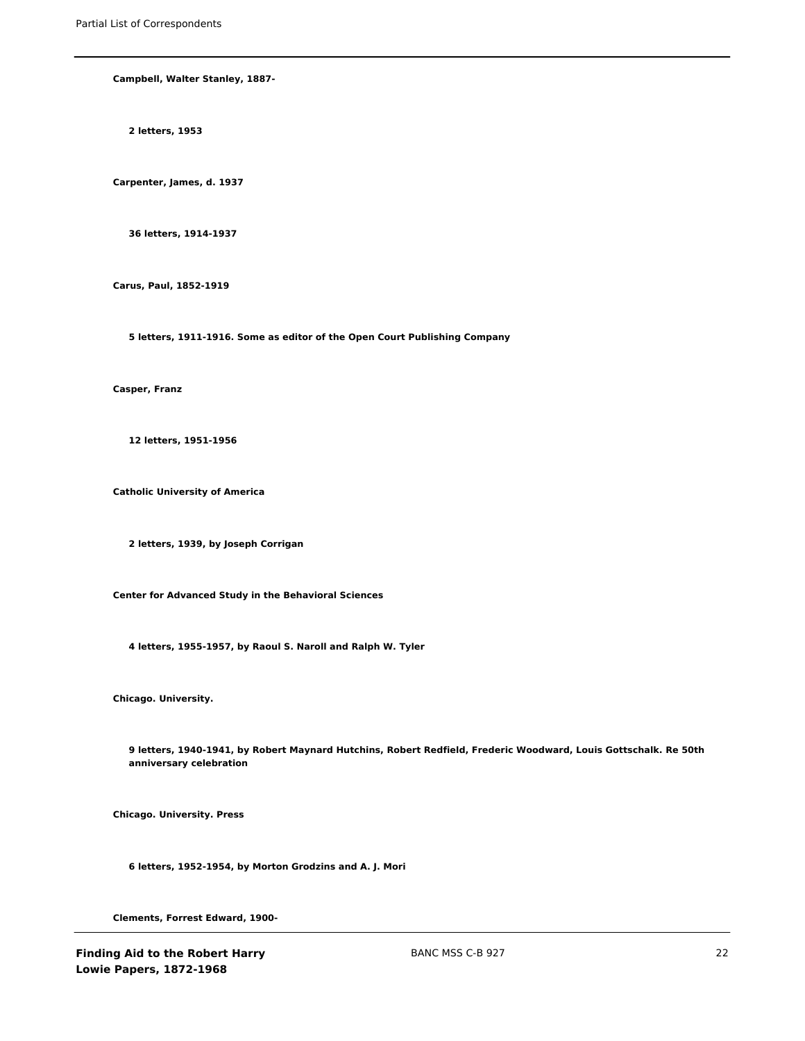**Campbell, Walter Stanley, 1887-**

**2 letters, 1953**

**Carpenter, James, d. 1937**

**36 letters, 1914-1937**

**Carus, Paul, 1852-1919**

**5 letters, 1911-1916. Some as editor of the Open Court Publishing Company**

**Casper, Franz**

**12 letters, 1951-1956**

**Catholic University of America**

**2 letters, 1939, by Joseph Corrigan**

**Center for Advanced Study in the Behavioral Sciences**

**4 letters, 1955-1957, by Raoul S. Naroll and Ralph W. Tyler**

**Chicago. University.**

**9 letters, 1940-1941, by Robert Maynard Hutchins, Robert Redfield, Frederic Woodward, Louis Gottschalk. Re 50th anniversary celebration**

**Chicago. University. Press**

**6 letters, 1952-1954, by Morton Grodzins and A. J. Mori**

**Clements, Forrest Edward, 1900-**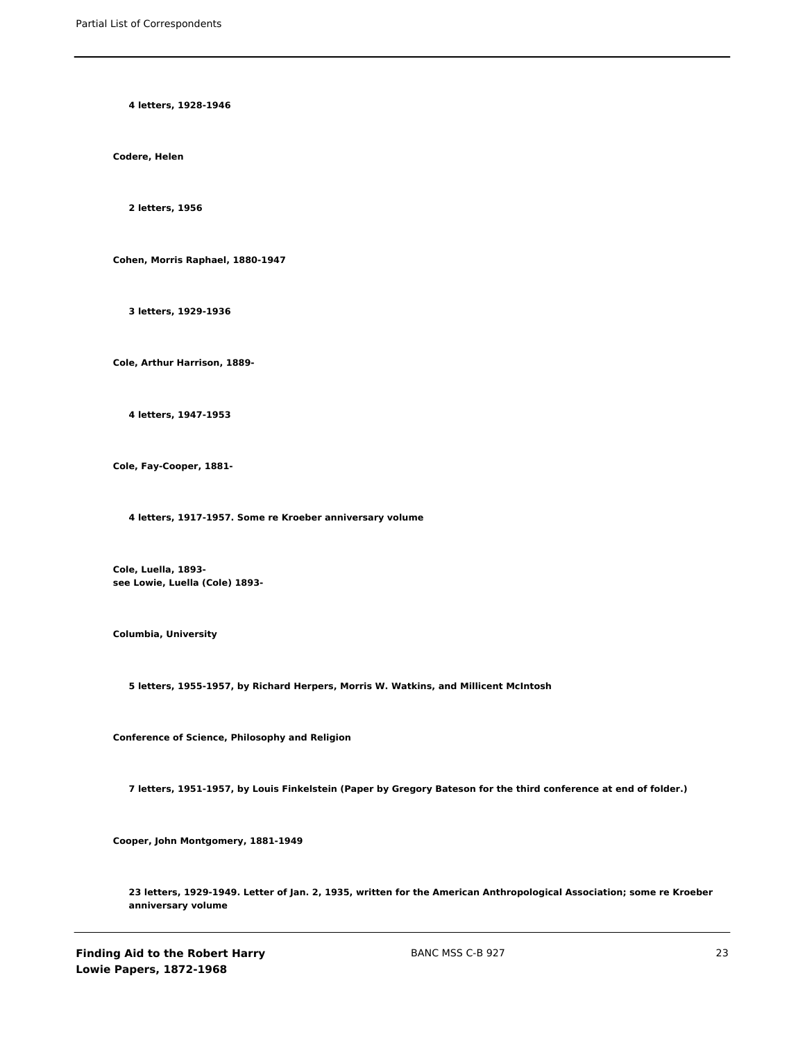**4 letters, 1928-1946**

**Codere, Helen**

**2 letters, 1956**

**Cohen, Morris Raphael, 1880-1947**

**3 letters, 1929-1936**

**Cole, Arthur Harrison, 1889-**

**4 letters, 1947-1953**

**Cole, Fay-Cooper, 1881-**

**4 letters, 1917-1957. Some re Kroeber anniversary volume**

**Cole, Luella, 1893 see Lowie, Luella (Cole) 1893-**

**Columbia, University**

**5 letters, 1955-1957, by Richard Herpers, Morris W. Watkins, and Millicent McIntosh**

**Conference of Science, Philosophy and Religion**

**7 letters, 1951-1957, by Louis Finkelstein (Paper by Gregory Bateson for the third conference at end of folder.)**

**Cooper, John Montgomery, 1881-1949**

**23 letters, 1929-1949. Letter of Jan. 2, 1935, written for the American Anthropological Association; some re Kroeber anniversary volume**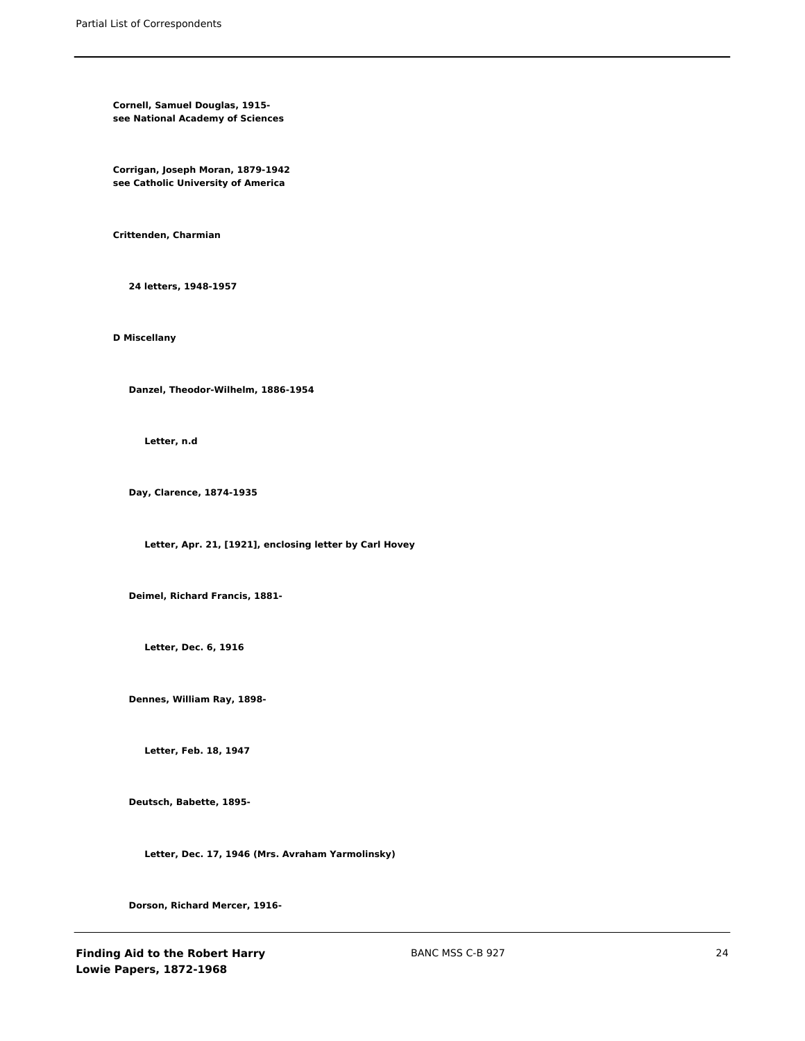**Cornell, Samuel Douglas, 1915 see National Academy of Sciences**

**Corrigan, Joseph Moran, 1879-1942 see Catholic University of America**

**Crittenden, Charmian**

**24 letters, 1948-1957**

**D Miscellany**

**Danzel, Theodor-Wilhelm, 1886-1954**

**Letter, n.d**

**Day, Clarence, 1874-1935**

**Letter, Apr. 21, [1921], enclosing letter by Carl Hovey**

**Deimel, Richard Francis, 1881-**

**Letter, Dec. 6, 1916**

**Dennes, William Ray, 1898-**

**Letter, Feb. 18, 1947**

**Deutsch, Babette, 1895-**

**Letter, Dec. 17, 1946 (Mrs. Avraham Yarmolinsky)**

**Dorson, Richard Mercer, 1916-**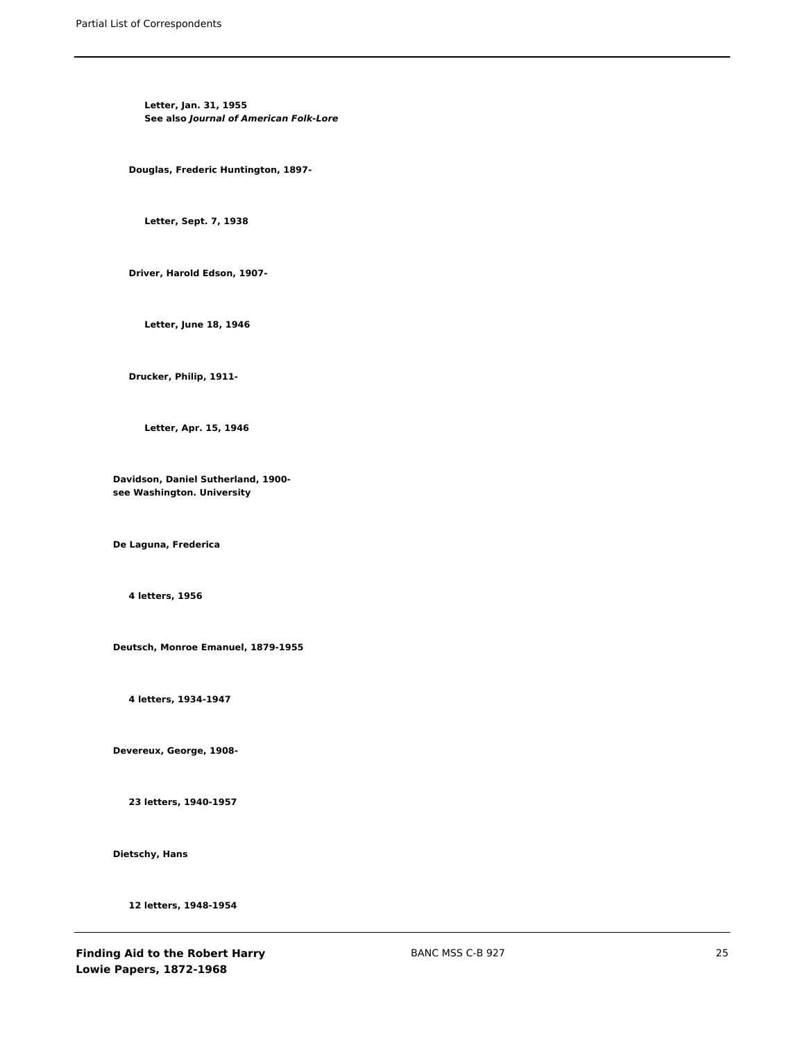**Letter, Jan. 31, 1955 See also** *Journal of American Folk-Lore*

**Douglas, Frederic Huntington, 1897-**

**Letter, Sept. 7, 1938**

**Driver, Harold Edson, 1907-**

**Letter, June 18, 1946**

**Drucker, Philip, 1911-**

**Letter, Apr. 15, 1946**

**Davidson, Daniel Sutherland, 1900 see Washington. University**

**De Laguna, Frederica**

**4 letters, 1956**

**Deutsch, Monroe Emanuel, 1879-1955**

**4 letters, 1934-1947**

**Devereux, George, 1908-**

**23 letters, 1940-1957**

**Dietschy, Hans**

**12 letters, 1948-1954**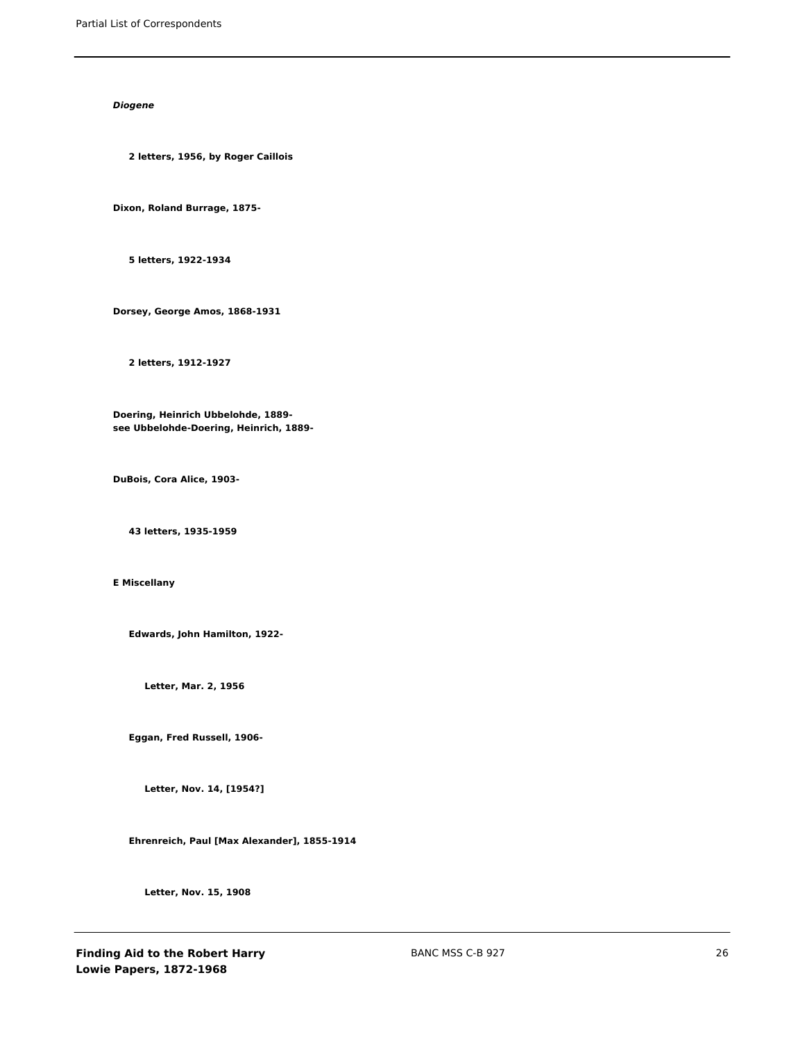# *Diogene*

**2 letters, 1956, by Roger Caillois**

**Dixon, Roland Burrage, 1875-**

**5 letters, 1922-1934**

**Dorsey, George Amos, 1868-1931**

**2 letters, 1912-1927**

**Doering, Heinrich Ubbelohde, 1889 see Ubbelohde-Doering, Heinrich, 1889-**

**DuBois, Cora Alice, 1903-**

**43 letters, 1935-1959**

**E Miscellany**

**Edwards, John Hamilton, 1922-**

**Letter, Mar. 2, 1956**

**Eggan, Fred Russell, 1906-**

**Letter, Nov. 14, [1954?]**

**Ehrenreich, Paul [Max Alexander], 1855-1914**

**Letter, Nov. 15, 1908**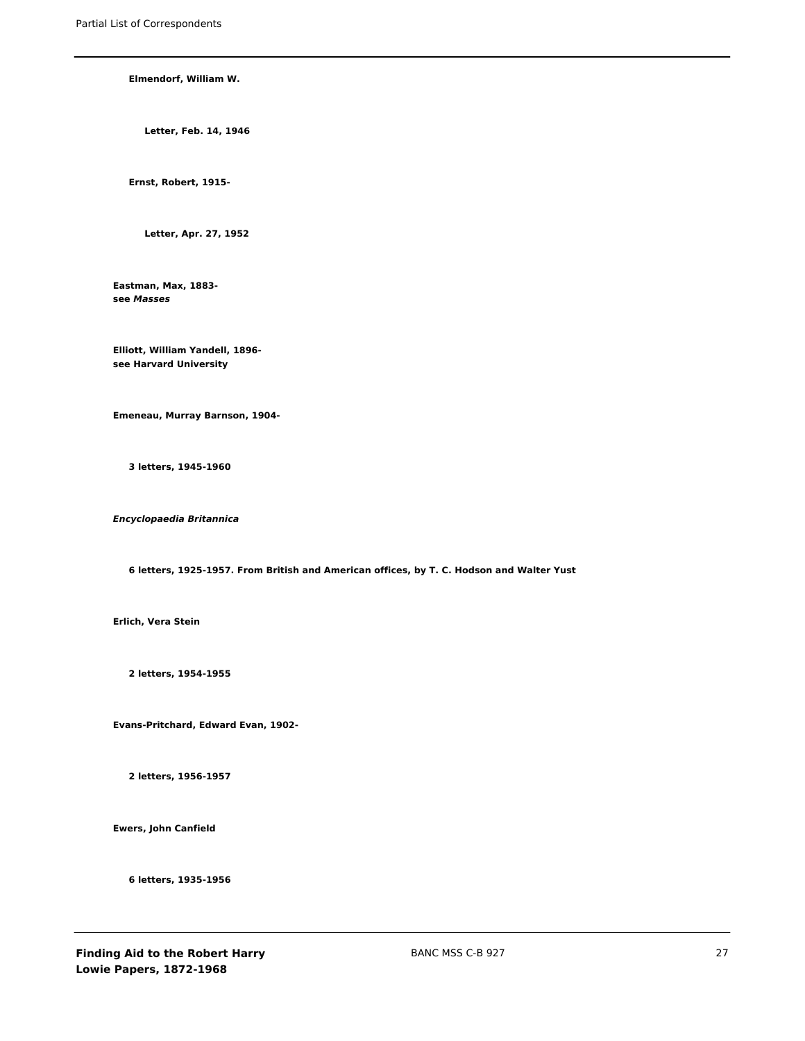### **Elmendorf, William W.**

**Letter, Feb. 14, 1946**

**Ernst, Robert, 1915-**

**Letter, Apr. 27, 1952**

**Eastman, Max, 1883 see** *Masses*

**Elliott, William Yandell, 1896 see Harvard University**

**Emeneau, Murray Barnson, 1904-**

**3 letters, 1945-1960**

*Encyclopaedia Britannica*

**6 letters, 1925-1957. From British and American offices, by T. C. Hodson and Walter Yust**

**Erlich, Vera Stein**

**2 letters, 1954-1955**

**Evans-Pritchard, Edward Evan, 1902-**

**2 letters, 1956-1957**

**Ewers, John Canfield**

**6 letters, 1935-1956**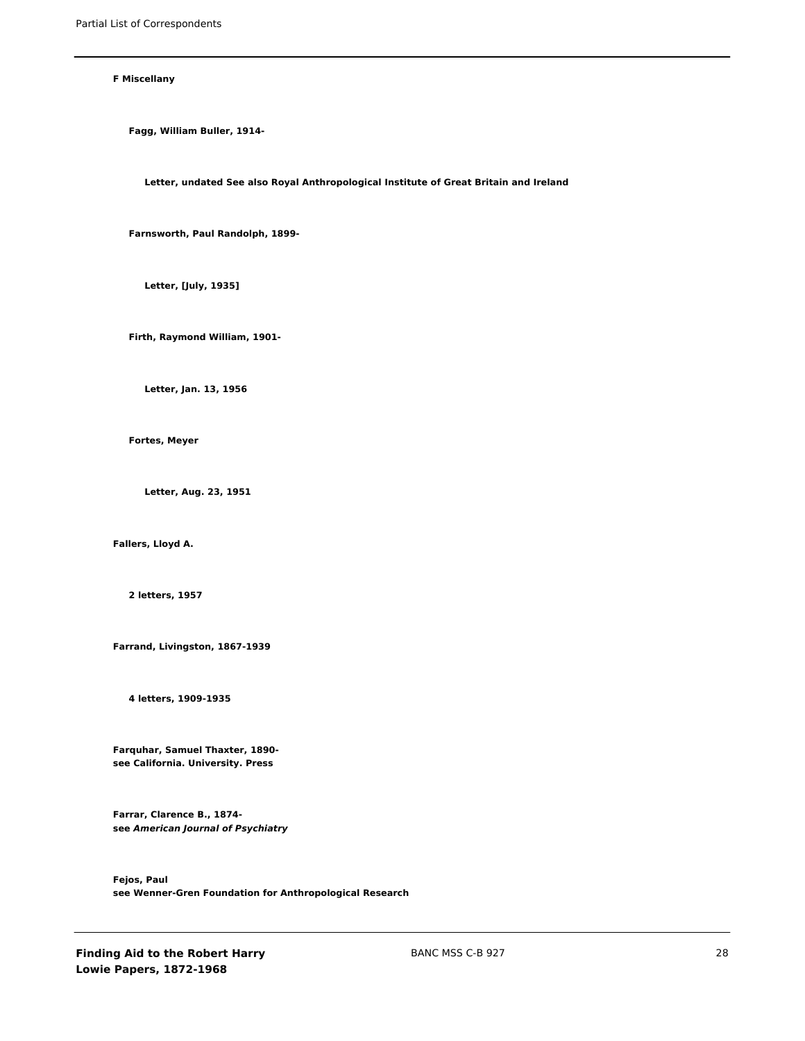#### **F Miscellany**

**Fagg, William Buller, 1914-**

**Letter, undated See also Royal Anthropological Institute of Great Britain and Ireland**

**Farnsworth, Paul Randolph, 1899-**

**Letter, [July, 1935]**

**Firth, Raymond William, 1901-**

**Letter, Jan. 13, 1956**

**Fortes, Meyer**

**Letter, Aug. 23, 1951**

**Fallers, Lloyd A.**

**2 letters, 1957**

**Farrand, Livingston, 1867-1939**

**4 letters, 1909-1935**

**Farquhar, Samuel Thaxter, 1890 see California. University. Press**

**Farrar, Clarence B., 1874 see** *American Journal of Psychiatry*

**Fejos, Paul see Wenner-Gren Foundation for Anthropological Research**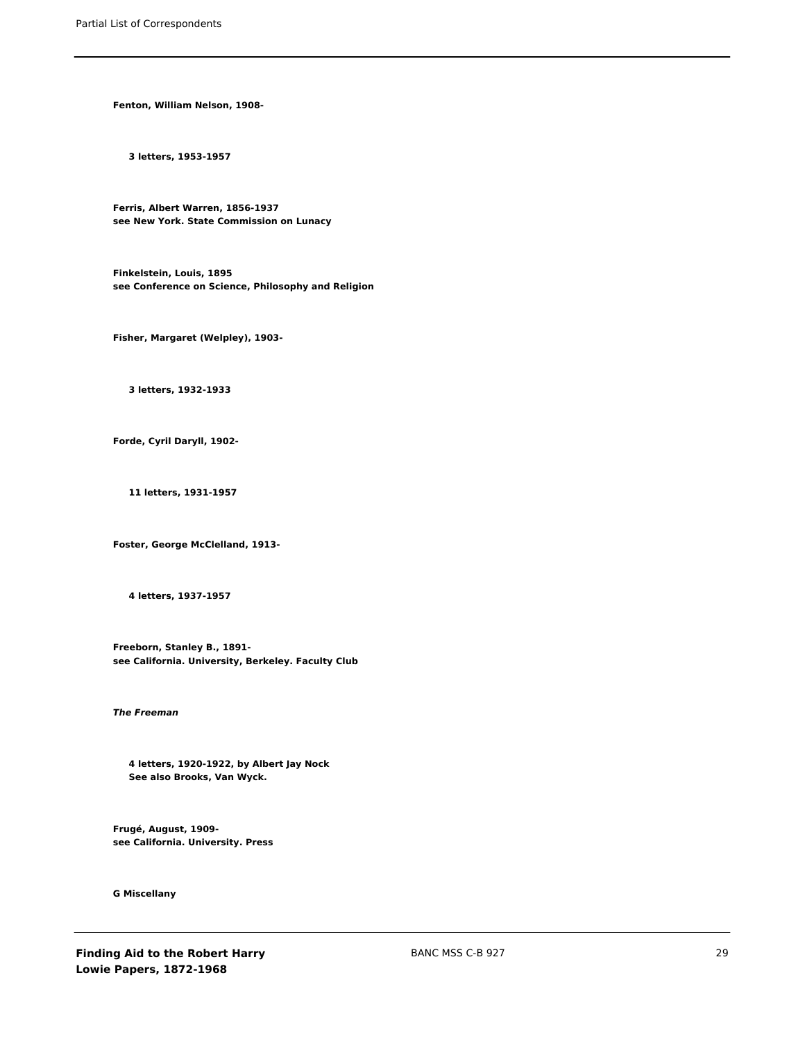**Fenton, William Nelson, 1908-**

**3 letters, 1953-1957**

**Ferris, Albert Warren, 1856-1937 see New York. State Commission on Lunacy**

**Finkelstein, Louis, 1895 see Conference on Science, Philosophy and Religion**

**Fisher, Margaret (Welpley), 1903-**

**3 letters, 1932-1933**

**Forde, Cyril Daryll, 1902-**

**11 letters, 1931-1957**

**Foster, George McClelland, 1913-**

**4 letters, 1937-1957**

**Freeborn, Stanley B., 1891 see California. University, Berkeley. Faculty Club**

*The Freeman*

**4 letters, 1920-1922, by Albert Jay Nock See also Brooks, Van Wyck.**

**Frugé, August, 1909 see California. University. Press**

**G Miscellany**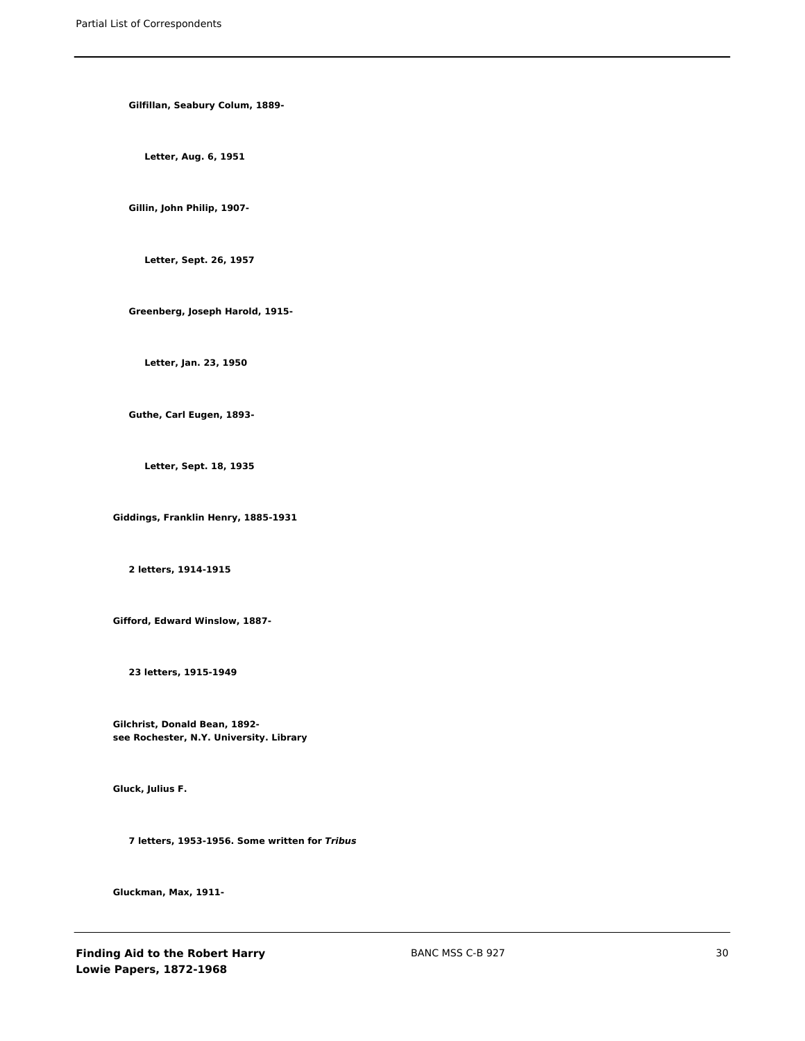**Gilfillan, Seabury Colum, 1889-**

**Letter, Aug. 6, 1951**

**Gillin, John Philip, 1907-**

**Letter, Sept. 26, 1957**

**Greenberg, Joseph Harold, 1915-**

**Letter, Jan. 23, 1950**

**Guthe, Carl Eugen, 1893-**

**Letter, Sept. 18, 1935**

**Giddings, Franklin Henry, 1885-1931**

**2 letters, 1914-1915**

**Gifford, Edward Winslow, 1887-**

**23 letters, 1915-1949**

**Gilchrist, Donald Bean, 1892 see Rochester, N.Y. University. Library**

**Gluck, Julius F.**

**7 letters, 1953-1956. Some written for** *Tribus*

**Gluckman, Max, 1911-**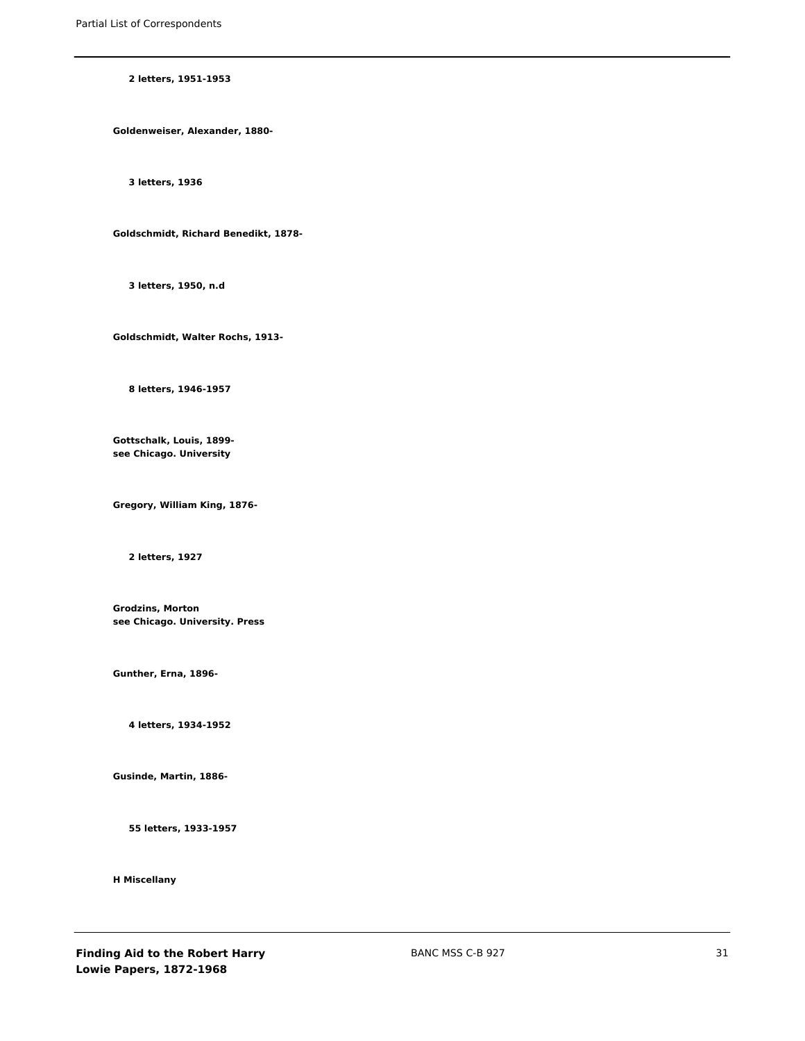### **2 letters, 1951-1953**

**Goldenweiser, Alexander, 1880-**

**3 letters, 1936**

**Goldschmidt, Richard Benedikt, 1878-**

**3 letters, 1950, n.d**

**Goldschmidt, Walter Rochs, 1913-**

**8 letters, 1946-1957**

**Gottschalk, Louis, 1899 see Chicago. University**

**Gregory, William King, 1876-**

**2 letters, 1927**

**Grodzins, Morton see Chicago. University. Press**

**Gunther, Erna, 1896-**

**4 letters, 1934-1952**

**Gusinde, Martin, 1886-**

**55 letters, 1933-1957**

**H Miscellany**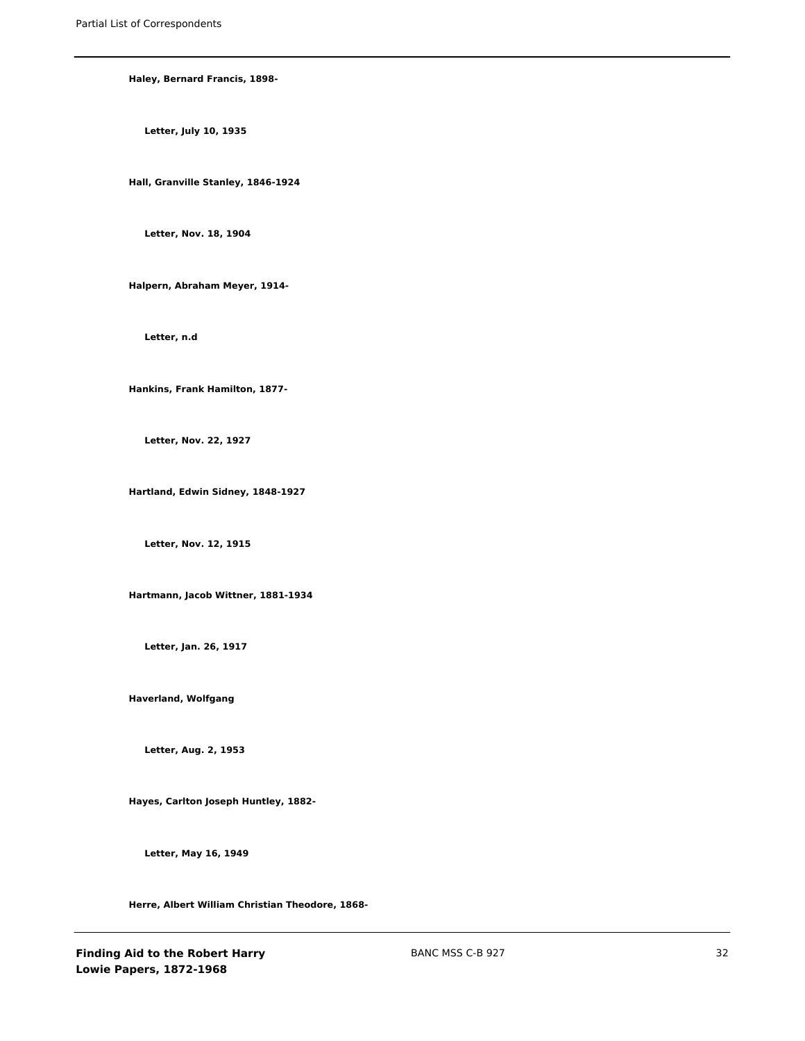### **Haley, Bernard Francis, 1898-**

**Letter, July 10, 1935**

**Hall, Granville Stanley, 1846-1924**

**Letter, Nov. 18, 1904**

**Halpern, Abraham Meyer, 1914-**

**Letter, n.d**

**Hankins, Frank Hamilton, 1877-**

**Letter, Nov. 22, 1927**

**Hartland, Edwin Sidney, 1848-1927**

**Letter, Nov. 12, 1915**

**Hartmann, Jacob Wittner, 1881-1934**

**Letter, Jan. 26, 1917**

**Haverland, Wolfgang**

**Letter, Aug. 2, 1953**

**Hayes, Carlton Joseph Huntley, 1882-**

**Letter, May 16, 1949**

**Herre, Albert William Christian Theodore, 1868-**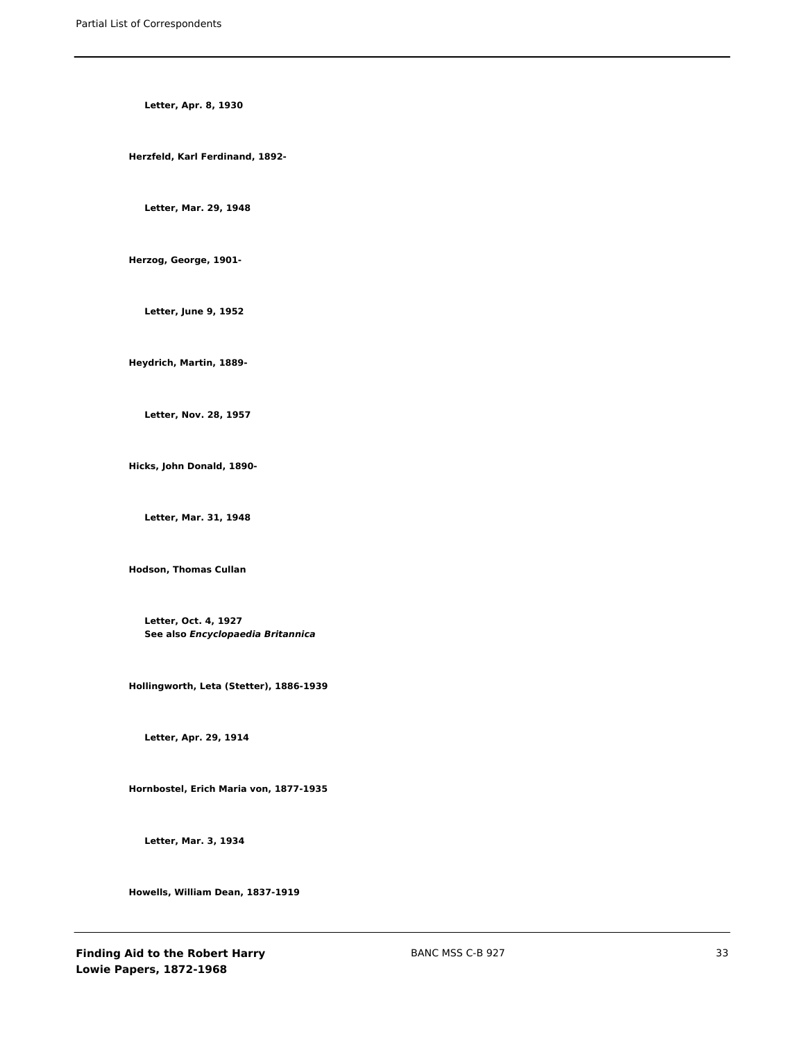**Letter, Apr. 8, 1930**

**Herzfeld, Karl Ferdinand, 1892-**

**Letter, Mar. 29, 1948**

**Herzog, George, 1901-**

**Letter, June 9, 1952**

**Heydrich, Martin, 1889-**

**Letter, Nov. 28, 1957**

**Hicks, John Donald, 1890-**

**Letter, Mar. 31, 1948**

**Hodson, Thomas Cullan**

**Letter, Oct. 4, 1927 See also** *Encyclopaedia Britannica*

**Hollingworth, Leta (Stetter), 1886-1939**

**Letter, Apr. 29, 1914**

**Hornbostel, Erich Maria von, 1877-1935**

**Letter, Mar. 3, 1934**

**Howells, William Dean, 1837-1919**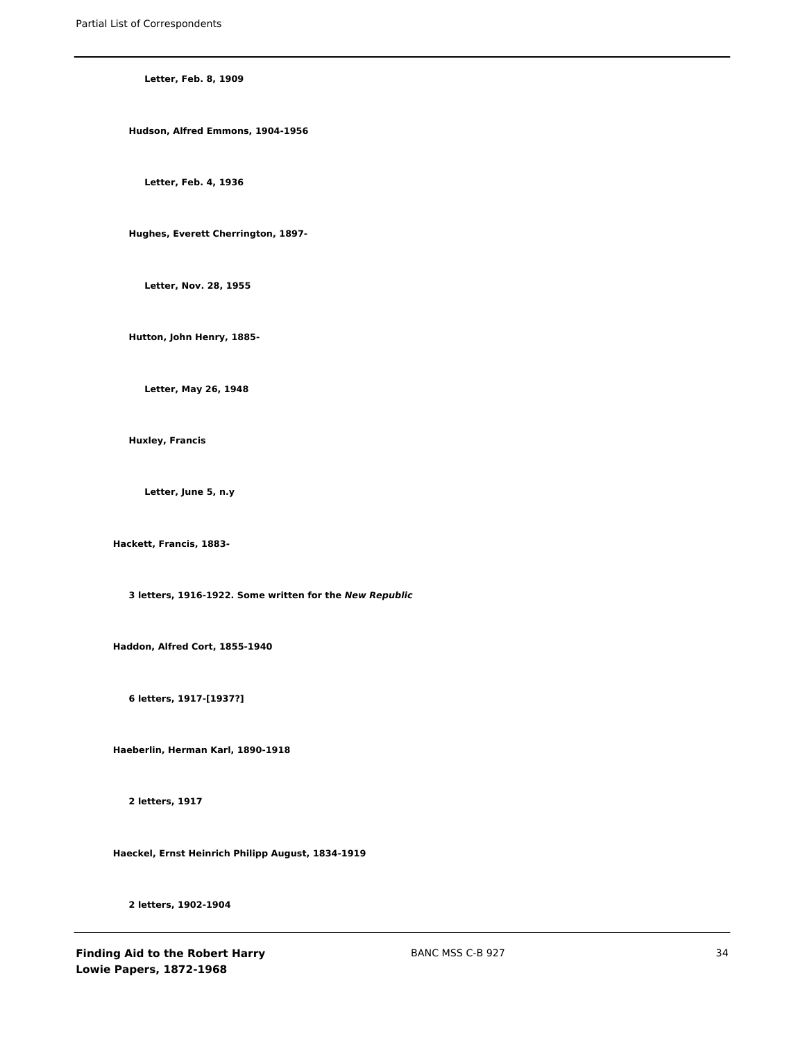**Letter, Feb. 8, 1909**

**Hudson, Alfred Emmons, 1904-1956**

**Letter, Feb. 4, 1936**

**Hughes, Everett Cherrington, 1897-**

**Letter, Nov. 28, 1955**

**Hutton, John Henry, 1885-**

**Letter, May 26, 1948**

**Huxley, Francis**

**Letter, June 5, n.y**

**Hackett, Francis, 1883-**

**3 letters, 1916-1922. Some written for the** *New Republic*

**Haddon, Alfred Cort, 1855-1940**

**6 letters, 1917-[1937?]**

**Haeberlin, Herman Karl, 1890-1918**

**2 letters, 1917**

**Haeckel, Ernst Heinrich Philipp August, 1834-1919**

**2 letters, 1902-1904**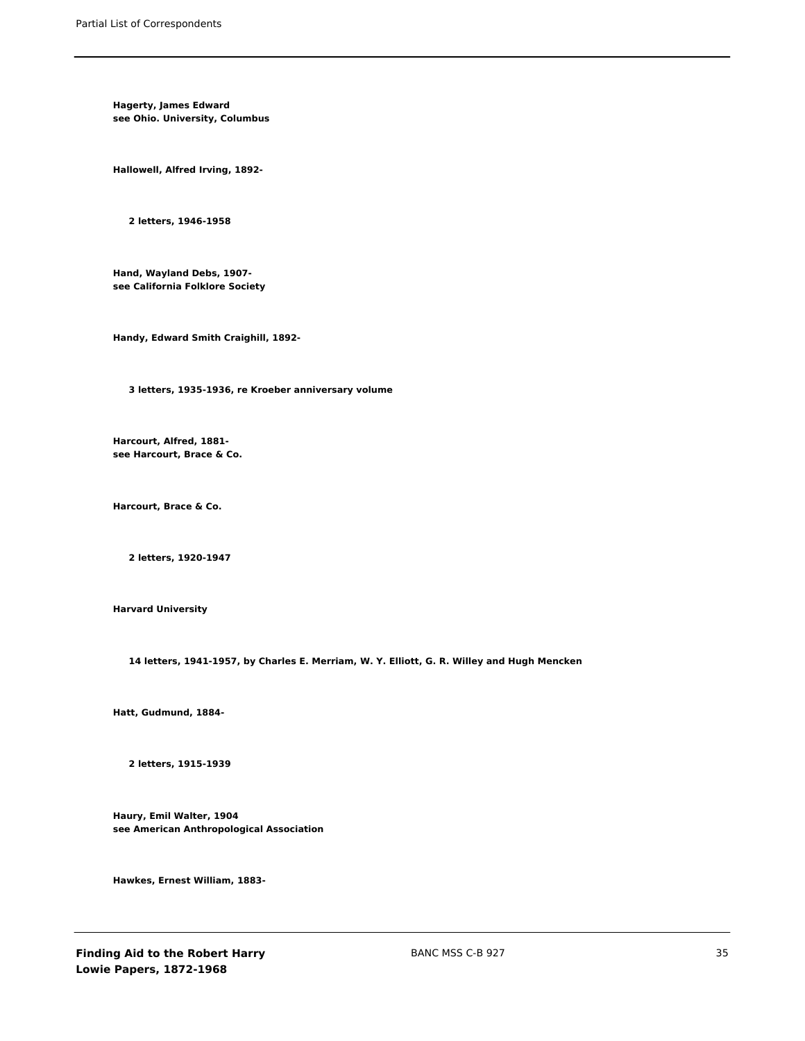**Hagerty, James Edward see Ohio. University, Columbus**

**Hallowell, Alfred Irving, 1892-**

**2 letters, 1946-1958**

**Hand, Wayland Debs, 1907 see California Folklore Society**

**Handy, Edward Smith Craighill, 1892-**

**3 letters, 1935-1936, re Kroeber anniversary volume**

**Harcourt, Alfred, 1881 see Harcourt, Brace & Co.**

**Harcourt, Brace & Co.**

**2 letters, 1920-1947**

**Harvard University**

**14 letters, 1941-1957, by Charles E. Merriam, W. Y. Elliott, G. R. Willey and Hugh Mencken**

**Hatt, Gudmund, 1884-**

**2 letters, 1915-1939**

**Haury, Emil Walter, 1904 see American Anthropological Association**

**Hawkes, Ernest William, 1883-**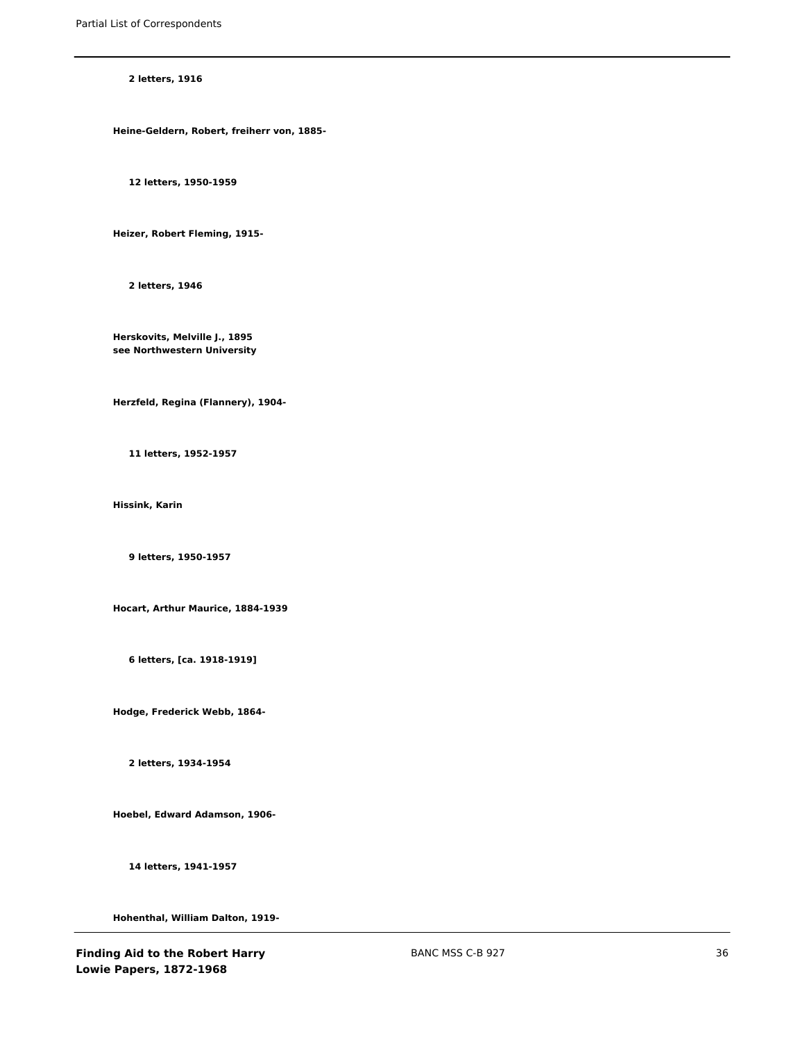**2 letters, 1916**

**Heine-Geldern, Robert, freiherr von, 1885-**

**12 letters, 1950-1959**

**Heizer, Robert Fleming, 1915-**

**2 letters, 1946**

**Herskovits, Melville J., 1895 see Northwestern University**

**Herzfeld, Regina (Flannery), 1904-**

**11 letters, 1952-1957**

**Hissink, Karin**

**9 letters, 1950-1957**

**Hocart, Arthur Maurice, 1884-1939**

**6 letters, [ca. 1918-1919]**

**Hodge, Frederick Webb, 1864-**

**2 letters, 1934-1954**

**Hoebel, Edward Adamson, 1906-**

**14 letters, 1941-1957**

**Hohenthal, William Dalton, 1919-**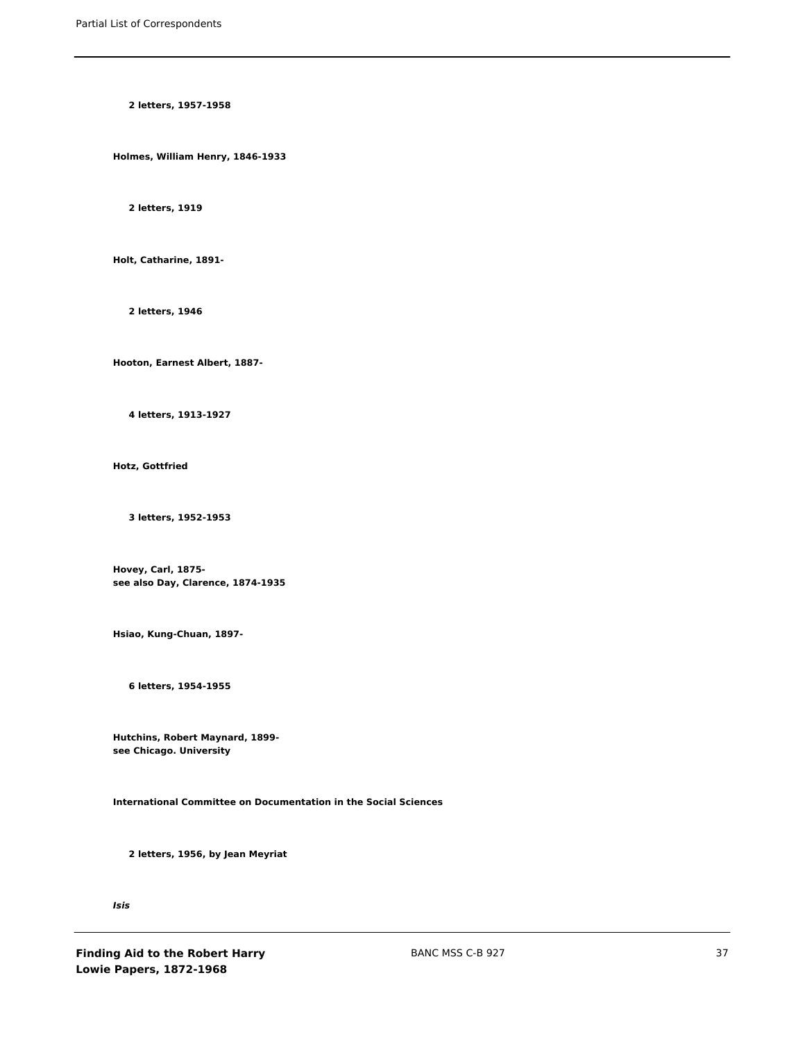**2 letters, 1957-1958**

**Holmes, William Henry, 1846-1933**

**2 letters, 1919**

**Holt, Catharine, 1891-**

**2 letters, 1946**

**Hooton, Earnest Albert, 1887-**

**4 letters, 1913-1927**

**Hotz, Gottfried**

**3 letters, 1952-1953**

**Hovey, Carl, 1875 see also Day, Clarence, 1874-1935**

**Hsiao, Kung-Chuan, 1897-**

**6 letters, 1954-1955**

**Hutchins, Robert Maynard, 1899 see Chicago. University**

**International Committee on Documentation in the Social Sciences**

**2 letters, 1956, by Jean Meyriat**

*Isis*

**Finding Aid to the Robert Harry Lowie Papers, 1872-1968**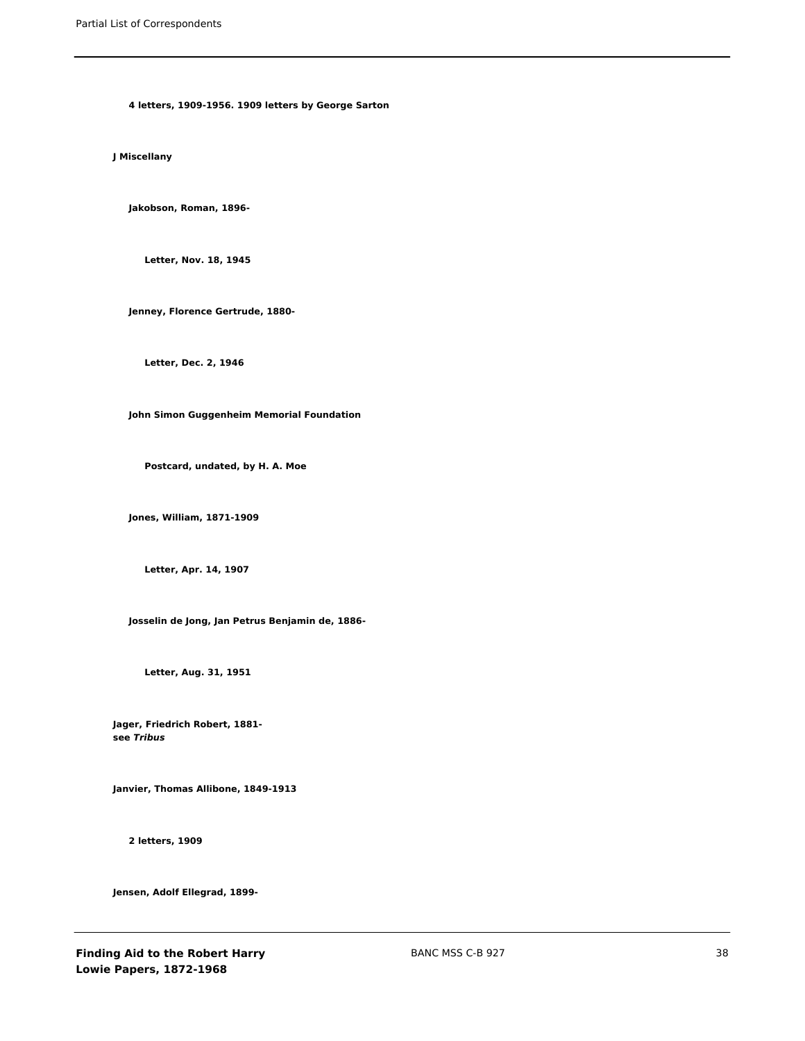**4 letters, 1909-1956. 1909 letters by George Sarton**

**J Miscellany**

**Jakobson, Roman, 1896-**

**Letter, Nov. 18, 1945**

**Jenney, Florence Gertrude, 1880-**

**Letter, Dec. 2, 1946**

**John Simon Guggenheim Memorial Foundation**

**Postcard, undated, by H. A. Moe**

**Jones, William, 1871-1909**

**Letter, Apr. 14, 1907**

**Josselin de Jong, Jan Petrus Benjamin de, 1886-**

**Letter, Aug. 31, 1951**

**Jager, Friedrich Robert, 1881 see** *Tribus*

**Janvier, Thomas Allibone, 1849-1913**

**2 letters, 1909**

**Jensen, Adolf Ellegrad, 1899-**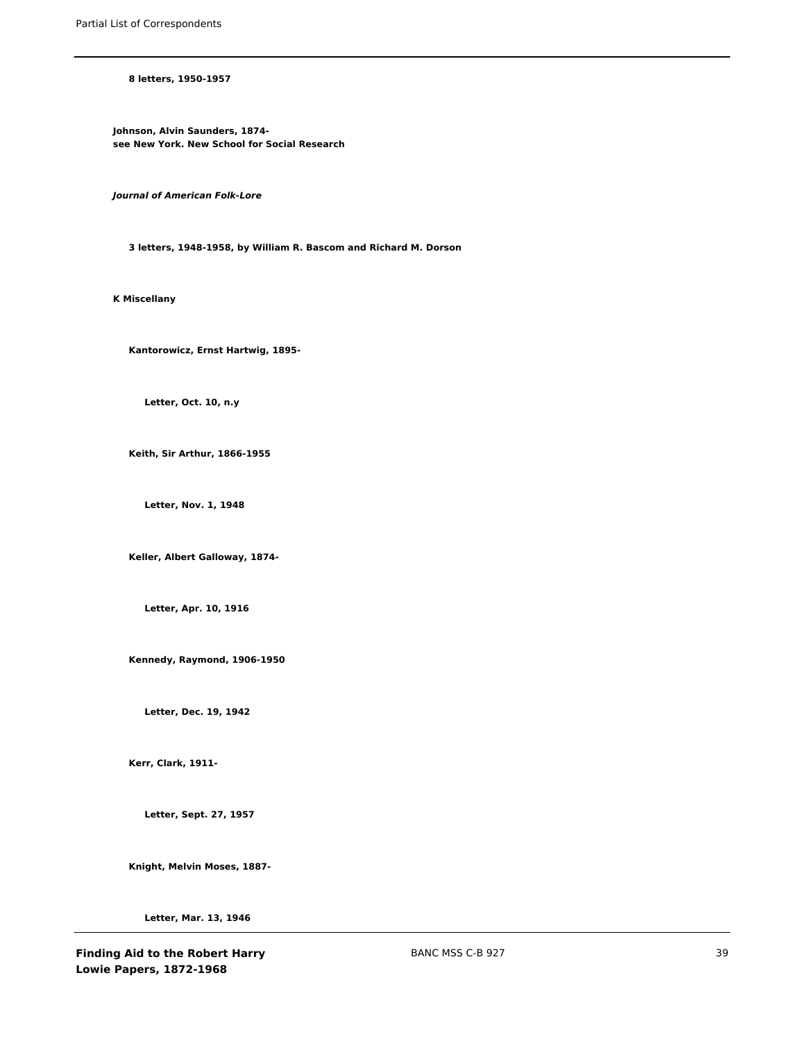### **8 letters, 1950-1957**

**Johnson, Alvin Saunders, 1874 see New York. New School for Social Research**

*Journal of American Folk-Lore*

**3 letters, 1948-1958, by William R. Bascom and Richard M. Dorson**

**K Miscellany**

**Kantorowicz, Ernst Hartwig, 1895-**

**Letter, Oct. 10, n.y**

**Keith, Sir Arthur, 1866-1955**

**Letter, Nov. 1, 1948**

**Keller, Albert Galloway, 1874-**

**Letter, Apr. 10, 1916**

**Kennedy, Raymond, 1906-1950**

**Letter, Dec. 19, 1942**

**Kerr, Clark, 1911-**

**Letter, Sept. 27, 1957**

**Knight, Melvin Moses, 1887-**

**Letter, Mar. 13, 1946**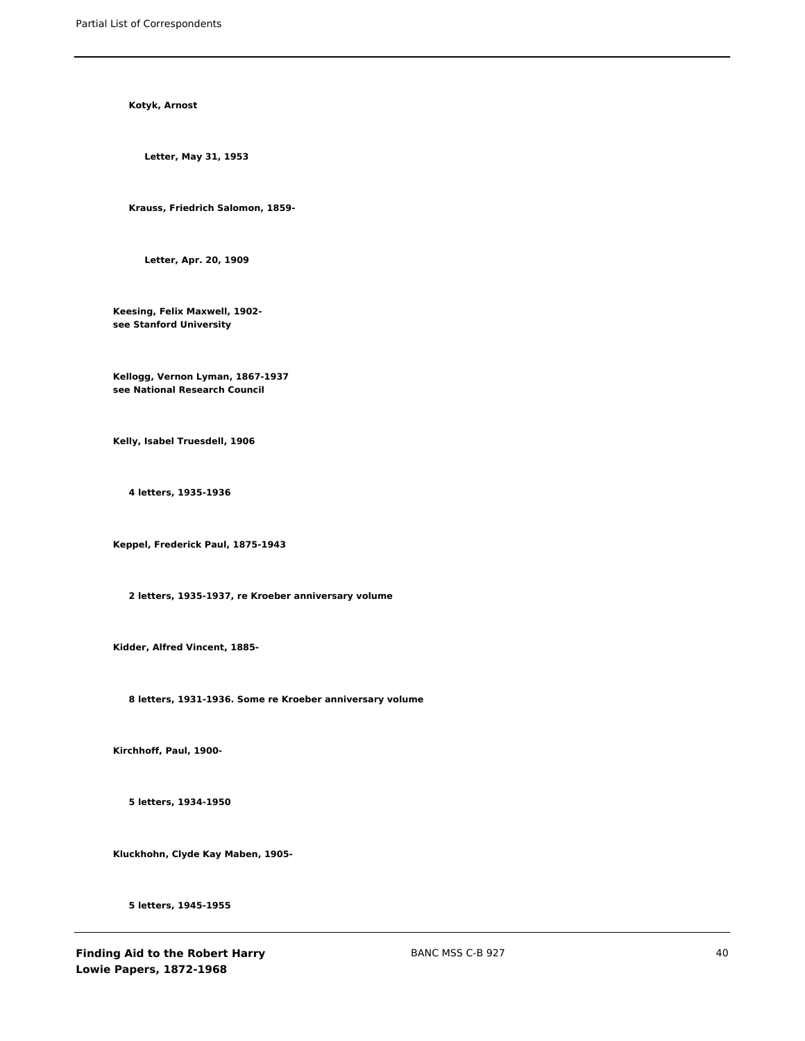**Kotyk, Arnost**

**Letter, May 31, 1953**

**Krauss, Friedrich Salomon, 1859-**

**Letter, Apr. 20, 1909**

**Keesing, Felix Maxwell, 1902 see Stanford University**

**Kellogg, Vernon Lyman, 1867-1937 see National Research Council**

**Kelly, Isabel Truesdell, 1906**

**4 letters, 1935-1936**

**Keppel, Frederick Paul, 1875-1943**

**2 letters, 1935-1937, re Kroeber anniversary volume**

**Kidder, Alfred Vincent, 1885-**

**8 letters, 1931-1936. Some re Kroeber anniversary volume**

**Kirchhoff, Paul, 1900-**

**5 letters, 1934-1950**

**Kluckhohn, Clyde Kay Maben, 1905-**

**5 letters, 1945-1955**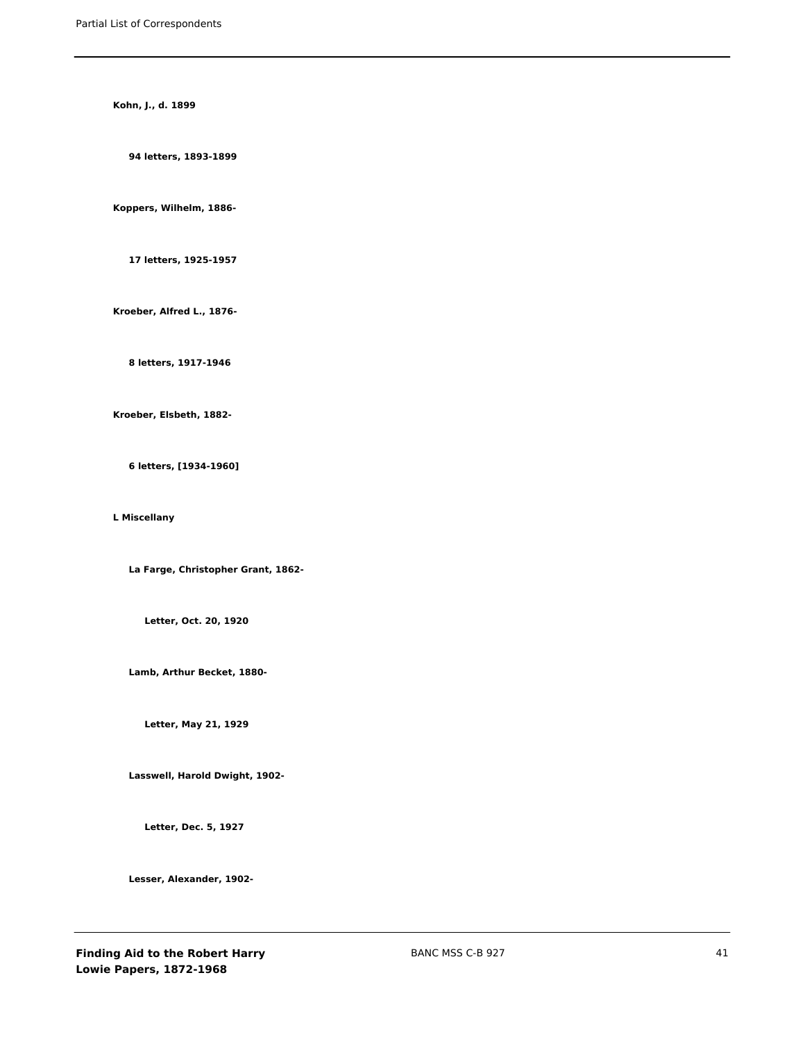**Kohn, J., d. 1899**

**94 letters, 1893-1899**

**Koppers, Wilhelm, 1886-**

**17 letters, 1925-1957**

**Kroeber, Alfred L., 1876-**

**8 letters, 1917-1946**

**Kroeber, Elsbeth, 1882-**

**6 letters, [1934-1960]**

**L Miscellany**

**La Farge, Christopher Grant, 1862-**

**Letter, Oct. 20, 1920**

**Lamb, Arthur Becket, 1880-**

**Letter, May 21, 1929**

**Lasswell, Harold Dwight, 1902-**

**Letter, Dec. 5, 1927**

**Lesser, Alexander, 1902-**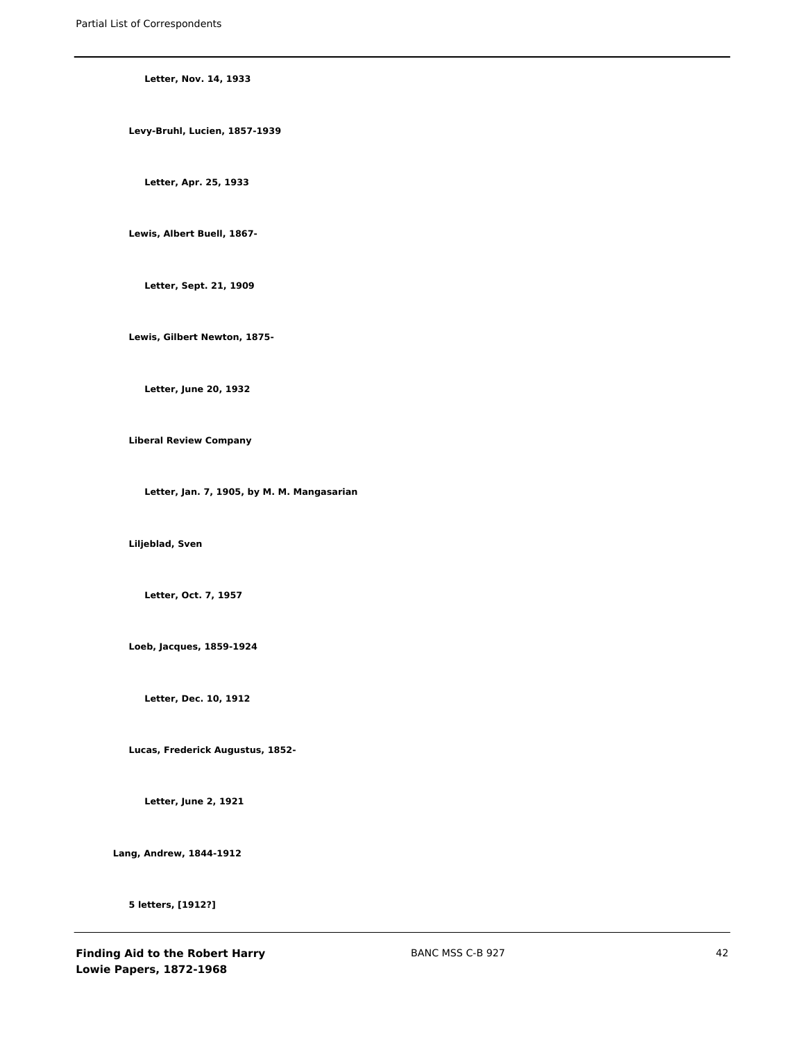**Letter, Nov. 14, 1933**

**Levy-Bruhl, Lucien, 1857-1939**

**Letter, Apr. 25, 1933**

**Lewis, Albert Buell, 1867-**

**Letter, Sept. 21, 1909**

**Lewis, Gilbert Newton, 1875-**

**Letter, June 20, 1932**

**Liberal Review Company**

**Letter, Jan. 7, 1905, by M. M. Mangasarian**

**Liljeblad, Sven**

**Letter, Oct. 7, 1957**

**Loeb, Jacques, 1859-1924**

**Letter, Dec. 10, 1912**

**Lucas, Frederick Augustus, 1852-**

**Letter, June 2, 1921**

**Lang, Andrew, 1844-1912**

**5 letters, [1912?]**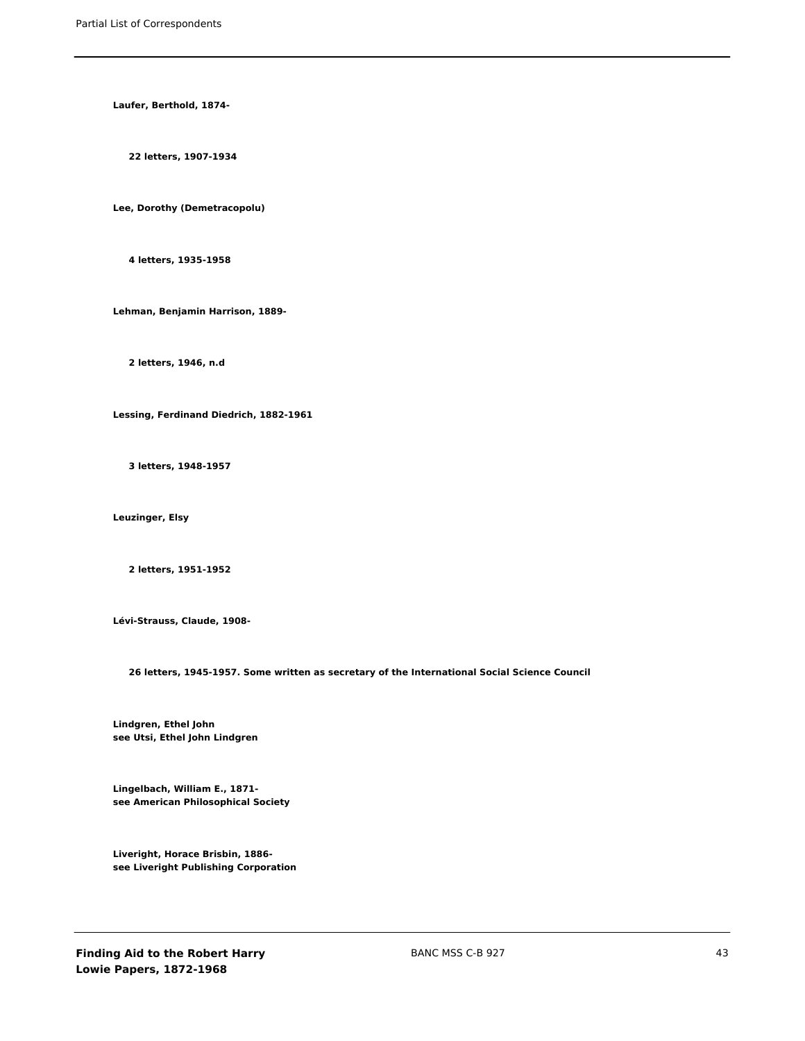**Laufer, Berthold, 1874-**

**22 letters, 1907-1934**

**Lee, Dorothy (Demetracopolu)**

**4 letters, 1935-1958**

**Lehman, Benjamin Harrison, 1889-**

**2 letters, 1946, n.d**

**Lessing, Ferdinand Diedrich, 1882-1961**

**3 letters, 1948-1957**

**Leuzinger, Elsy**

**2 letters, 1951-1952**

**Lévi-Strauss, Claude, 1908-**

**26 letters, 1945-1957. Some written as secretary of the International Social Science Council**

**Lindgren, Ethel John see Utsi, Ethel John Lindgren**

**Lingelbach, William E., 1871 see American Philosophical Society**

**Liveright, Horace Brisbin, 1886 see Liveright Publishing Corporation**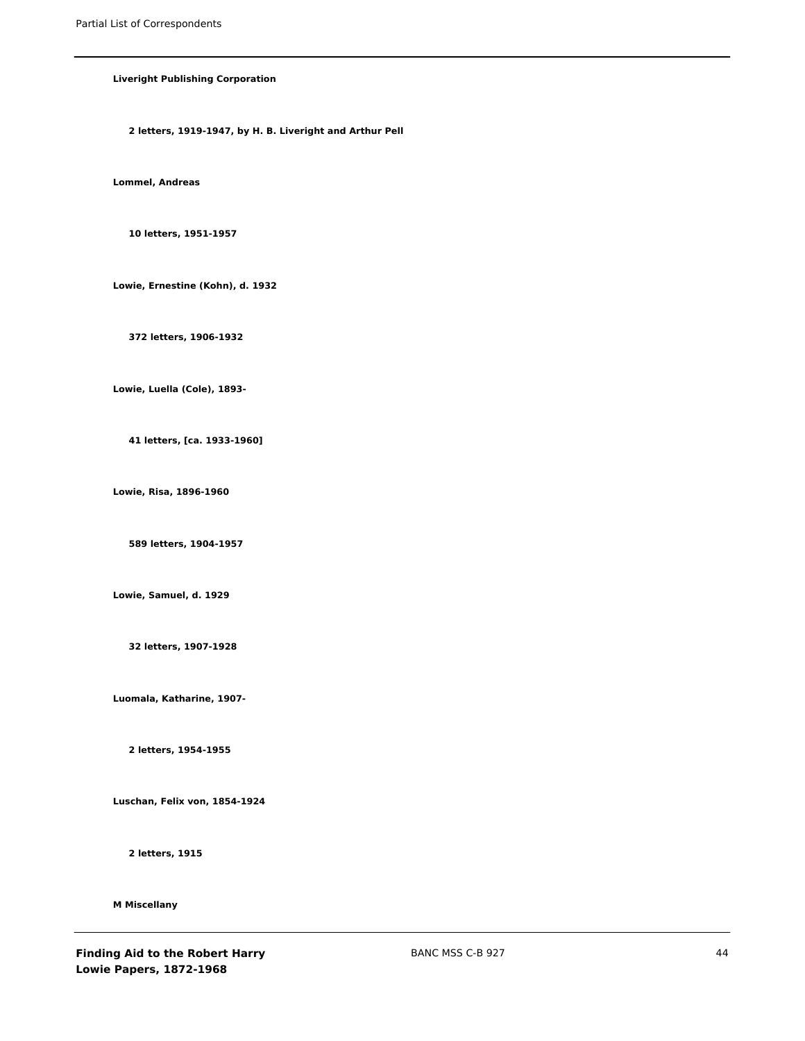# **Liveright Publishing Corporation**

**2 letters, 1919-1947, by H. B. Liveright and Arthur Pell**

**Lommel, Andreas**

**10 letters, 1951-1957**

**Lowie, Ernestine (Kohn), d. 1932**

**372 letters, 1906-1932**

**Lowie, Luella (Cole), 1893-**

**41 letters, [ca. 1933-1960]**

**Lowie, Risa, 1896-1960**

**589 letters, 1904-1957**

**Lowie, Samuel, d. 1929**

**32 letters, 1907-1928**

**Luomala, Katharine, 1907-**

**2 letters, 1954-1955**

**Luschan, Felix von, 1854-1924**

**2 letters, 1915**

**M Miscellany**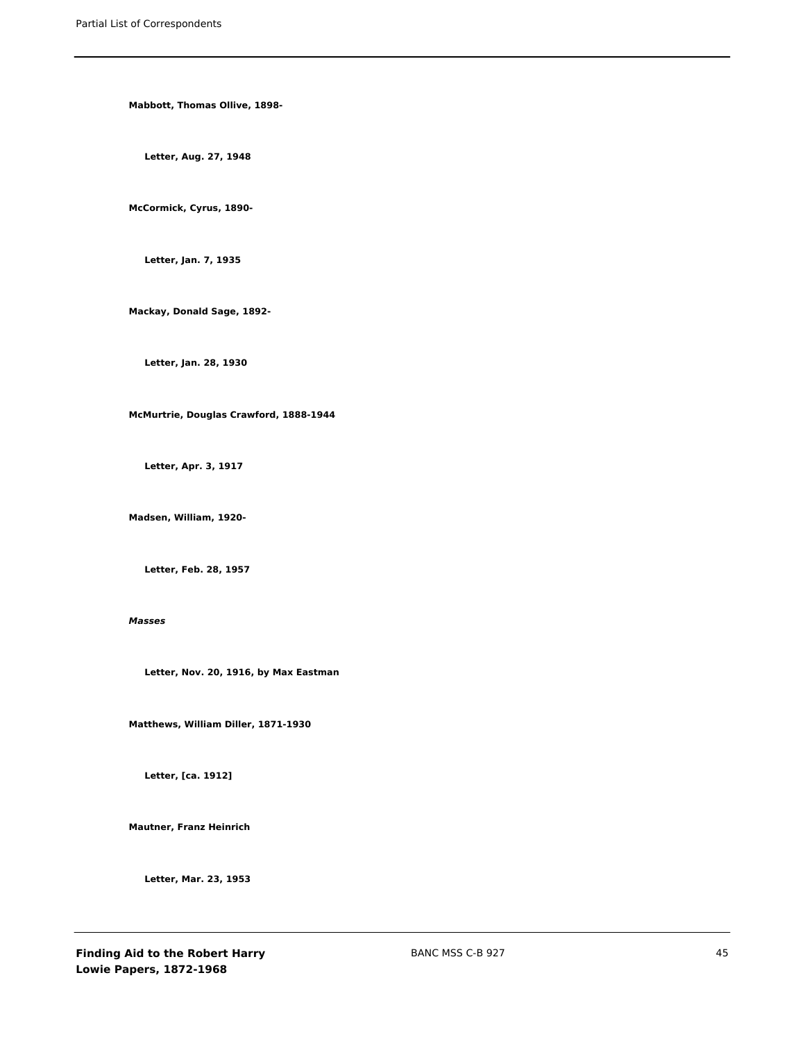**Mabbott, Thomas Ollive, 1898-**

**Letter, Aug. 27, 1948**

**McCormick, Cyrus, 1890-**

**Letter, Jan. 7, 1935**

**Mackay, Donald Sage, 1892-**

**Letter, Jan. 28, 1930**

**McMurtrie, Douglas Crawford, 1888-1944**

**Letter, Apr. 3, 1917**

**Madsen, William, 1920-**

**Letter, Feb. 28, 1957**

### *Masses*

**Letter, Nov. 20, 1916, by Max Eastman**

**Matthews, William Diller, 1871-1930**

**Letter, [ca. 1912]**

**Mautner, Franz Heinrich**

**Letter, Mar. 23, 1953**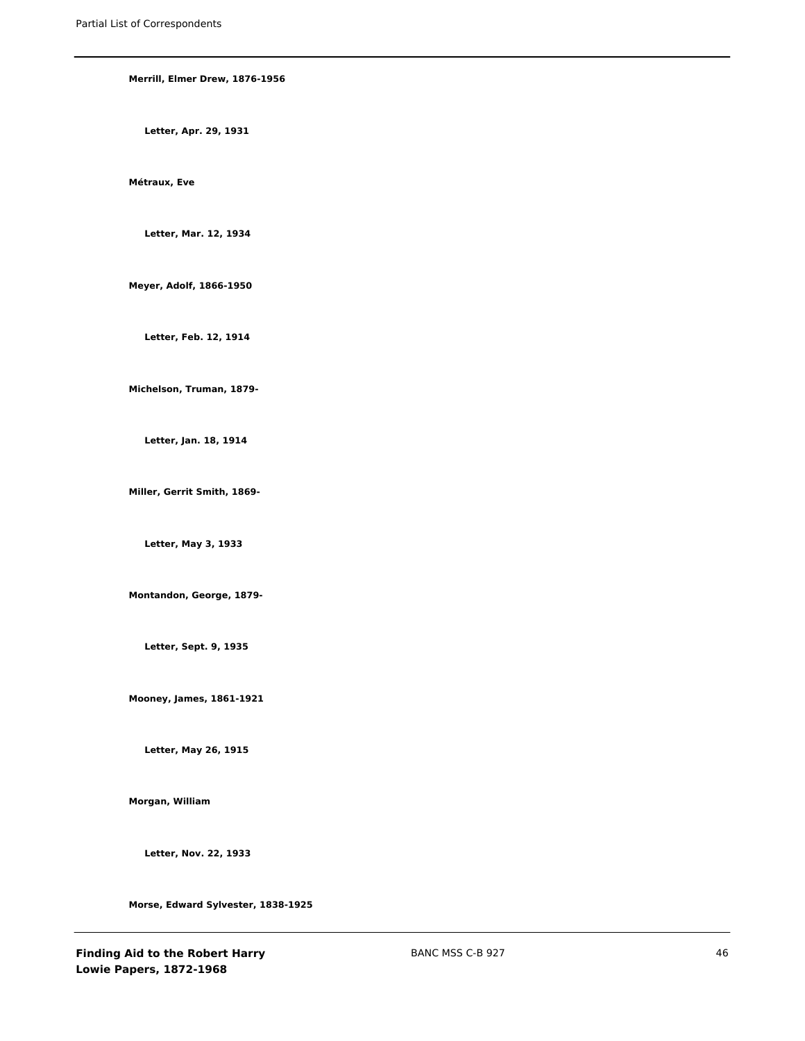**Merrill, Elmer Drew, 1876-1956 Letter, Apr. 29, 1931 Métraux, Eve Letter, Mar. 12, 1934 Meyer, Adolf, 1866-1950 Letter, Feb. 12, 1914 Michelson, Truman, 1879- Letter, Jan. 18, 1914 Miller, Gerrit Smith, 1869- Letter, May 3, 1933 Montandon, George, 1879- Letter, Sept. 9, 1935 Mooney, James, 1861-1921 Letter, May 26, 1915 Morgan, William**

**Letter, Nov. 22, 1933**

**Morse, Edward Sylvester, 1838-1925**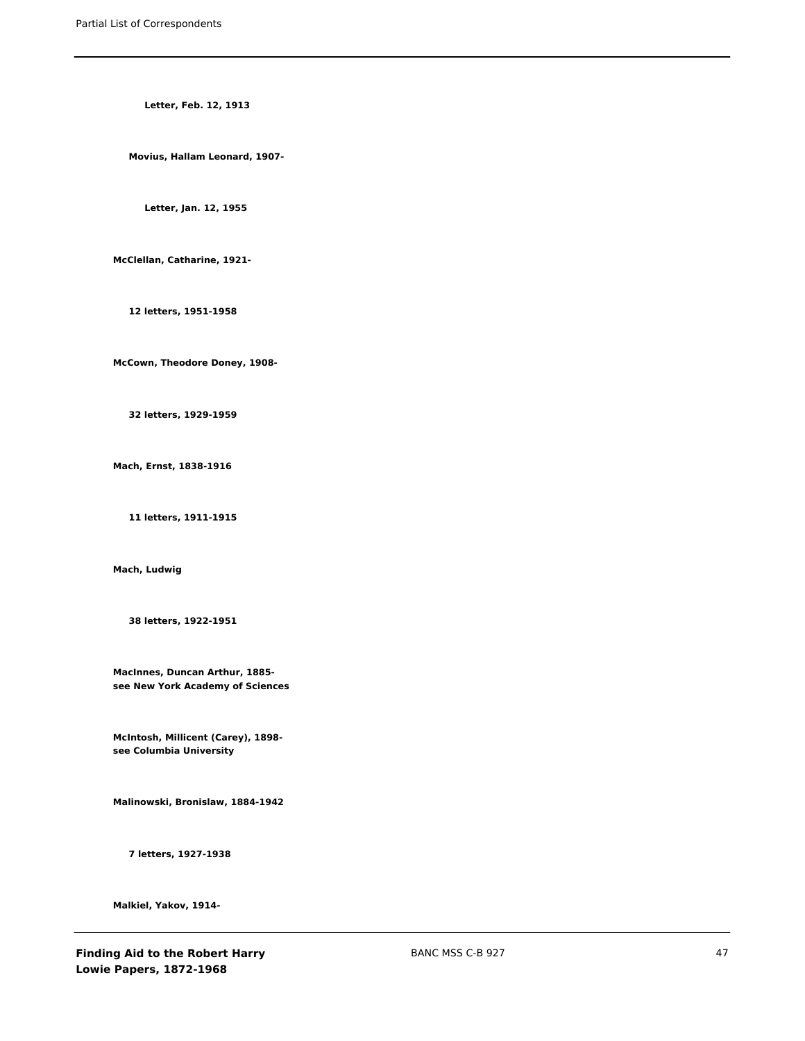**Letter, Feb. 12, 1913**

**Movius, Hallam Leonard, 1907-**

**Letter, Jan. 12, 1955**

**McClellan, Catharine, 1921-**

**12 letters, 1951-1958**

**McCown, Theodore Doney, 1908-**

**32 letters, 1929-1959**

**Mach, Ernst, 1838-1916**

**11 letters, 1911-1915**

**Mach, Ludwig**

**38 letters, 1922-1951**

**MacInnes, Duncan Arthur, 1885 see New York Academy of Sciences**

**McIntosh, Millicent (Carey), 1898 see Columbia University**

**Malinowski, Bronislaw, 1884-1942**

**7 letters, 1927-1938**

**Malkiel, Yakov, 1914-**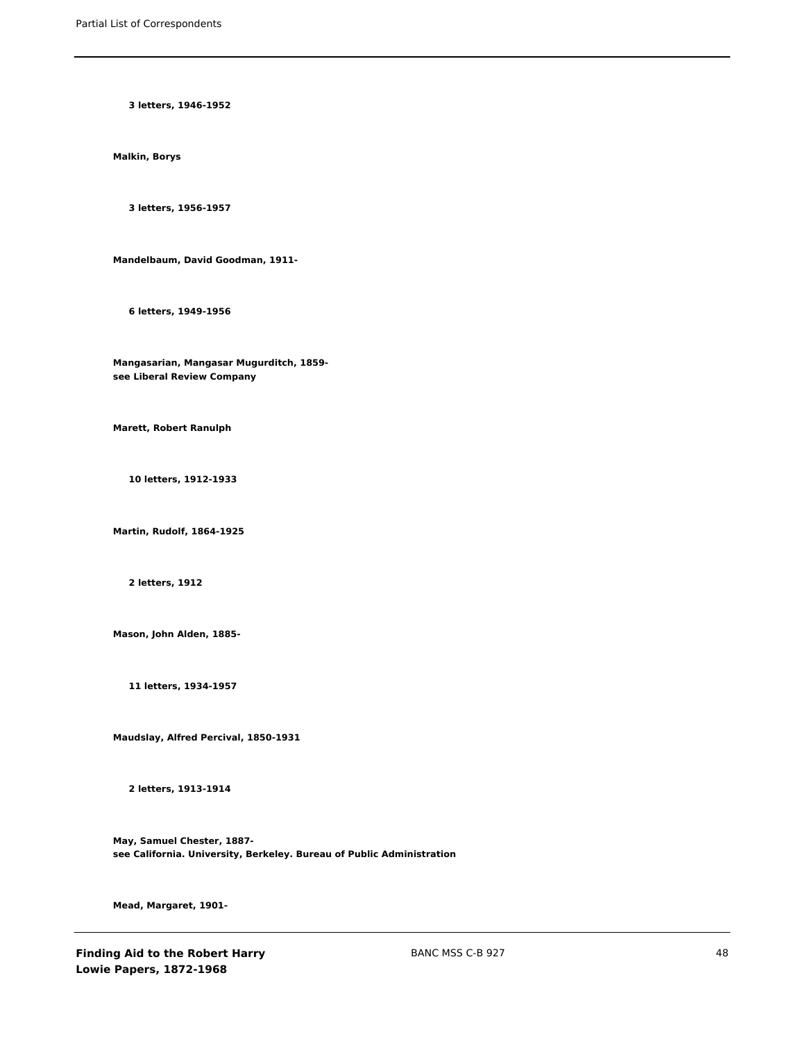**3 letters, 1946-1952**

**Malkin, Borys**

**3 letters, 1956-1957**

**Mandelbaum, David Goodman, 1911-**

**6 letters, 1949-1956**

**Mangasarian, Mangasar Mugurditch, 1859 see Liberal Review Company**

**Marett, Robert Ranulph**

**10 letters, 1912-1933**

**Martin, Rudolf, 1864-1925**

**2 letters, 1912**

**Mason, John Alden, 1885-**

**11 letters, 1934-1957**

**Maudslay, Alfred Percival, 1850-1931**

**2 letters, 1913-1914**

**May, Samuel Chester, 1887 see California. University, Berkeley. Bureau of Public Administration**

**Mead, Margaret, 1901-**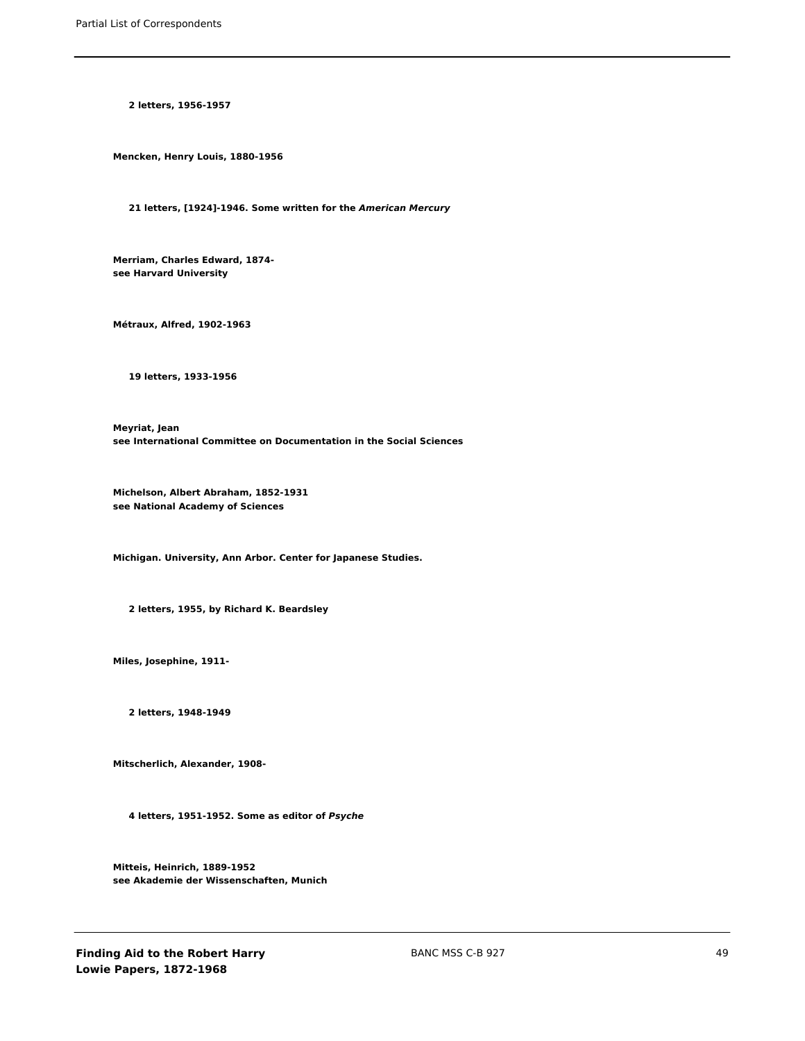**2 letters, 1956-1957**

**Mencken, Henry Louis, 1880-1956**

**21 letters, [1924]-1946. Some written for the** *American Mercury*

**Merriam, Charles Edward, 1874 see Harvard University**

**Métraux, Alfred, 1902-1963**

**19 letters, 1933-1956**

**Meyriat, Jean see International Committee on Documentation in the Social Sciences**

**Michelson, Albert Abraham, 1852-1931 see National Academy of Sciences**

**Michigan. University, Ann Arbor. Center for Japanese Studies.**

**2 letters, 1955, by Richard K. Beardsley**

**Miles, Josephine, 1911-**

**2 letters, 1948-1949**

**Mitscherlich, Alexander, 1908-**

**4 letters, 1951-1952. Some as editor of** *Psyche*

**Mitteis, Heinrich, 1889-1952 see Akademie der Wissenschaften, Munich**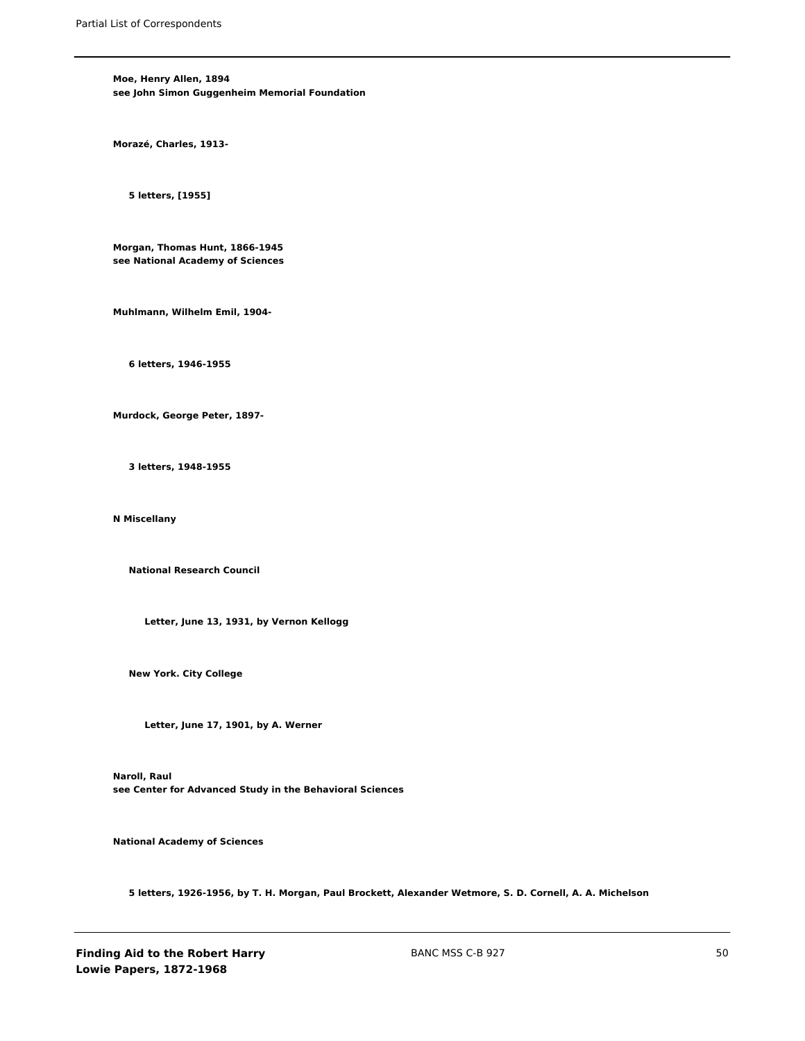**Moe, Henry Allen, 1894 see John Simon Guggenheim Memorial Foundation**

**Morazé, Charles, 1913-**

**5 letters, [1955]**

**Morgan, Thomas Hunt, 1866-1945 see National Academy of Sciences**

**Muhlmann, Wilhelm Emil, 1904-**

**6 letters, 1946-1955**

**Murdock, George Peter, 1897-**

**3 letters, 1948-1955**

**N Miscellany**

**National Research Council**

**Letter, June 13, 1931, by Vernon Kellogg**

**New York. City College**

**Letter, June 17, 1901, by A. Werner**

**Naroll, Raul see Center for Advanced Study in the Behavioral Sciences**

**National Academy of Sciences**

**5 letters, 1926-1956, by T. H. Morgan, Paul Brockett, Alexander Wetmore, S. D. Cornell, A. A. Michelson**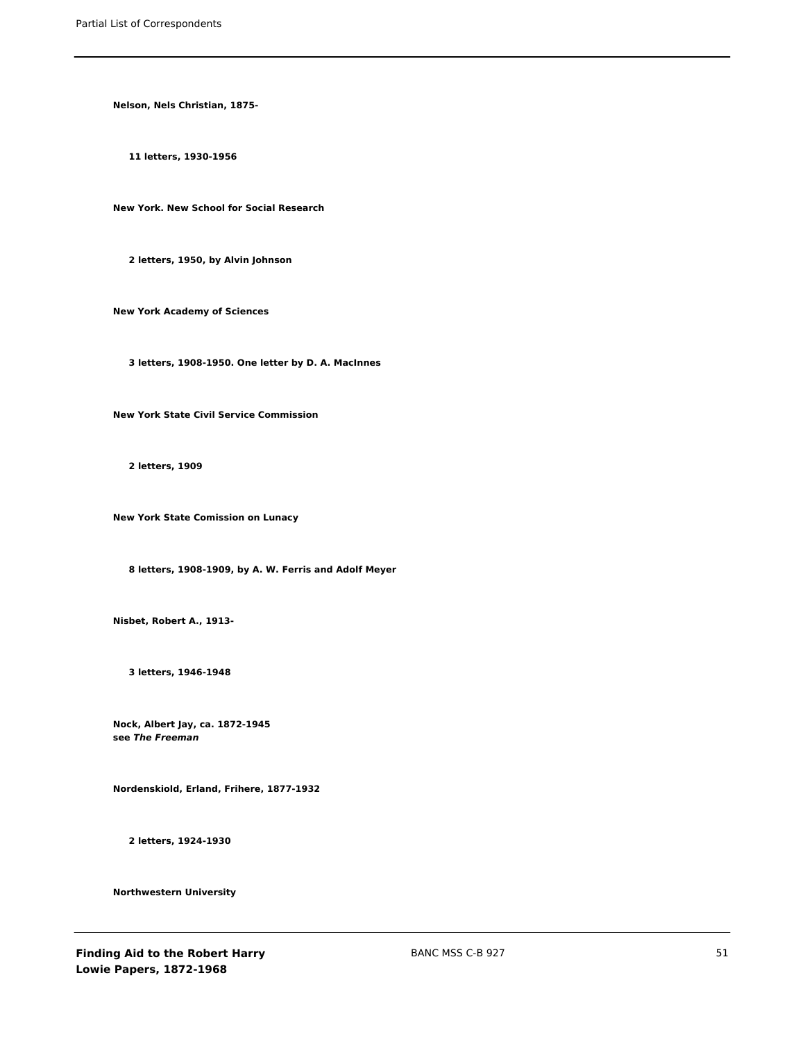**Nelson, Nels Christian, 1875-**

**11 letters, 1930-1956**

**New York. New School for Social Research**

**2 letters, 1950, by Alvin Johnson**

**New York Academy of Sciences**

**3 letters, 1908-1950. One letter by D. A. MacInnes**

**New York State Civil Service Commission**

**2 letters, 1909**

**New York State Comission on Lunacy**

**8 letters, 1908-1909, by A. W. Ferris and Adolf Meyer**

**Nisbet, Robert A., 1913-**

**3 letters, 1946-1948**

**Nock, Albert Jay, ca. 1872-1945 see** *The Freeman*

**Nordenskiold, Erland, Frihere, 1877-1932**

**2 letters, 1924-1930**

**Northwestern University**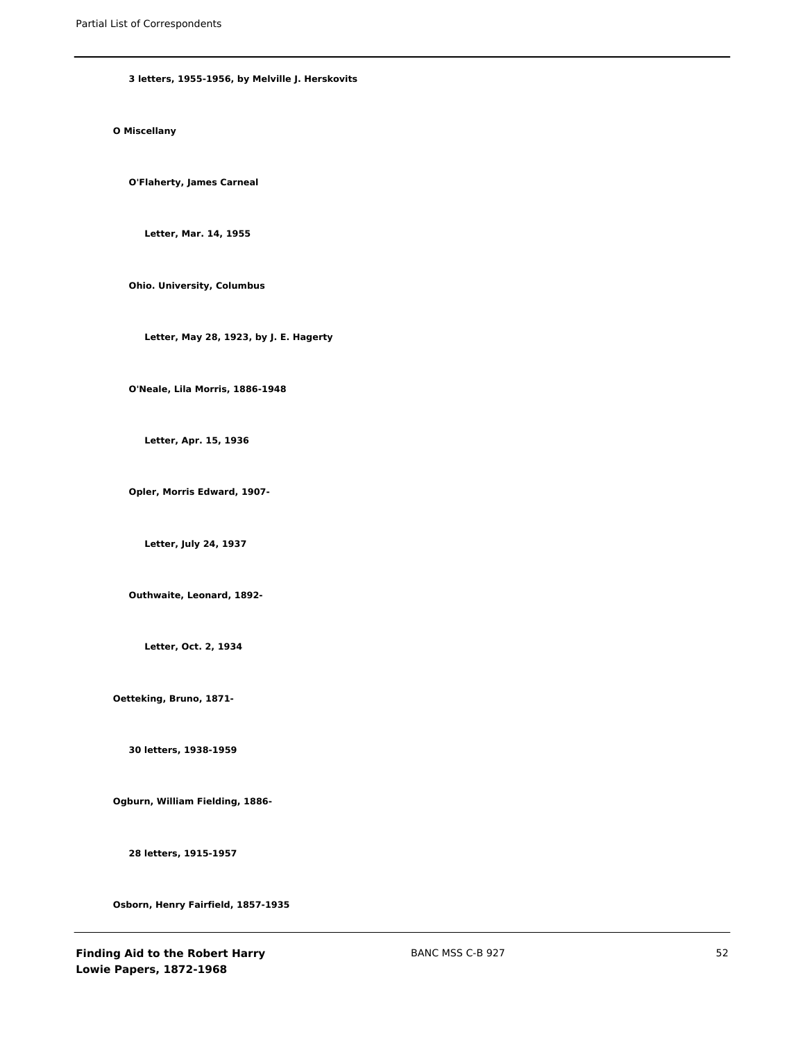#### **3 letters, 1955-1956, by Melville J. Herskovits**

# **O Miscellany**

**O'Flaherty, James Carneal**

**Letter, Mar. 14, 1955**

**Ohio. University, Columbus**

**Letter, May 28, 1923, by J. E. Hagerty**

**O'Neale, Lila Morris, 1886-1948**

**Letter, Apr. 15, 1936**

**Opler, Morris Edward, 1907-**

**Letter, July 24, 1937**

**Outhwaite, Leonard, 1892-**

**Letter, Oct. 2, 1934**

**Oetteking, Bruno, 1871-**

**30 letters, 1938-1959**

**Ogburn, William Fielding, 1886-**

**28 letters, 1915-1957**

**Osborn, Henry Fairfield, 1857-1935**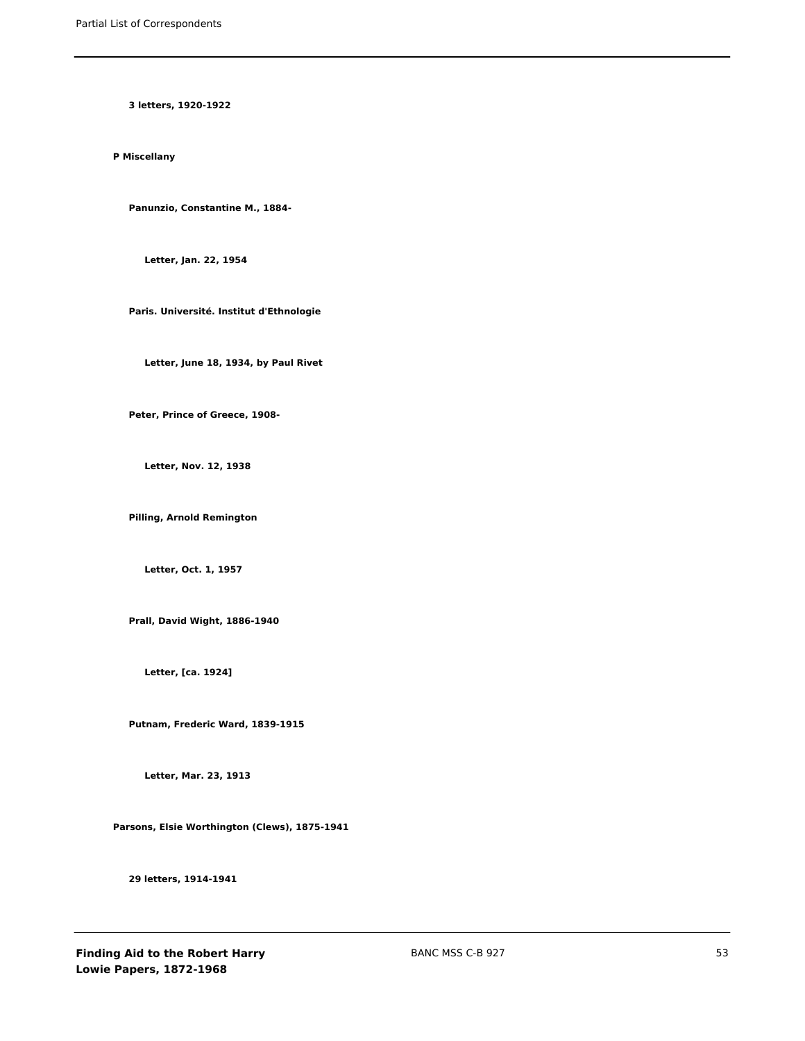**3 letters, 1920-1922**

**P Miscellany**

**Panunzio, Constantine M., 1884-**

**Letter, Jan. 22, 1954**

**Paris. Université. Institut d'Ethnologie**

**Letter, June 18, 1934, by Paul Rivet**

**Peter, Prince of Greece, 1908-**

**Letter, Nov. 12, 1938**

**Pilling, Arnold Remington**

**Letter, Oct. 1, 1957**

**Prall, David Wight, 1886-1940**

**Letter, [ca. 1924]**

**Putnam, Frederic Ward, 1839-1915**

**Letter, Mar. 23, 1913**

**Parsons, Elsie Worthington (Clews), 1875-1941**

**29 letters, 1914-1941**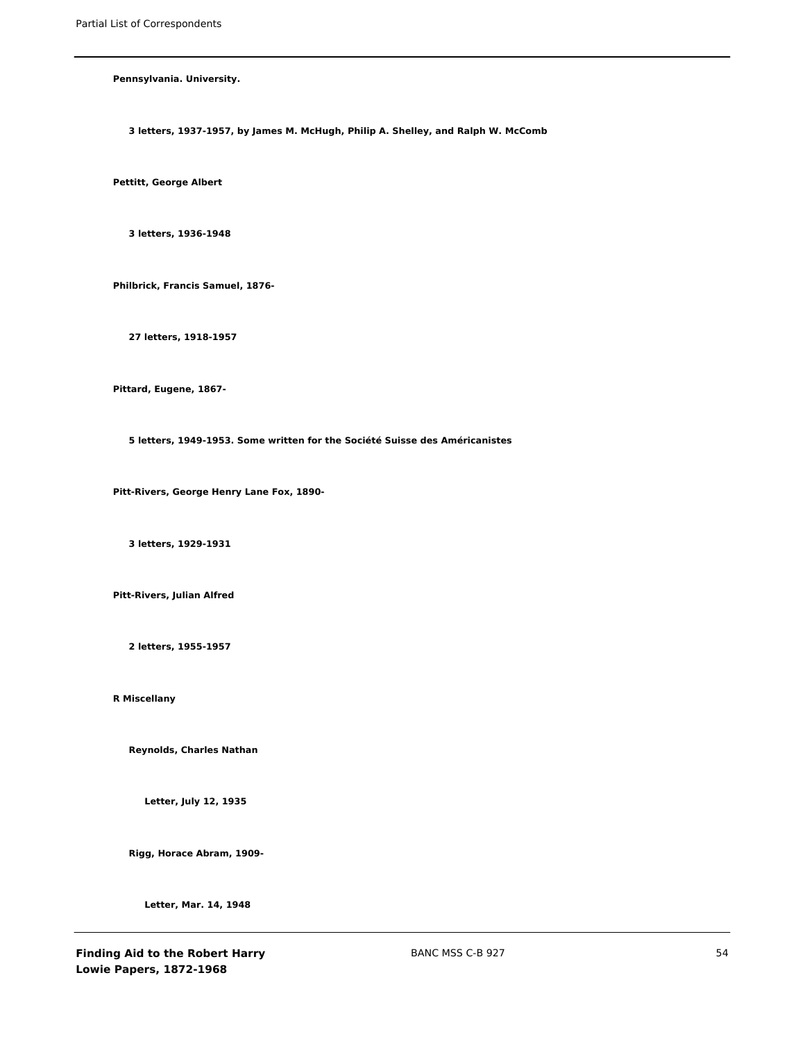**Pennsylvania. University.**

**3 letters, 1937-1957, by James M. McHugh, Philip A. Shelley, and Ralph W. McComb**

**Pettitt, George Albert**

**3 letters, 1936-1948**

**Philbrick, Francis Samuel, 1876-**

**27 letters, 1918-1957**

**Pittard, Eugene, 1867-**

**5 letters, 1949-1953. Some written for the Société Suisse des Américanistes**

**Pitt-Rivers, George Henry Lane Fox, 1890-**

**3 letters, 1929-1931**

**Pitt-Rivers, Julian Alfred**

**2 letters, 1955-1957**

**R Miscellany**

**Reynolds, Charles Nathan**

**Letter, July 12, 1935**

**Rigg, Horace Abram, 1909-**

**Letter, Mar. 14, 1948**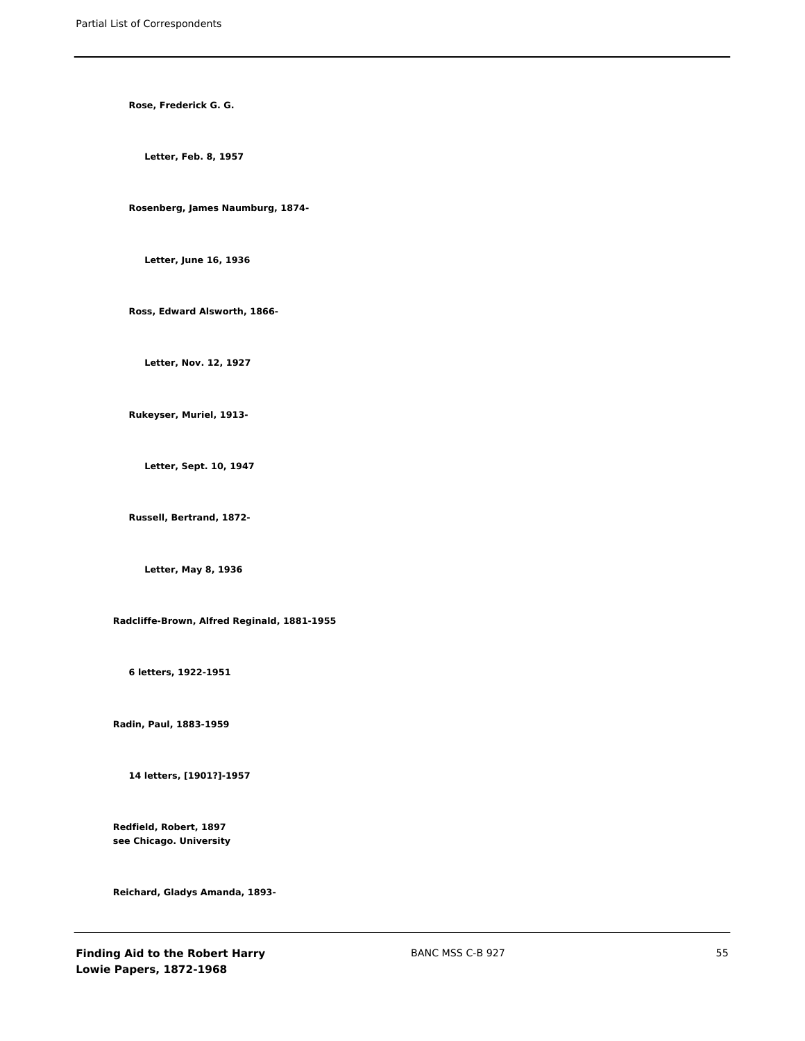**Rose, Frederick G. G.**

**Letter, Feb. 8, 1957**

**Rosenberg, James Naumburg, 1874-**

**Letter, June 16, 1936**

**Ross, Edward Alsworth, 1866-**

**Letter, Nov. 12, 1927**

**Rukeyser, Muriel, 1913-**

**Letter, Sept. 10, 1947**

**Russell, Bertrand, 1872-**

**Letter, May 8, 1936**

**Radcliffe-Brown, Alfred Reginald, 1881-1955**

**6 letters, 1922-1951**

**Radin, Paul, 1883-1959**

**14 letters, [1901?]-1957**

**Redfield, Robert, 1897 see Chicago. University**

**Reichard, Gladys Amanda, 1893-**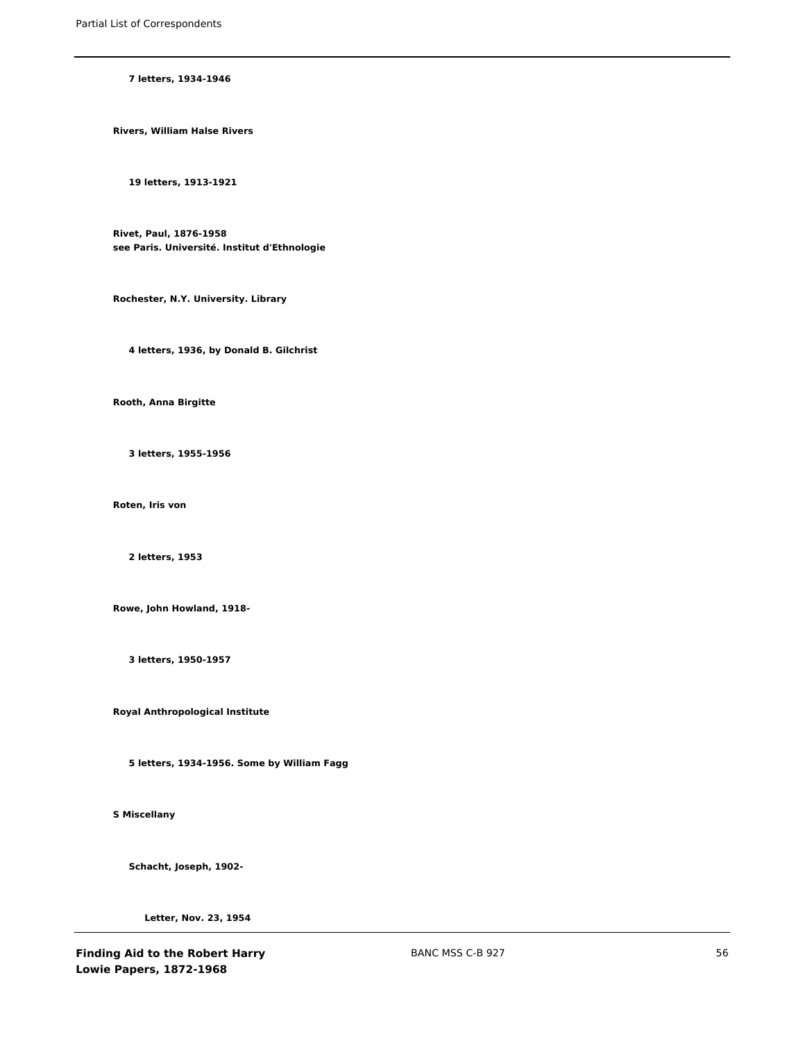### **7 letters, 1934-1946**

**Rivers, William Halse Rivers**

**19 letters, 1913-1921**

**Rivet, Paul, 1876-1958 see Paris. Université. Institut d'Ethnologie**

**Rochester, N.Y. University. Library**

**4 letters, 1936, by Donald B. Gilchrist**

**Rooth, Anna Birgitte**

**3 letters, 1955-1956**

**Roten, Iris von**

**2 letters, 1953**

**Rowe, John Howland, 1918-**

**3 letters, 1950-1957**

**Royal Anthropological Institute**

**5 letters, 1934-1956. Some by William Fagg**

**S Miscellany**

**Schacht, Joseph, 1902-**

**Letter, Nov. 23, 1954**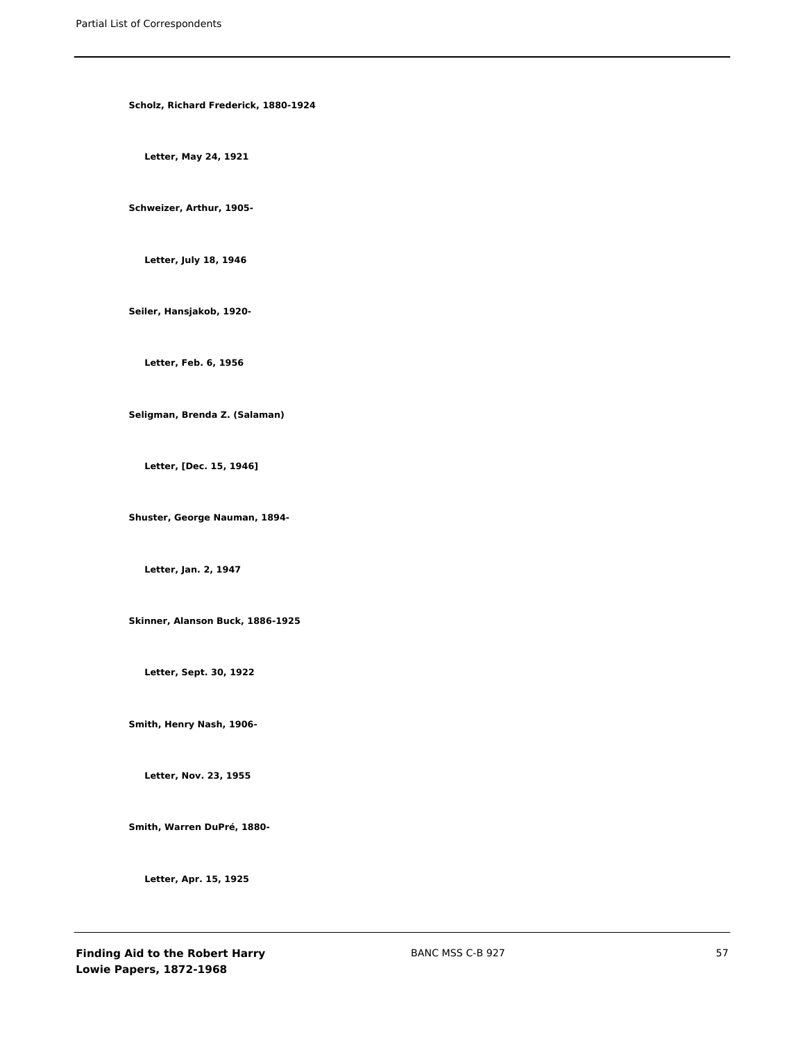**Scholz, Richard Frederick, 1880-1924**

**Letter, May 24, 1921**

**Schweizer, Arthur, 1905-**

**Letter, July 18, 1946**

**Seiler, Hansjakob, 1920-**

**Letter, Feb. 6, 1956**

**Seligman, Brenda Z. (Salaman)**

**Letter, [Dec. 15, 1946]**

**Shuster, George Nauman, 1894-**

**Letter, Jan. 2, 1947**

**Skinner, Alanson Buck, 1886-1925**

**Letter, Sept. 30, 1922**

**Smith, Henry Nash, 1906-**

**Letter, Nov. 23, 1955**

**Smith, Warren DuPré, 1880-**

**Letter, Apr. 15, 1925**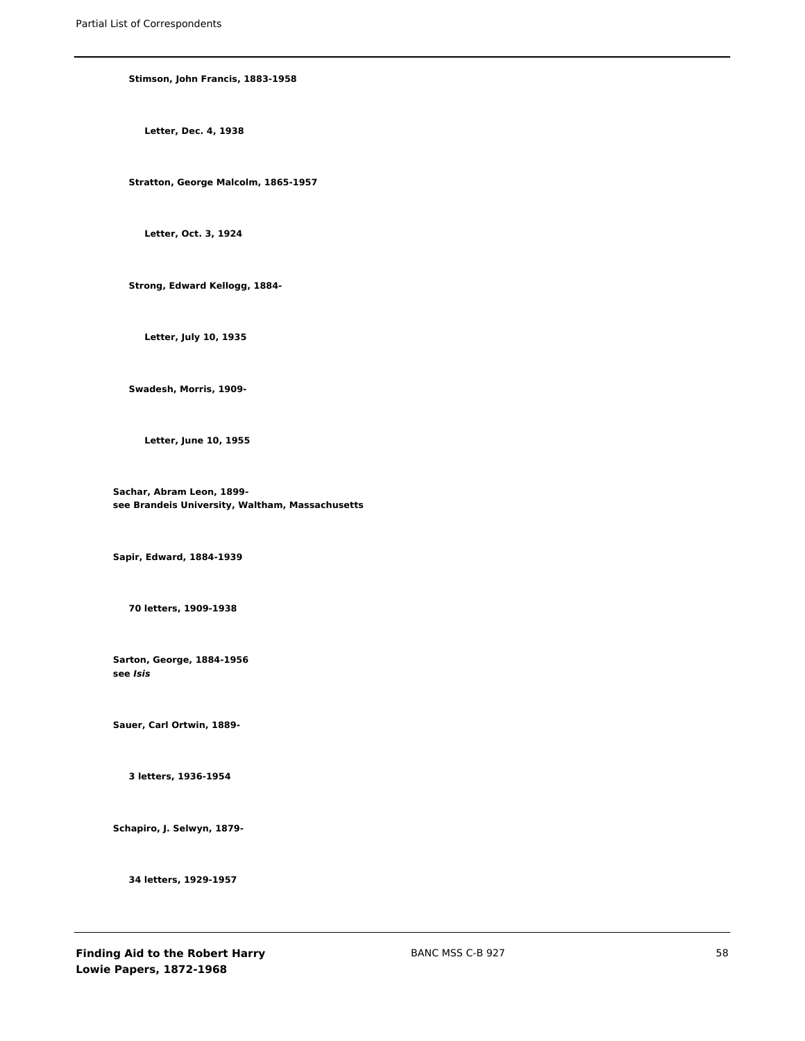### **Stimson, John Francis, 1883-1958**

**Letter, Dec. 4, 1938**

**Stratton, George Malcolm, 1865-1957**

**Letter, Oct. 3, 1924**

**Strong, Edward Kellogg, 1884-**

**Letter, July 10, 1935**

**Swadesh, Morris, 1909-**

**Letter, June 10, 1955**

**Sachar, Abram Leon, 1899 see Brandeis University, Waltham, Massachusetts**

**Sapir, Edward, 1884-1939**

**70 letters, 1909-1938**

**Sarton, George, 1884-1956 see** *Isis*

**Sauer, Carl Ortwin, 1889-**

**3 letters, 1936-1954**

**Schapiro, J. Selwyn, 1879-**

**34 letters, 1929-1957**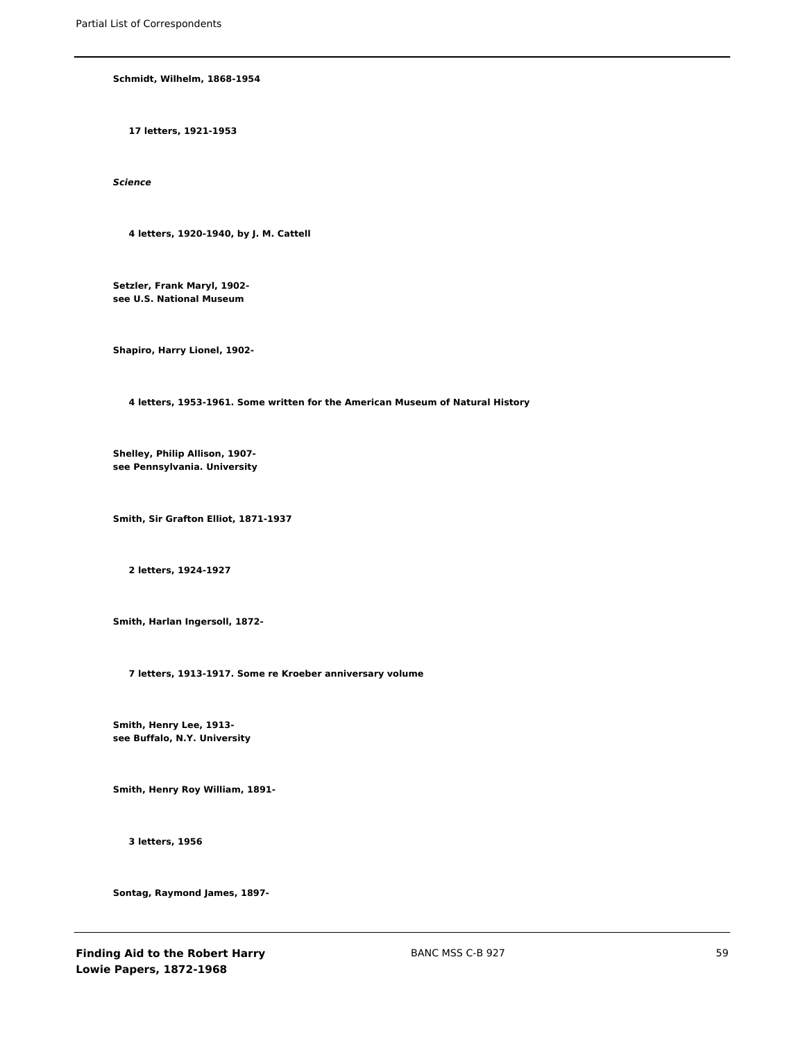**Schmidt, Wilhelm, 1868-1954**

**17 letters, 1921-1953**

*Science*

**4 letters, 1920-1940, by J. M. Cattell**

**Setzler, Frank Maryl, 1902 see U.S. National Museum**

**Shapiro, Harry Lionel, 1902-**

**4 letters, 1953-1961. Some written for the American Museum of Natural History**

**Shelley, Philip Allison, 1907 see Pennsylvania. University**

**Smith, Sir Grafton Elliot, 1871-1937**

**2 letters, 1924-1927**

**Smith, Harlan Ingersoll, 1872-**

**7 letters, 1913-1917. Some re Kroeber anniversary volume**

**Smith, Henry Lee, 1913 see Buffalo, N.Y. University**

**Smith, Henry Roy William, 1891-**

**3 letters, 1956**

**Sontag, Raymond James, 1897-**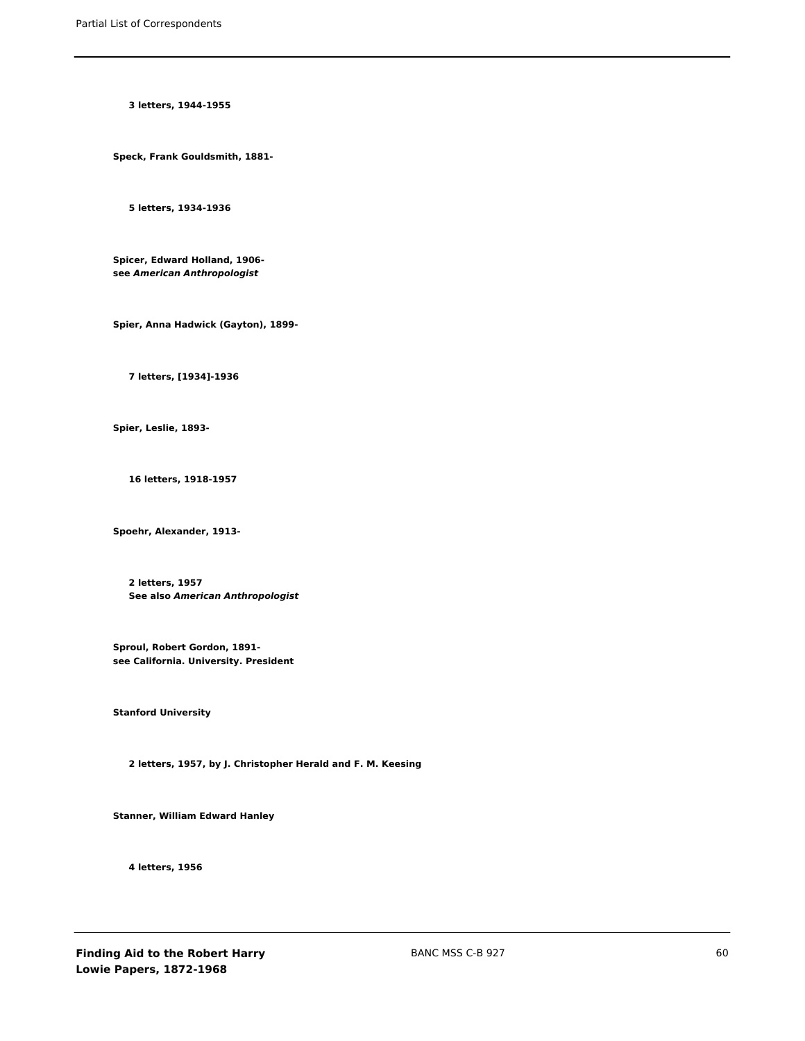**3 letters, 1944-1955**

**Speck, Frank Gouldsmith, 1881-**

**5 letters, 1934-1936**

**Spicer, Edward Holland, 1906 see** *American Anthropologist*

**Spier, Anna Hadwick (Gayton), 1899-**

**7 letters, [1934]-1936**

**Spier, Leslie, 1893-**

**16 letters, 1918-1957**

**Spoehr, Alexander, 1913-**

**2 letters, 1957 See also** *American Anthropologist*

**Sproul, Robert Gordon, 1891 see California. University. President**

**Stanford University**

**2 letters, 1957, by J. Christopher Herald and F. M. Keesing**

**Stanner, William Edward Hanley**

**4 letters, 1956**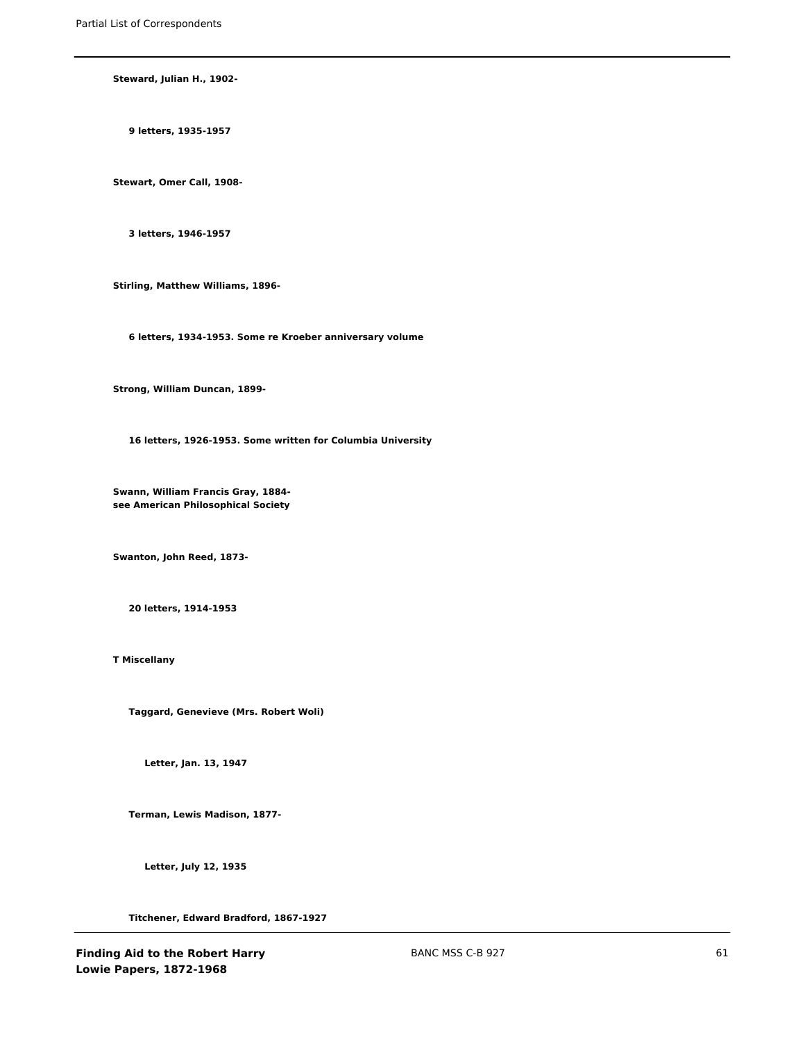**Steward, Julian H., 1902-**

**9 letters, 1935-1957**

**Stewart, Omer Call, 1908-**

**3 letters, 1946-1957**

**Stirling, Matthew Williams, 1896-**

**6 letters, 1934-1953. Some re Kroeber anniversary volume**

**Strong, William Duncan, 1899-**

**16 letters, 1926-1953. Some written for Columbia University**

**Swann, William Francis Gray, 1884 see American Philosophical Society**

**Swanton, John Reed, 1873-**

**20 letters, 1914-1953**

**T Miscellany**

**Taggard, Genevieve (Mrs. Robert Woli)**

**Letter, Jan. 13, 1947**

**Terman, Lewis Madison, 1877-**

**Letter, July 12, 1935**

**Titchener, Edward Bradford, 1867-1927**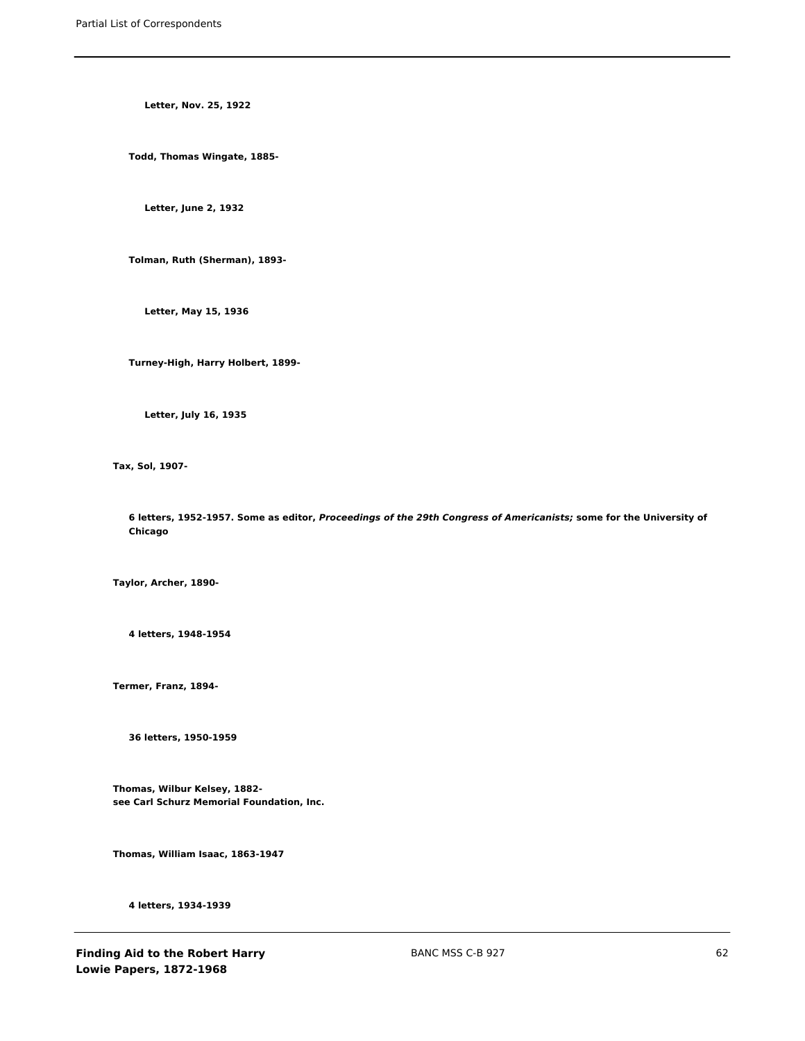**Letter, Nov. 25, 1922**

**Todd, Thomas Wingate, 1885-**

**Letter, June 2, 1932**

**Tolman, Ruth (Sherman), 1893-**

**Letter, May 15, 1936**

**Turney-High, Harry Holbert, 1899-**

**Letter, July 16, 1935**

**Tax, Sol, 1907-**

**6 letters, 1952-1957. Some as editor,** *Proceedings of the 29th Congress of Americanists;* **some for the University of Chicago**

**Taylor, Archer, 1890-**

**4 letters, 1948-1954**

**Termer, Franz, 1894-**

**36 letters, 1950-1959**

**Thomas, Wilbur Kelsey, 1882 see Carl Schurz Memorial Foundation, Inc.**

**Thomas, William Isaac, 1863-1947**

**4 letters, 1934-1939**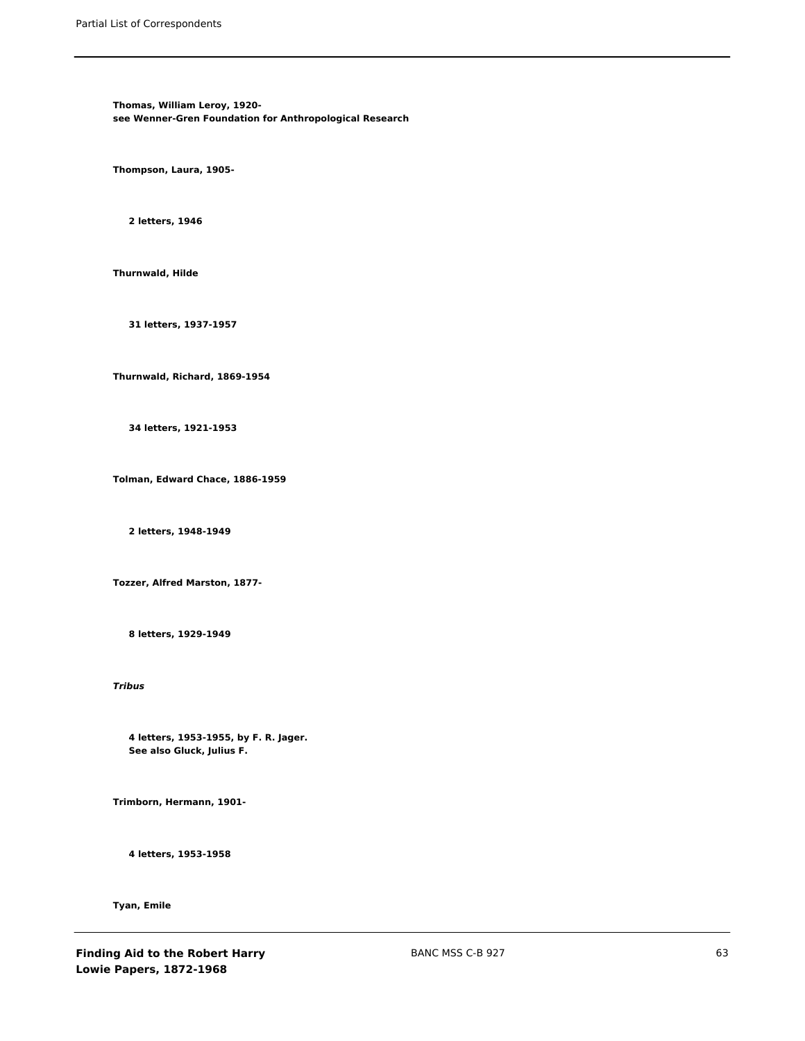**Thomas, William Leroy, 1920 see Wenner-Gren Foundation for Anthropological Research**

**Thompson, Laura, 1905-**

**2 letters, 1946**

**Thurnwald, Hilde**

**31 letters, 1937-1957**

**Thurnwald, Richard, 1869-1954**

**34 letters, 1921-1953**

**Tolman, Edward Chace, 1886-1959**

**2 letters, 1948-1949**

**Tozzer, Alfred Marston, 1877-**

**8 letters, 1929-1949**

*Tribus*

**4 letters, 1953-1955, by F. R. Jager. See also Gluck, Julius F.**

**Trimborn, Hermann, 1901-**

**4 letters, 1953-1958**

**Tyan, Emile**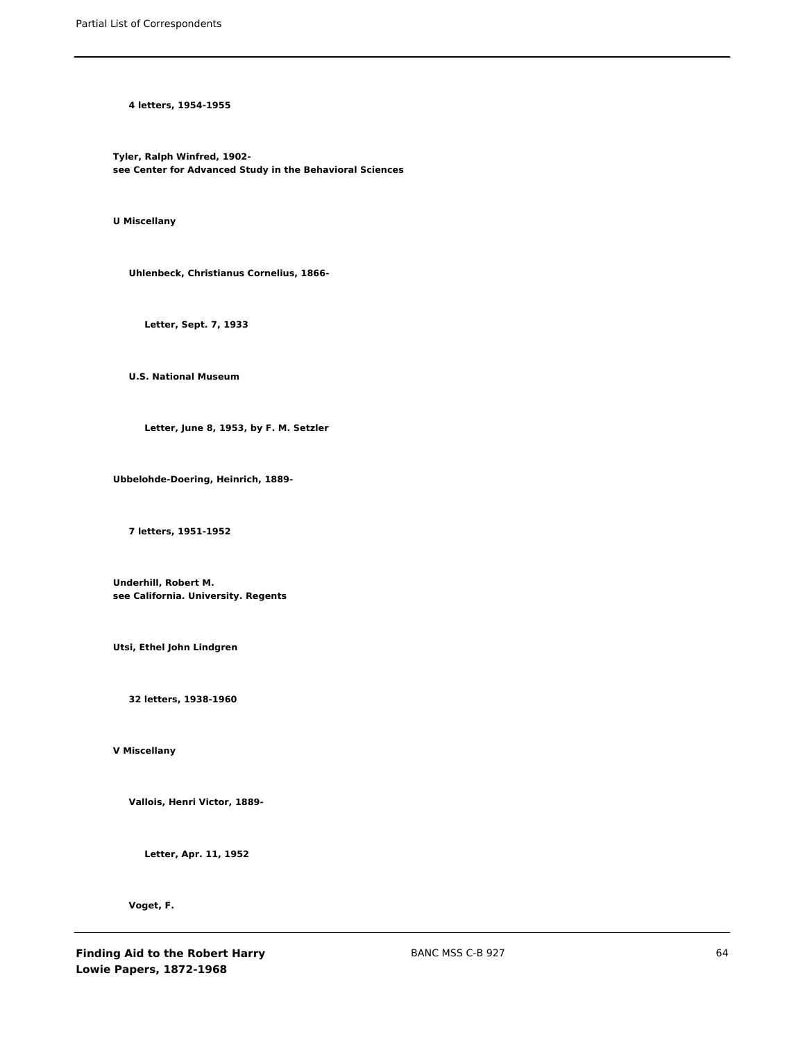**4 letters, 1954-1955**

**Tyler, Ralph Winfred, 1902 see Center for Advanced Study in the Behavioral Sciences**

**U Miscellany**

**Uhlenbeck, Christianus Cornelius, 1866-**

**Letter, Sept. 7, 1933**

**U.S. National Museum**

**Letter, June 8, 1953, by F. M. Setzler**

**Ubbelohde-Doering, Heinrich, 1889-**

**7 letters, 1951-1952**

**Underhill, Robert M. see California. University. Regents**

**Utsi, Ethel John Lindgren**

**32 letters, 1938-1960**

**V Miscellany**

**Vallois, Henri Victor, 1889-**

**Letter, Apr. 11, 1952**

**Voget, F.**

**Finding Aid to the Robert Harry Lowie Papers, 1872-1968**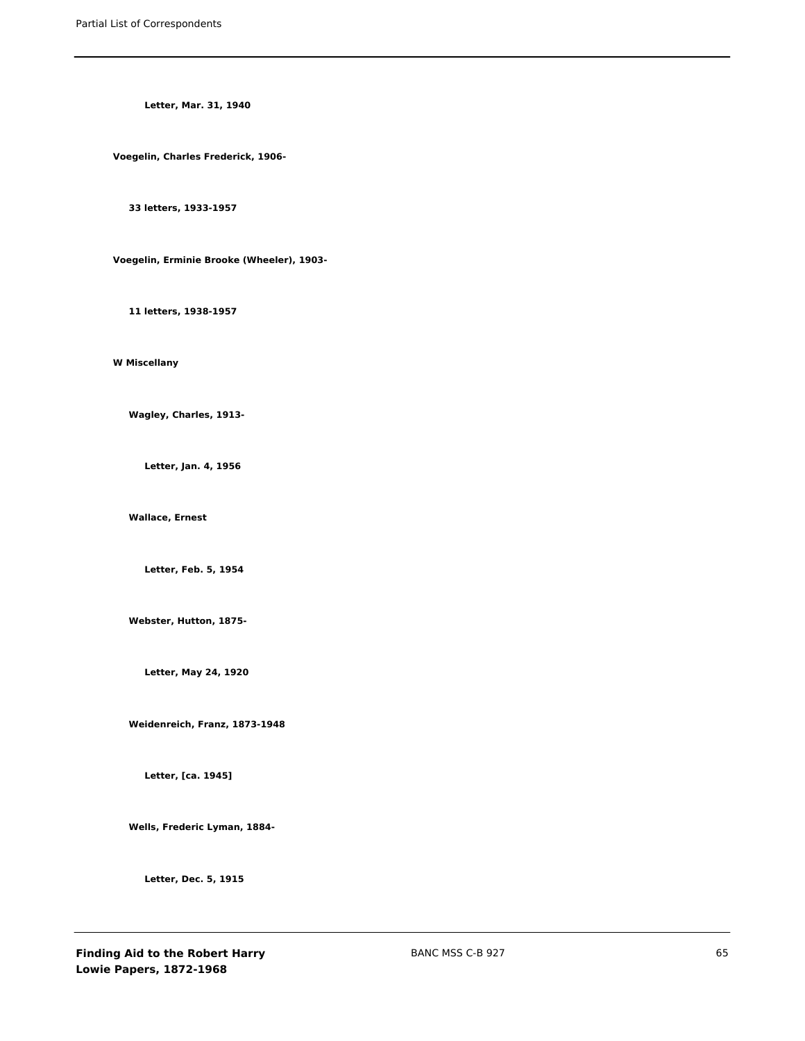**Letter, Mar. 31, 1940**

**Voegelin, Charles Frederick, 1906-**

**33 letters, 1933-1957**

**Voegelin, Erminie Brooke (Wheeler), 1903-**

**11 letters, 1938-1957**

**W Miscellany**

**Wagley, Charles, 1913-**

**Letter, Jan. 4, 1956**

**Wallace, Ernest**

**Letter, Feb. 5, 1954**

**Webster, Hutton, 1875-**

**Letter, May 24, 1920**

**Weidenreich, Franz, 1873-1948**

**Letter, [ca. 1945]**

**Wells, Frederic Lyman, 1884-**

**Letter, Dec. 5, 1915**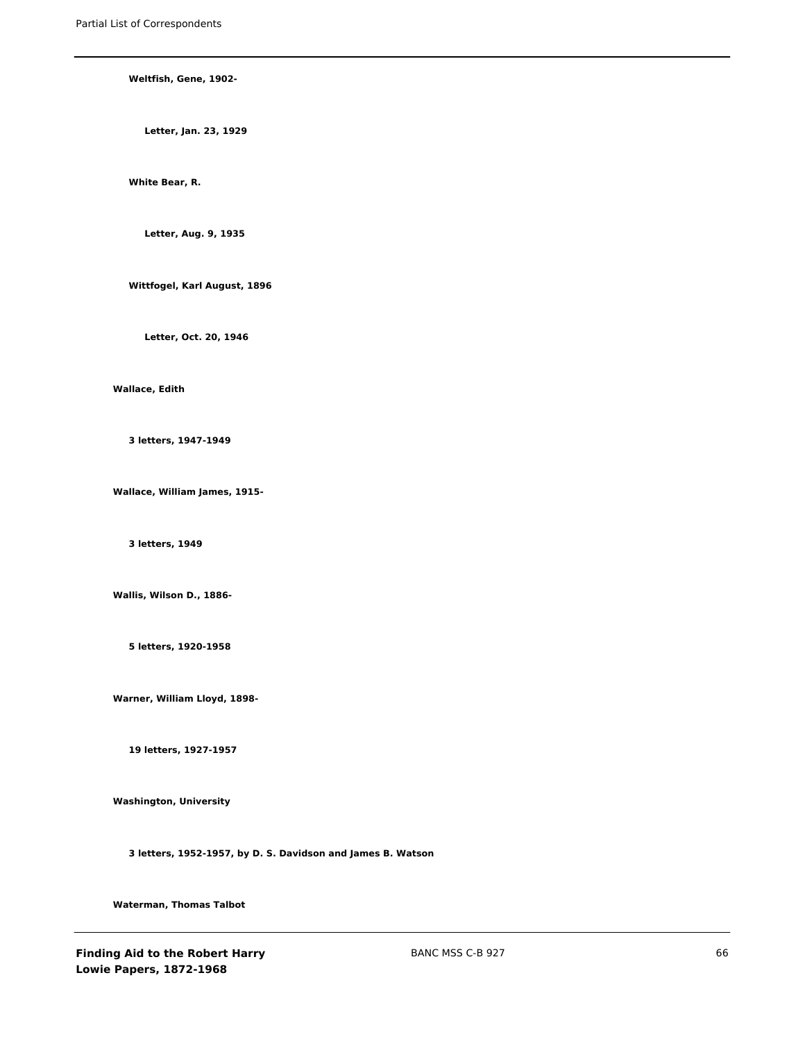### **Weltfish, Gene, 1902-**

**Letter, Jan. 23, 1929**

# **White Bear, R.**

**Letter, Aug. 9, 1935**

**Wittfogel, Karl August, 1896**

**Letter, Oct. 20, 1946**

### **Wallace, Edith**

**3 letters, 1947-1949**

**Wallace, William James, 1915-**

**3 letters, 1949**

**Wallis, Wilson D., 1886-**

**5 letters, 1920-1958**

**Warner, William Lloyd, 1898-**

**19 letters, 1927-1957**

**Washington, University**

**3 letters, 1952-1957, by D. S. Davidson and James B. Watson**

**Waterman, Thomas Talbot**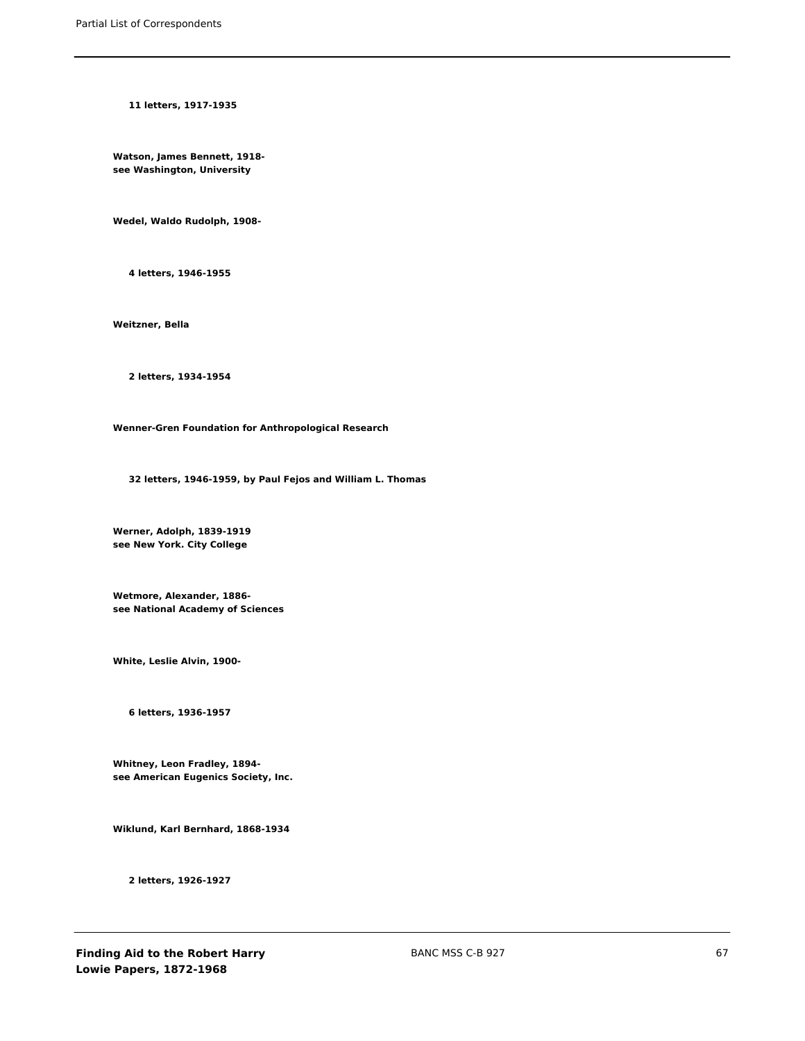**11 letters, 1917-1935**

**Watson, James Bennett, 1918 see Washington, University**

**Wedel, Waldo Rudolph, 1908-**

**4 letters, 1946-1955**

**Weitzner, Bella**

**2 letters, 1934-1954**

**Wenner-Gren Foundation for Anthropological Research**

**32 letters, 1946-1959, by Paul Fejos and William L. Thomas**

**Werner, Adolph, 1839-1919 see New York. City College**

**Wetmore, Alexander, 1886 see National Academy of Sciences**

**White, Leslie Alvin, 1900-**

**6 letters, 1936-1957**

**Whitney, Leon Fradley, 1894 see American Eugenics Society, Inc.**

**Wiklund, Karl Bernhard, 1868-1934**

**2 letters, 1926-1927**